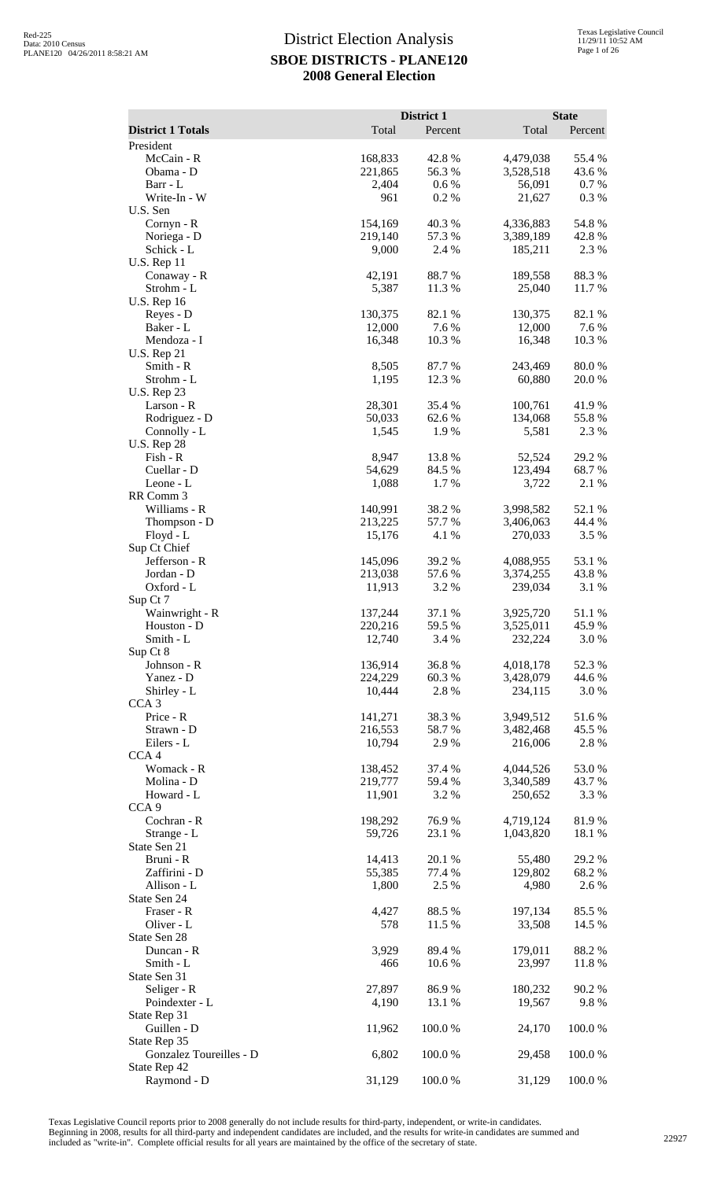|                                 |                    | District 1       |                        | <b>State</b>       |
|---------------------------------|--------------------|------------------|------------------------|--------------------|
| <b>District 1 Totals</b>        | Total              | Percent          | Total                  | Percent            |
| President                       |                    |                  |                        |                    |
| McCain - R<br>Obama - D         | 168,833<br>221,865 | 42.8 %<br>56.3%  | 4,479,038<br>3,528,518 | 55.4 %<br>43.6 %   |
| Barr - L                        | 2,404              | 0.6 %            | 56,091                 | 0.7 %              |
| Write-In - W                    | 961                | 0.2%             | 21,627                 | 0.3%               |
| U.S. Sen                        |                    |                  |                        |                    |
| Cornyn - R<br>Noriega - D       | 154,169<br>219,140 | 40.3%<br>57.3 %  | 4,336,883<br>3,389,189 | 54.8 %<br>42.8%    |
| Schick - L                      | 9,000              | 2.4 %            | 185,211                | 2.3 %              |
| <b>U.S. Rep 11</b>              |                    |                  |                        |                    |
| Conaway - R                     | 42,191             | 88.7%            | 189,558                | 88.3%              |
| Strohm - L                      | 5,387              | 11.3 %           | 25,040                 | 11.7 %             |
| <b>U.S. Rep 16</b><br>Reyes - D | 130,375            | 82.1 %           | 130,375                | 82.1 %             |
| Baker - L                       | 12,000             | 7.6 %            | 12,000                 | 7.6 %              |
| Mendoza - I                     | 16,348             | 10.3%            | 16,348                 | 10.3 %             |
| <b>U.S. Rep 21</b>              |                    |                  |                        |                    |
| Smith - R<br>Strohm - L         | 8,505<br>1,195     | 87.7%<br>12.3 %  | 243,469<br>60,880      | 80.0%<br>$20.0~\%$ |
| <b>U.S. Rep 23</b>              |                    |                  |                        |                    |
| Larson - R                      | 28,301             | 35.4 %           | 100,761                | 41.9%              |
| Rodriguez - D                   | 50,033             | 62.6 %           | 134,068                | 55.8%              |
| Connolly - L                    | 1,545              | 1.9 %            | 5,581                  | 2.3 %              |
| <b>U.S. Rep 28</b><br>Fish - R  | 8,947              | 13.8%            | 52,524                 | 29.2 %             |
| Cuellar - D                     | 54,629             | 84.5 %           | 123,494                | 68.7%              |
| Leone - L                       | 1,088              | 1.7%             | 3,722                  | 2.1 %              |
| RR Comm 3                       |                    |                  |                        |                    |
| Williams - R                    | 140,991            | 38.2 %           | 3,998,582              | 52.1 %             |
| Thompson - D<br>Floyd - L       | 213,225<br>15,176  | 57.7 %<br>4.1 %  | 3,406,063<br>270,033   | 44.4 %<br>3.5 %    |
| Sup Ct Chief                    |                    |                  |                        |                    |
| Jefferson - R                   | 145,096            | 39.2 %           | 4,088,955              | 53.1 %             |
| Jordan - D                      | 213,038            | 57.6%            | 3,374,255              | 43.8%              |
| Oxford - L<br>Sup Ct 7          | 11,913             | 3.2 %            | 239,034                | 3.1 %              |
| Wainwright - R                  | 137,244            | 37.1 %           | 3,925,720              | 51.1 %             |
| Houston - D                     | 220,216            | 59.5 %           | 3,525,011              | 45.9%              |
| Smith - L                       | 12,740             | 3.4 %            | 232,224                | 3.0%               |
| Sup Ct 8<br>Johnson - R         | 136,914            | 36.8%            | 4,018,178              | 52.3 %             |
| Yanez - D                       | 224,229            | 60.3%            | 3,428,079              | 44.6 %             |
| Shirley - L                     | 10,444             | 2.8%             | 234,115                | 3.0 %              |
| CCA <sub>3</sub>                |                    |                  |                        |                    |
| Price - R                       | 141,271<br>216,553 | 38.3%<br>58.7%   | 3,949,512              | 51.6%              |
| Strawn - D<br>Eilers - L        | 10,794             | 2.9%             | 3,482,468<br>216,006   | 45.5 %<br>2.8 %    |
| CCA <sub>4</sub>                |                    |                  |                        |                    |
| Womack - R                      | 138,452            | 37.4 %           | 4,044,526              | 53.0%              |
| Molina - D                      | 219,777            | 59.4 %           | 3,340,589              | 43.7 %             |
| Howard - L<br>CCA <sub>9</sub>  | 11,901             | 3.2 %            | 250,652                | 3.3 %              |
| Cochran - R                     | 198,292            | 76.9%            | 4,719,124              | 81.9%              |
| Strange - L                     | 59,726             | 23.1 %           | 1,043,820              | 18.1 %             |
| State Sen 21                    |                    |                  |                        |                    |
| Bruni - R<br>Zaffirini - D      | 14,413<br>55,385   | 20.1 %<br>77.4 % | 55,480<br>129,802      | 29.2 %<br>68.2 %   |
| Allison - L                     | 1,800              | 2.5 %            | 4,980                  | 2.6%               |
| State Sen 24                    |                    |                  |                        |                    |
| Fraser - R                      | 4,427              | 88.5 %           | 197,134                | 85.5 %             |
| Oliver - L                      | 578                | 11.5 %           | 33,508                 | 14.5 %             |
| State Sen 28<br>Duncan - R      | 3,929              | 89.4%            | 179,011                | 88.2%              |
| Smith - L                       | 466                | 10.6%            | 23,997                 | 11.8%              |
| State Sen 31                    |                    |                  |                        |                    |
| Seliger - R                     | 27,897             | 86.9%            | 180,232                | 90.2 %             |
| Poindexter - L                  | 4,190              | 13.1 %           | 19,567                 | 9.8%               |
| State Rep 31<br>Guillen - D     | 11,962             | 100.0%           | 24,170                 | 100.0%             |
| State Rep 35                    |                    |                  |                        |                    |
| Gonzalez Toureilles - D         | 6,802              | 100.0%           | 29,458                 | 100.0%             |
| State Rep 42                    |                    |                  |                        |                    |
| Raymond - D                     | 31,129             | 100.0%           | 31,129                 | 100.0%             |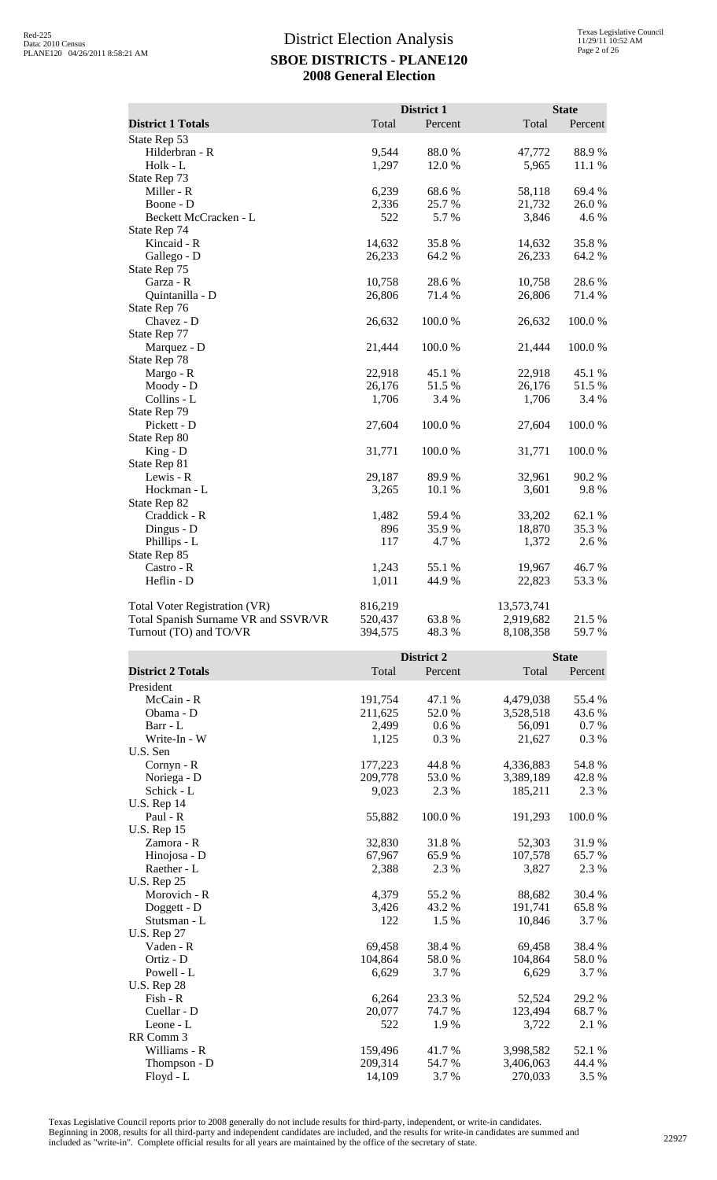|                                      |                | District 1      |                 | <b>State</b>    |
|--------------------------------------|----------------|-----------------|-----------------|-----------------|
| <b>District 1 Totals</b>             | Total          | Percent         | Total           | Percent         |
| State Rep 53                         |                |                 |                 |                 |
| Hilderbran - R<br>Holk - L           | 9,544<br>1,297 | 88.0%<br>12.0 % | 47,772<br>5,965 | 88.9%<br>11.1 % |
| State Rep 73                         |                |                 |                 |                 |
| Miller - R                           | 6,239          | 68.6%           | 58,118          | 69.4 %          |
| Boone - D                            | 2,336          | 25.7 %          | 21,732          | 26.0%           |
| Beckett McCracken - L                | 522            | 5.7%            | 3,846           | 4.6 %           |
| State Rep 74                         |                |                 |                 |                 |
| Kincaid - R                          | 14,632         | 35.8%           | 14,632          | 35.8%           |
| Gallego - D                          | 26,233         | 64.2 %          | 26,233          | 64.2 %          |
| State Rep 75                         |                |                 |                 |                 |
| Garza - R                            | 10,758         | 28.6%           | 10,758          | 28.6%           |
| Quintanilla - D                      | 26,806         | 71.4 %          | 26,806          | 71.4 %          |
| State Rep 76                         |                |                 |                 |                 |
| Chavez - D                           | 26,632         | 100.0%          | 26,632          | 100.0%          |
| State Rep 77                         |                |                 |                 |                 |
| Marquez - D                          | 21,444         | 100.0%          | 21,444          | 100.0%          |
| State Rep 78                         |                |                 |                 |                 |
| Margo - R                            | 22,918         | 45.1 %          | 22,918          | 45.1 %          |
| Moody - D                            | 26,176         | 51.5 %          | 26,176          | 51.5%           |
| Collins - L                          | 1,706          | 3.4 %           | 1,706           | 3.4 %           |
| State Rep 79                         |                |                 |                 |                 |
| Pickett - D                          | 27,604         | 100.0%          | 27,604          | 100.0%          |
| State Rep 80<br>$King - D$           | 31,771         | 100.0%          | 31,771          | 100.0%          |
| State Rep 81                         |                |                 |                 |                 |
| Lewis - R                            | 29,187         | 89.9 %          | 32,961          | 90.2%           |
| Hockman - L                          | 3,265          | 10.1 %          | 3,601           | 9.8%            |
| State Rep 82                         |                |                 |                 |                 |
| Craddick - R                         | 1,482          | 59.4 %          | 33,202          | 62.1 %          |
| Dingus - D                           | 896            | 35.9%           | 18,870          | 35.3 %          |
| Phillips - L                         | 117            | 4.7%            | 1,372           | 2.6%            |
| State Rep 85                         |                |                 |                 |                 |
| Castro - R                           | 1,243          | 55.1 %          | 19,967          | 46.7%           |
| Heflin - D                           | 1,011          | 44.9%           | 22,823          | 53.3%           |
|                                      |                |                 |                 |                 |
| Total Voter Registration (VR)        | 816,219        |                 | 13,573,741      |                 |
| Total Spanish Surname VR and SSVR/VR | 520,437        | 63.8%           | 2,919,682       | $21.5~\%$       |
| Turnout (TO) and TO/VR               | 394,575        | 48.3 %          | 8,108,358       | 59.7%           |
|                                      |                | District 2      |                 | <b>State</b>    |
| <b>District 2 Totals</b>             | Total          | Percent         | Total           | Percent         |
| President                            |                |                 |                 |                 |
| McCain - R                           | 191,754        | 47.1 %          | 4,479,038       | 55.4 %          |
| Obama - D                            | 211,625        | 52.0 %          | 3,528,518       | 43.6 %          |
| Barr - L                             | 2,499          | 0.6 %           | 56,091          | 0.7 %           |
| Write-In - W                         | 1,125          | 0.3%            | 21,627          | 0.3%            |
| U.S. Sen                             |                |                 |                 |                 |
| Cornyn - R                           | 177,223        | 44.8%           | 4,336,883       | 54.8%           |
| Noriega - D                          | 209,778        | 53.0%           | 3,389,189       | 42.8%           |
| Schick - L                           | 9,023          | 2.3 %           | 185,211         | 2.3 %           |
| <b>U.S. Rep 14</b>                   |                |                 |                 |                 |
| Paul - R                             | 55,882         | 100.0%          | 191,293         | 100.0%          |
| <b>U.S. Rep 15</b>                   |                |                 |                 |                 |
| Zamora - R                           | 32,830         | 31.8%           | 52,303          | 31.9%           |
| Hinojosa - D                         | 67,967         | 65.9%           | 107,578         | 65.7%           |
| Raether - L                          | 2,388          | 2.3 %           | 3,827           | 2.3 %           |
| <b>U.S. Rep 25</b>                   |                |                 |                 |                 |
| Morovich - R                         | 4,379          | 55.2 %          | 88,682          | 30.4 %          |
| Doggett - D                          | 3,426          | 43.2 %          | 191,741         | 65.8%           |
| Stutsman - L                         | 122            | 1.5 %           | 10,846          | 3.7 %           |
| <b>U.S. Rep 27</b>                   |                |                 |                 |                 |

Vaden - R<br>
Ortiz - D<br>
Ortiz - D<br>
Compared to the March 2014,864 38.4 % 69,458 38.4 % 69,458 38.4 % 69,458 38.4 % 69,458 38.4 % 69,458 38.4 % 69,458 38.4 % 69,458 38.4 % 69,458 38.4 % 69,458 38.4 % 69,458 38.4 % 69,458 38.4 Ortiz - D 104,864 58.0 % 104,864 58.0 % Powell - L 6,629 3.7 % 6,629 3.7 %

Fish - R 6,264 23.3 % 52,524 29.2 % Cuellar - D<br>
Leone - L<br>
20,077 74.7 % 123,494 68.7 % Leone - L<br>
522 1.9 % 3,722 2.1 %

Williams - R<br>
Thompson - D<br>
209,314<br>
209,314<br>
54.7 %<br>
3,406,063<br>
44.4 % Thompson - D 209,314 54.7 % 3,406,063 44.4 % 54.7 % 3,7 % 3,406,063 44.4 % 70,033 3.5 % Floyd - L 14,109 3.7 % 270,033 3.5 %

Texas Legislative Council reports prior to 2008 generally do not include results for third-party, independent, or write-in candidates. Beginning in 2008, results for all third-party and independent candidates are included, and the results for write-in candidates are summed and<br>included as "write-in". Complete official results for all years are maintained

U.S. Rep 28

Leone -  $L$ RR Comm 3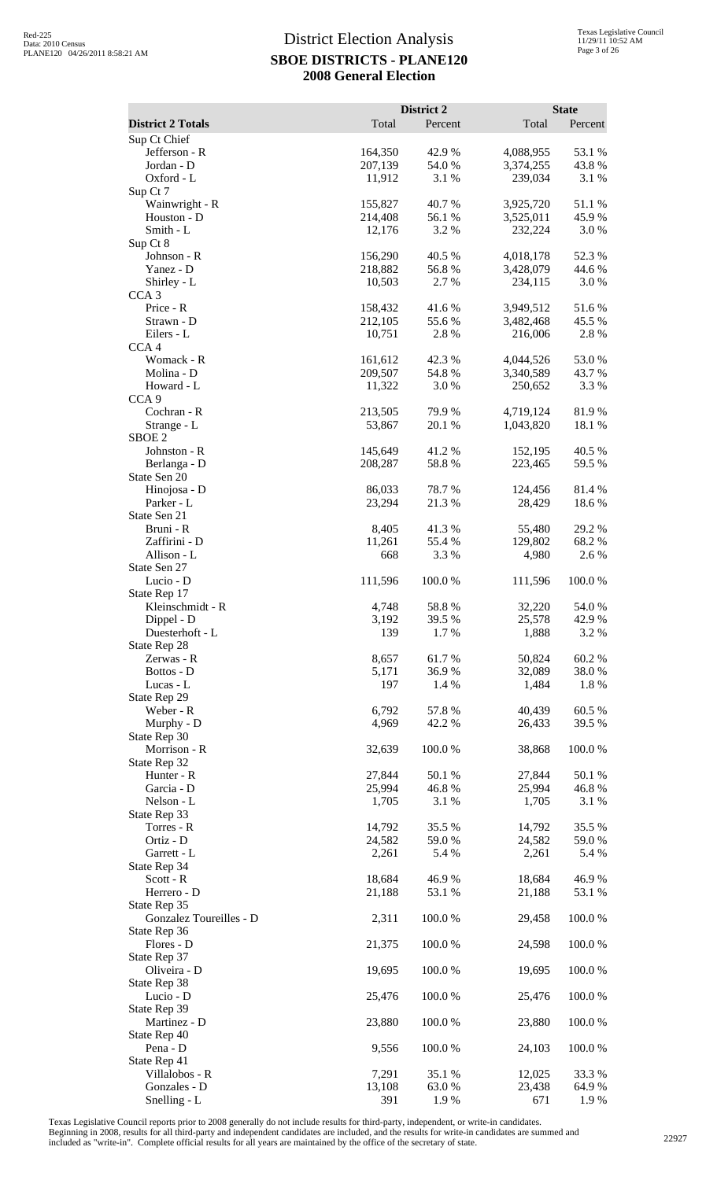|                                 |                  | District 2      |                  | <b>State</b>    |
|---------------------------------|------------------|-----------------|------------------|-----------------|
| <b>District 2 Totals</b>        | Total            | Percent         | Total            | Percent         |
| Sup Ct Chief<br>Jefferson - R   | 164,350          | 42.9 %          | 4,088,955        | 53.1 %          |
| Jordan - D                      | 207,139          | 54.0%           | 3,374,255        | 43.8%           |
| Oxford - L                      | 11,912           | 3.1 %           | 239,034          | 3.1 %           |
| Sup Ct 7<br>Wainwright - R      | 155,827          | 40.7%           | 3,925,720        | 51.1%           |
| Houston - D                     | 214,408          | 56.1 %          | 3,525,011        | 45.9%           |
| Smith - L                       | 12,176           | 3.2 %           | 232,224          | 3.0 %           |
| Sup Ct 8<br>Johnson - R         | 156,290          | 40.5 %          | 4,018,178        | 52.3 %          |
| Yanez - D                       | 218,882          | 56.8%           | 3,428,079        | 44.6 %          |
| Shirley - L                     | 10,503           | 2.7 %           | 234,115          | 3.0%            |
| CCA <sub>3</sub><br>Price - R   | 158,432          | 41.6%           | 3,949,512        | 51.6%           |
| Strawn - D                      | 212,105          | 55.6%           | 3,482,468        | 45.5 %          |
| Eilers - L                      | 10,751           | 2.8 %           | 216,006          | 2.8%            |
| CCA <sub>4</sub><br>Womack - R  | 161,612          | 42.3 %          | 4,044,526        | 53.0%           |
| Molina - D                      | 209,507          | 54.8%           | 3,340,589        | 43.7 %          |
| Howard - L                      | 11,322           | 3.0 %           | 250,652          | 3.3 %           |
| CCA <sub>9</sub><br>Cochran - R | 213,505          | 79.9%           | 4,719,124        | 81.9%           |
| Strange - L                     | 53,867           | 20.1 %          | 1,043,820        | 18.1 %          |
| SBOE <sub>2</sub>               |                  |                 |                  |                 |
| Johnston - R                    | 145,649          | 41.2 %          | 152,195          | 40.5 %          |
| Berlanga - D<br>State Sen 20    | 208,287          | 58.8%           | 223,465          | 59.5 %          |
| Hinojosa - D                    | 86,033           | 78.7%           | 124,456          | 81.4%           |
| Parker - L                      | 23,294           | 21.3%           | 28,429           | 18.6%           |
| State Sen 21<br>Bruni - R       | 8,405            | 41.3 %          | 55,480           | 29.2 %          |
| Zaffirini - D                   | 11,261           | 55.4 %          | 129,802          | 68.2 %          |
| Allison - L                     | 668              | 3.3 %           | 4,980            | 2.6 %           |
| State Sen 27<br>Lucio - D       | 111,596          | 100.0%          | 111,596          | 100.0%          |
| State Rep 17                    |                  |                 |                  |                 |
| Kleinschmidt - R                | 4,748            | 58.8%           | 32,220           | 54.0%           |
| Dippel - D<br>Duesterhoft - L   | 3,192<br>139     | 39.5 %<br>1.7%  | 25,578<br>1,888  | 42.9 %<br>3.2 % |
| State Rep 28                    |                  |                 |                  |                 |
| Zerwas - R                      | 8,657            | 61.7%           | 50,824           | 60.2%           |
| Bottos - D<br>Lucas - L         | 5,171<br>197     | 36.9%<br>1.4 %  | 32,089<br>1,484  | 38.0%<br>1.8%   |
| State Rep 29                    |                  |                 |                  |                 |
| Weber - R                       | 6,792            | 57.8 %          | 40,439           | 60.5%           |
| Murphy - D<br>State Rep 30      | 4,969            | 42.2 %          | 26,433           | 39.5 %          |
| Morrison - R                    | 32,639           | 100.0%          | 38,868           | 100.0%          |
| State Rep 32                    |                  |                 |                  |                 |
| Hunter - R<br>Garcia - D        | 27,844<br>25,994 | 50.1 %<br>46.8% | 27,844<br>25,994 | 50.1 %<br>46.8% |
| Nelson - L                      | 1,705            | 3.1 %           | 1,705            | 3.1 %           |
| State Rep 33                    |                  |                 |                  |                 |
| Torres - R<br>Ortiz - D         | 14,792<br>24,582 | 35.5 %<br>59.0% | 14,792<br>24,582 | 35.5 %<br>59.0% |
| Garrett - L                     | 2,261            | 5.4 %           | 2,261            | 5.4 %           |
| State Rep 34                    |                  |                 |                  |                 |
| Scott - R                       | 18,684           | 46.9%           | 18,684           | 46.9%           |
| Herrero - D<br>State Rep 35     | 21,188           | 53.1 %          | 21,188           | 53.1 %          |
| Gonzalez Toureilles - D         | 2,311            | 100.0%          | 29,458           | 100.0%          |
| State Rep 36                    |                  |                 |                  |                 |
| Flores - D<br>State Rep 37      | 21,375           | 100.0%          | 24,598           | 100.0%          |
| Oliveira - D                    | 19,695           | 100.0%          | 19,695           | 100.0%          |
| State Rep 38                    |                  |                 |                  |                 |
| Lucio - D<br>State Rep 39       | 25,476           | 100.0%          | 25,476           | 100.0%          |
| Martinez - D                    | 23,880           | 100.0%          | 23,880           | 100.0%          |
| State Rep 40                    |                  |                 |                  |                 |
| Pena - D                        | 9,556            | 100.0 %         | 24,103           | 100.0%          |
| State Rep 41<br>Villalobos - R  | 7,291            | 35.1 %          | 12,025           | 33.3 %          |
| Gonzales - D                    | 13,108           | 63.0%           | 23,438           | 64.9%           |
| Snelling - L                    | 391              | 1.9%            | 671              | 1.9%            |

Texas Legislative Council reports prior to 2008 generally do not include results for third-party, independent, or write-in candidates.

Beginning in 2008, results for all third-party and independent candidates are included, and the results for write-in candidates are summed and<br>included as "write-in". Complete official results for all years are maintained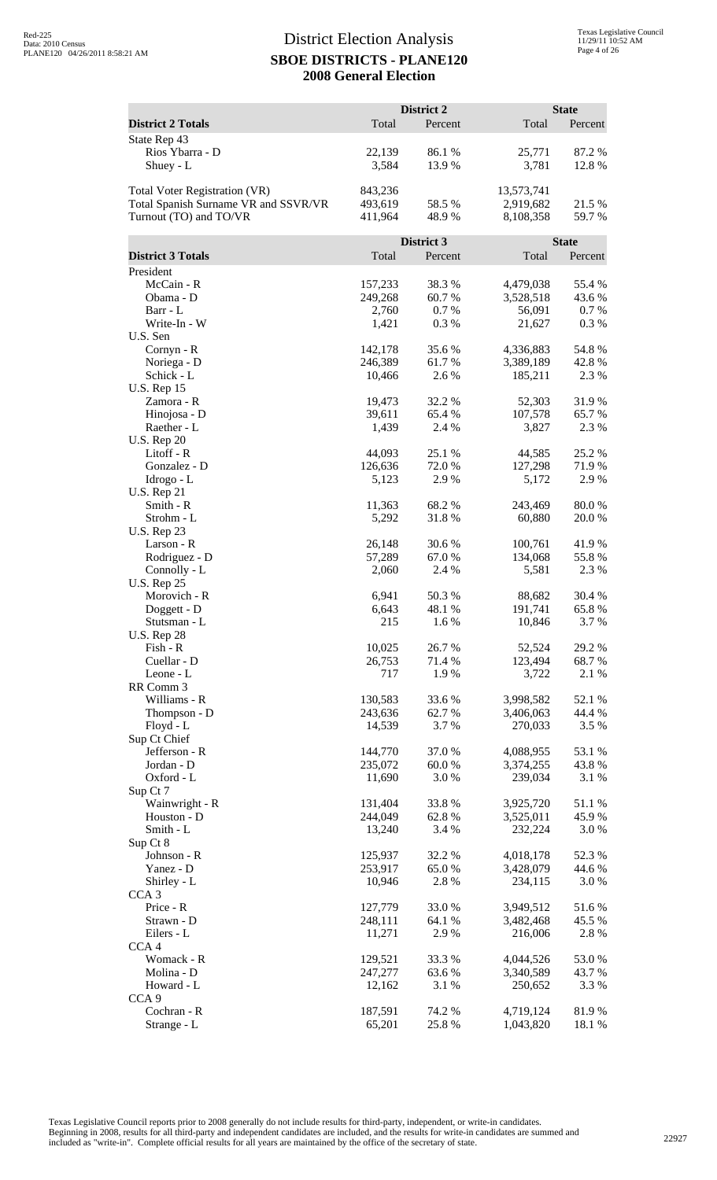|                                      |                    | District 2       |                        | <b>State</b>     |
|--------------------------------------|--------------------|------------------|------------------------|------------------|
| <b>District 2 Totals</b>             | Total              | Percent          | Total                  | Percent          |
| State Rep 43                         |                    |                  |                        |                  |
| Rios Ybarra - D                      | 22,139             | 86.1%            | 25,771                 | 87.2%            |
| Shuey - L                            | 3,584              | 13.9 %           | 3,781                  | 12.8%            |
| <b>Total Voter Registration (VR)</b> | 843,236            |                  | 13,573,741             |                  |
| Total Spanish Surname VR and SSVR/VR | 493,619            | 58.5 %           | 2,919,682              | 21.5 %           |
| Turnout (TO) and TO/VR               | 411,964            | 48.9 %           | 8,108,358              | 59.7%            |
|                                      |                    | District 3       |                        | <b>State</b>     |
| <b>District 3 Totals</b>             | Total              | Percent          | Total                  | Percent          |
| President                            |                    |                  |                        |                  |
| McCain - R                           | 157,233            | 38.3 %           | 4,479,038              | 55.4 %           |
| Obama - D<br>Barr - L                | 249,268<br>2,760   | 60.7%<br>0.7%    | 3,528,518<br>56,091    | 43.6 %<br>0.7 %  |
| Write-In - W                         | 1,421              | 0.3%             | 21,627                 | 0.3%             |
| U.S. Sen                             |                    |                  |                        |                  |
| Cornyn - R                           | 142,178            | 35.6%            | 4,336,883              | 54.8%            |
| Noriega - D<br>Schick - L            | 246,389<br>10,466  | 61.7 %<br>2.6 %  | 3,389,189<br>185,211   | 42.8%<br>2.3 %   |
| <b>U.S. Rep 15</b>                   |                    |                  |                        |                  |
| Zamora - R                           | 19,473             | 32.2 %           | 52,303                 | 31.9%            |
| Hinojosa - D                         | 39,611             | 65.4 %           | 107,578                | 65.7 %           |
| Raether - L<br><b>U.S. Rep 20</b>    | 1,439              | 2.4 %            | 3,827                  | 2.3 %            |
| Litoff - R                           | 44,093             | 25.1 %           | 44,585                 | 25.2 %           |
| Gonzalez - D                         | 126,636            | 72.0%            | 127,298                | 71.9 %           |
| Idrogo - L                           | 5,123              | 2.9%             | 5,172                  | 2.9%             |
| <b>U.S. Rep 21</b><br>Smith - R      |                    |                  |                        | 80.0%            |
| Strohm - L                           | 11,363<br>5,292    | 68.2 %<br>31.8%  | 243,469<br>60,880      | 20.0 %           |
| <b>U.S. Rep 23</b>                   |                    |                  |                        |                  |
| Larson - R                           | 26,148             | 30.6 %           | 100,761                | 41.9%            |
| Rodriguez - D                        | 57,289             | 67.0%            | 134,068                | 55.8%            |
| Connolly - L<br><b>U.S. Rep 25</b>   | 2,060              | 2.4 %            | 5,581                  | 2.3 %            |
| Morovich - R                         | 6,941              | 50.3%            | 88,682                 | 30.4 %           |
| Doggett - D                          | 6,643              | 48.1 %           | 191,741                | 65.8%            |
| Stutsman - L                         | 215                | 1.6%             | 10,846                 | 3.7%             |
| <b>U.S. Rep 28</b><br>Fish - R       | 10,025             | 26.7%            | 52,524                 | 29.2%            |
| Cuellar - D                          | 26,753             | 71.4 %           | 123,494                | 68.7 %           |
| Leone - L                            | 717                | 1.9 %            | 3,722                  | 2.1 %            |
| RR Comm 3<br>Williams - R            |                    | 33.6 %           |                        |                  |
| Thompson - D                         | 130,583<br>243,636 | 62.7%            | 3,998,582<br>3,406,063 | 52.1 %<br>44.4 % |
| Floyd - L                            | 14,539             | 3.7%             | 270,033                | 3.5 %            |
| Sup Ct Chief                         |                    |                  |                        |                  |
| Jefferson - R                        | 144,770<br>235,072 | 37.0%<br>60.0%   | 4,088,955<br>3,374,255 | 53.1 %<br>43.8%  |
| Jordan - D<br>Oxford - L             | 11,690             | 3.0 %            | 239,034                | 3.1 %            |
| Sup Ct 7                             |                    |                  |                        |                  |
| Wainwright - R                       | 131,404            | 33.8%            | 3,925,720              | 51.1 %           |
| Houston - D                          | 244,049            | 62.8%            | 3,525,011              | 45.9%            |
| Smith - L<br>Sup Ct 8                | 13,240             | 3.4 %            | 232,224                | 3.0%             |
| Johnson - R                          | 125,937            | 32.2 %           | 4,018,178              | 52.3 %           |
| Yanez - D                            | 253,917            | 65.0%            | 3,428,079              | 44.6 %           |
| Shirley - L                          | 10,946             | 2.8%             | 234,115                | 3.0 %            |
| CCA <sub>3</sub><br>Price - R        | 127,779            | 33.0%            | 3,949,512              | 51.6%            |
| Strawn - D                           | 248,111            | 64.1 %           | 3,482,468              | 45.5 %           |
| Eilers - L                           | 11,271             | 2.9%             | 216,006                | 2.8%             |
| CCA <sub>4</sub>                     |                    |                  |                        |                  |
| Womack - R<br>Molina - D             | 129,521<br>247,277 | 33.3 %<br>63.6 % | 4,044,526<br>3,340,589 | 53.0%<br>43.7 %  |
| Howard - L                           | 12,162             | 3.1 %            | 250,652                | 3.3 %            |
| CCA <sub>9</sub>                     |                    |                  |                        |                  |
| Cochran - R                          | 187,591            | 74.2 %           | 4,719,124              | 81.9%            |
| Strange - L                          | 65,201             | 25.8%            | 1,043,820              | 18.1 %           |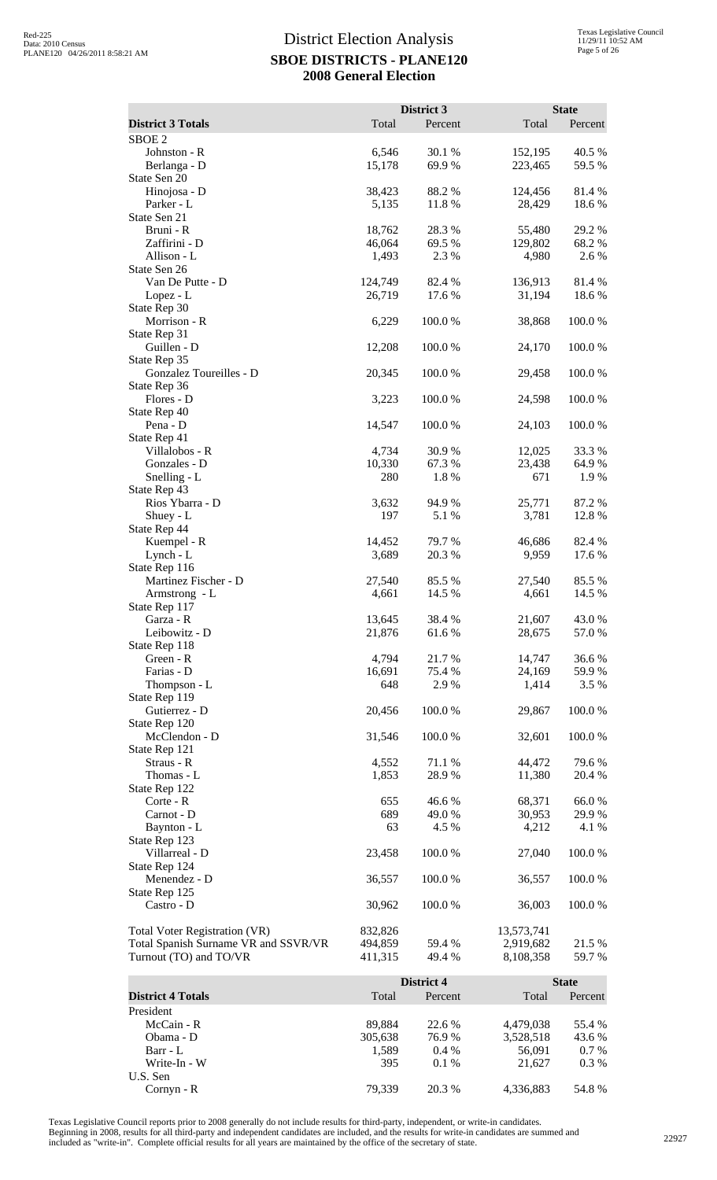|                                                                |                    | District 3       |                        | <b>State</b>     |
|----------------------------------------------------------------|--------------------|------------------|------------------------|------------------|
| <b>District 3 Totals</b>                                       | Total              | Percent          | Total                  | Percent          |
| SBOE <sub>2</sub>                                              |                    |                  |                        |                  |
| Johnston - R                                                   | 6,546              | 30.1 %           | 152,195                | 40.5 %           |
| Berlanga - D                                                   | 15,178             | 69.9%            | 223,465                | 59.5 %           |
| State Sen 20                                                   |                    |                  |                        |                  |
| Hinojosa - D                                                   | 38,423             | 88.2%            | 124,456                | 81.4 %           |
| Parker - L                                                     | 5,135              | 11.8 %           | 28,429                 | 18.6%            |
| State Sen 21<br>Bruni - R                                      | 18,762             | 28.3%            | 55,480                 | 29.2 %           |
| Zaffirini - D                                                  | 46,064             | 69.5 %           | 129,802                | 68.2 %           |
| Allison - L                                                    | 1,493              | 2.3 %            | 4,980                  | 2.6 %            |
| State Sen 26                                                   |                    |                  |                        |                  |
| Van De Putte - D                                               | 124,749            | 82.4 %           | 136,913                | 81.4%            |
| Lopez - L                                                      | 26,719             | 17.6 %           | 31,194                 | 18.6%            |
| State Rep 30<br>Morrison - R                                   | 6,229              | 100.0%           |                        | 100.0%           |
| State Rep 31                                                   |                    |                  | 38,868                 |                  |
| Guillen - D                                                    | 12,208             | 100.0%           | 24,170                 | 100.0%           |
| State Rep 35                                                   |                    |                  |                        |                  |
| Gonzalez Toureilles - D                                        | 20,345             | 100.0%           | 29,458                 | 100.0%           |
| State Rep 36                                                   |                    |                  |                        |                  |
| Flores - D                                                     | 3,223              | 100.0%           | 24,598                 | 100.0%           |
| State Rep 40                                                   |                    |                  |                        |                  |
| Pena - D<br>State Rep 41                                       | 14,547             | 100.0 %          | 24,103                 | 100.0%           |
| Villalobos - R                                                 | 4,734              | 30.9%            | 12,025                 | 33.3 %           |
| Gonzales - D                                                   | 10,330             | 67.3 %           | 23,438                 | 64.9%            |
| Snelling - L                                                   | 280                | 1.8%             | 671                    | 1.9 %            |
| State Rep 43                                                   |                    |                  |                        |                  |
| Rios Ybarra - D                                                | 3,632              | 94.9%            | 25,771                 | 87.2 %           |
| Shuey - $L$                                                    | 197                | 5.1 %            | 3,781                  | 12.8 %           |
| State Rep 44<br>Kuempel - R                                    | 14,452             | 79.7%            | 46,686                 | 82.4 %           |
| Lynch - L                                                      | 3,689              | 20.3 %           | 9,959                  | 17.6 %           |
| State Rep 116                                                  |                    |                  |                        |                  |
| Martinez Fischer - D                                           | 27,540             | 85.5%            | 27,540                 | 85.5 %           |
| Armstrong - L                                                  | 4,661              | 14.5 %           | 4,661                  | 14.5 %           |
| State Rep 117                                                  |                    |                  |                        |                  |
| Garza - R<br>Leibowitz - D                                     | 13,645             | 38.4%            | 21,607<br>28,675       | 43.0 %<br>57.0 % |
| State Rep 118                                                  | 21,876             | 61.6 %           |                        |                  |
| Green - R                                                      | 4,794              | 21.7%            | 14,747                 | 36.6%            |
| Farias - D                                                     | 16,691             | 75.4 %           | 24,169                 | 59.9%            |
| Thompson - L                                                   | 648                | 2.9 %            | 1,414                  | 3.5 %            |
| State Rep 119                                                  |                    |                  |                        |                  |
| Gutierrez - D                                                  | 20,456             | 100.0%           | 29,867                 | 100.0%           |
| State Rep 120                                                  |                    |                  |                        |                  |
| McClendon - D<br>State Rep 121                                 | 31,546             | 100.0 %          | 32,601                 | 100.0%           |
| Straus - R                                                     | 4,552              | 71.1 %           | 44,472                 | 79.6%            |
| Thomas - L                                                     | 1,853              | 28.9 %           | 11,380                 | 20.4 %           |
| State Rep 122                                                  |                    |                  |                        |                  |
| Corte - R                                                      | 655                | 46.6 %           | 68,371                 | 66.0%            |
| Carnot - D                                                     | 689                | 49.0%            | 30,953                 | 29.9%            |
| Baynton - L                                                    | 63                 | 4.5 %            | 4,212                  | 4.1 %            |
| State Rep 123<br>Villarreal - D                                | 23,458             | 100.0%           | 27,040                 | 100.0%           |
| State Rep 124                                                  |                    |                  |                        |                  |
| Menendez - D                                                   | 36,557             | 100.0 %          | 36,557                 | 100.0%           |
| State Rep 125                                                  |                    |                  |                        |                  |
| Castro - D                                                     | 30,962             | 100.0%           | 36,003                 | 100.0%           |
|                                                                |                    |                  |                        |                  |
| Total Voter Registration (VR)                                  | 832,826            |                  | 13,573,741             |                  |
| Total Spanish Surname VR and SSVR/VR<br>Turnout (TO) and TO/VR | 494,859<br>411,315 | 59.4 %<br>49.4 % | 2,919,682<br>8,108,358 | 21.5 %<br>59.7%  |
|                                                                |                    |                  |                        |                  |
|                                                                |                    | District 4       |                        | <b>State</b>     |

|                          |         | District 4 |           | <b>State</b> |
|--------------------------|---------|------------|-----------|--------------|
| <b>District 4 Totals</b> | Total   | Percent    | Total     | Percent      |
| President                |         |            |           |              |
| McCain - R               | 89.884  | 22.6 %     | 4.479.038 | 55.4 %       |
| Obama - D                | 305,638 | 76.9%      | 3,528,518 | 43.6 %       |
| Barr - L                 | 1.589   | $0.4\%$    | 56,091    | $0.7\%$      |
| Write-In - W             | 395     | $0.1\%$    | 21.627    | $0.3\%$      |
| U.S. Sen                 |         |            |           |              |
| $Cornyn - R$             | 79.339  | 20.3 %     | 4,336,883 | 54.8%        |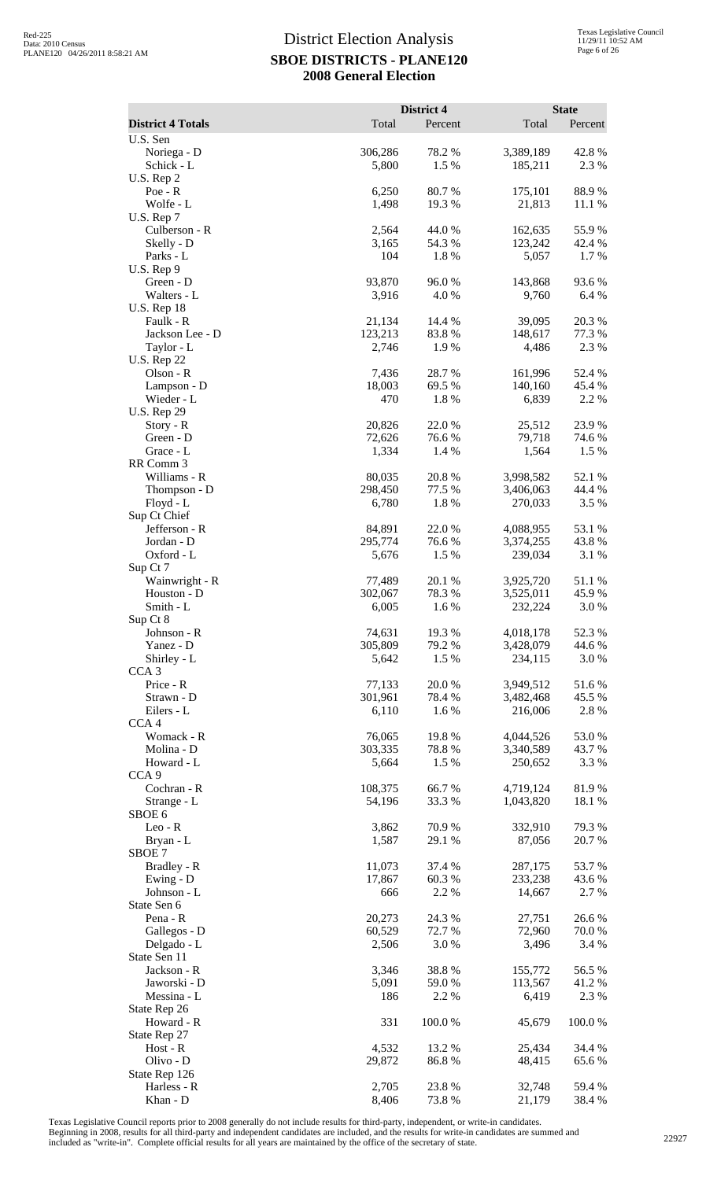|                                       |                   | District 4          |                        | <b>State</b>     |
|---------------------------------------|-------------------|---------------------|------------------------|------------------|
| <b>District 4 Totals</b>              | Total             | Percent             | Total                  | Percent          |
| U.S. Sen<br>Noriega - D<br>Schick - L | 306,286<br>5,800  | 78.2 %<br>1.5 %     | 3,389,189<br>185,211   | 42.8%<br>2.3 %   |
| U.S. Rep 2<br>$Poe - R$               | 6,250             | 80.7%               | 175,101                | 88.9%            |
| Wolfe - L<br>U.S. Rep 7               | 1,498             | 19.3 %              | 21,813                 | 11.1 %           |
| Culberson - R                         | 2,564             | 44.0 %<br>54.3 %    | 162,635<br>123,242     | 55.9%            |
| Skelly - D<br>Parks - L               | 3,165<br>104      | 1.8%                | 5,057                  | 42.4 %<br>1.7 %  |
| U.S. Rep 9<br>Green - D               | 93,870            | 96.0%               | 143,868                | 93.6%            |
| Walters - L<br><b>U.S. Rep 18</b>     | 3,916             | 4.0 %               | 9,760                  | 6.4%             |
| Faulk - R<br>Jackson Lee - D          | 21,134<br>123,213 | 14.4 %<br>83.8%     | 39,095<br>148,617      | 20.3 %<br>77.3 % |
| Taylor - L<br><b>U.S. Rep 22</b>      | 2,746             | 1.9%                | 4,486                  | 2.3 %            |
| Olson - R<br>Lampson - D              | 7,436<br>18,003   | 28.7%<br>69.5 %     | 161,996<br>140,160     | 52.4 %<br>45.4 % |
| Wieder - L<br><b>U.S. Rep 29</b>      | 470               | 1.8%                | 6,839                  | 2.2 %            |
| Story - R                             | 20,826            | 22.0%               | 25,512                 | 23.9%            |
| Green - D<br>Grace - L                | 72,626<br>1,334   | 76.6%<br>1.4 %      | 79,718<br>1,564        | 74.6 %<br>1.5 %  |
| RR Comm 3<br>Williams - R             | 80,035            | 20.8%               | 3,998,582              | 52.1 %           |
| Thompson - D                          | 298,450           | 77.5 %              | 3,406,063              | 44.4 %           |
| Floyd - L<br>Sup Ct Chief             | 6,780             | 1.8%                | 270,033                | 3.5 %            |
| Jefferson - R                         | 84,891            | 22.0%               | 4,088,955              | 53.1 %           |
| Jordan - D                            | 295,774           | 76.6 %              | 3,374,255              | 43.8%            |
| Oxford - L<br>Sup Ct 7                | 5,676             | 1.5 %               | 239,034                | 3.1 %            |
| Wainwright - R                        | 77,489            | 20.1 %              | 3,925,720              | 51.1%            |
| Houston - D<br>Smith - L              | 302,067<br>6,005  | 78.3%<br>1.6%       | 3,525,011<br>232,224   | 45.9%<br>3.0%    |
| Sup Ct 8<br>Johnson - R               | 74,631            | 19.3%               | 4,018,178              | 52.3 %           |
| Yanez - D                             | 305,809           | 79.2 %<br>1.5 %     | 3,428,079              | 44.6 %<br>3.0 %  |
| Shirley - L<br>CCA <sub>3</sub>       | 5,642             |                     | 234,115                |                  |
| Price - R<br>Strawn - D               | 77,133<br>301,961 | 20.0%<br>78.4 %     | 3,949,512<br>3,482,468 | 51.6%<br>45.5 %  |
| Eilers - L<br>CCA <sub>4</sub>        | 6,110             | 1.6%                | 216,006                | 2.8 %            |
| Womack - R                            | 76,065            | 19.8%               | 4,044,526              | 53.0%            |
| Molina - D<br>Howard - L              | 303,335<br>5,664  | 78.8%<br>1.5 %      | 3,340,589<br>250,652   | 43.7 %<br>3.3 %  |
| CCA <sub>9</sub>                      |                   |                     |                        |                  |
| Cochran - R<br>Strange - L            | 108,375<br>54,196 | 66.7%<br>33.3 %     | 4,719,124<br>1,043,820 | 81.9%<br>18.1 %  |
| SBOE 6                                |                   |                     |                        |                  |
| $Leo - R$<br>Bryan - L                | 3,862<br>1,587    | 70.9%<br>29.1 %     | 332,910<br>87,056      | 79.3 %<br>20.7%  |
| SBOE 7<br>Bradley - R                 | 11,073            | 37.4 %              | 287,175                | 53.7%            |
| Ewing - D                             | 17,867            | 60.3%               | 233,238                | 43.6 %           |
| Johnson - L<br>State Sen 6            | 666               | 2.2 %               | 14,667                 | 2.7 %            |
| Pena - R                              | 20,273            | 24.3 %              | 27,751                 | 26.6%            |
| Gallegos - D<br>Delgado - L           | 60,529<br>2,506   | 72.7 %<br>$3.0\ \%$ | 72,960<br>3,496        | 70.0 %<br>3.4 %  |
| State Sen 11                          |                   |                     |                        |                  |
| Jackson - R<br>Jaworski - D           | 3,346<br>5,091    | 38.8%<br>59.0%      | 155,772<br>113,567     | 56.5 %<br>41.2%  |
| Messina - L                           | 186               | 2.2 %               | 6,419                  | 2.3 %            |
| State Rep 26<br>Howard - R            | 331               | 100.0%              | 45,679                 | 100.0%           |
| State Rep 27<br>$Host - R$            | 4,532             | 13.2 %              | 25,434                 | 34.4 %           |
| Olivo - D<br>State Rep 126            | 29,872            | 86.8%               | 48,415                 | 65.6%            |
| Harless - R                           | 2,705             | 23.8%               | 32,748                 | 59.4 %           |
| Khan - D                              | 8,406             | 73.8%               | 21,179                 | 38.4 %           |

Texas Legislative Council reports prior to 2008 generally do not include results for third-party, independent, or write-in candidates.

Beginning in 2008, results for all third-party and independent candidates are included, and the results for write-in candidates are summed and<br>included as "write-in". Complete official results for all years are maintained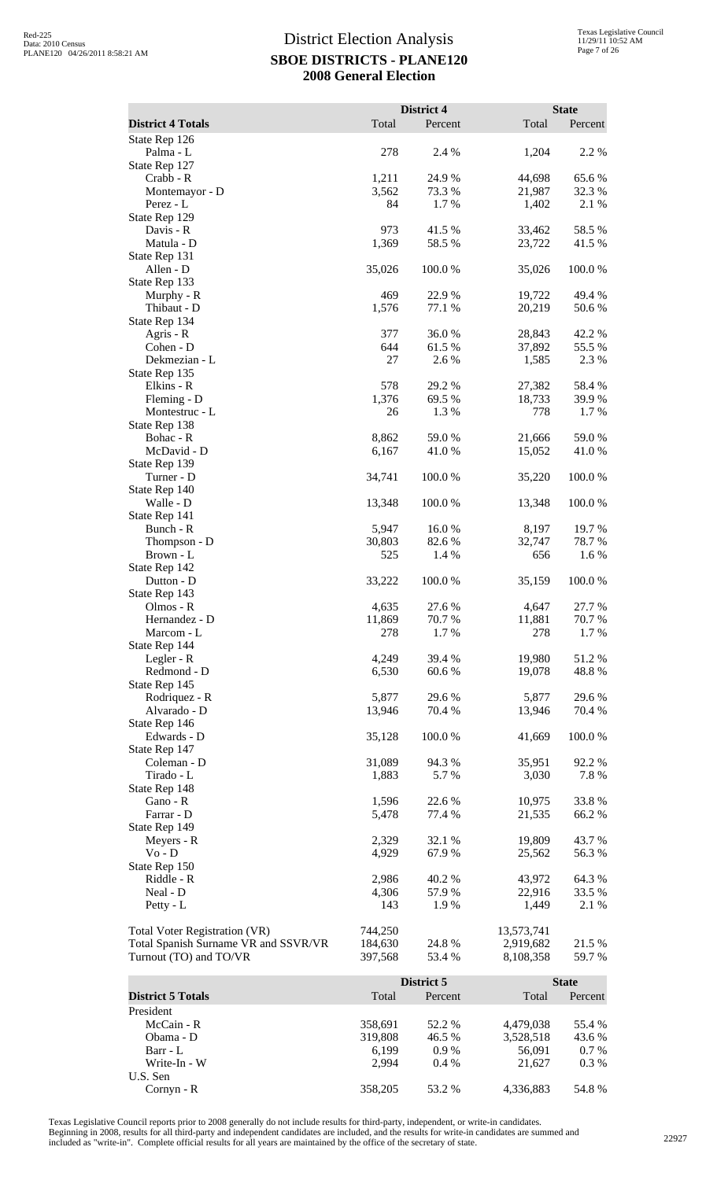|                                                                |                    | District 4       |                        | <b>State</b>     |
|----------------------------------------------------------------|--------------------|------------------|------------------------|------------------|
| <b>District 4 Totals</b>                                       | Total              | Percent          | Total                  | Percent          |
| State Rep 126                                                  |                    |                  |                        |                  |
| Palma - L                                                      | 278                | 2.4 %            | 1,204                  | 2.2 %            |
| State Rep 127                                                  |                    |                  |                        |                  |
| Crabb - R                                                      | 1,211              | 24.9%            | 44,698                 | 65.6%            |
| Montemayor - D<br>Perez - L                                    | 3,562<br>84        | 73.3 %<br>1.7%   | 21,987<br>1,402        | 32.3 %<br>2.1 %  |
| State Rep 129                                                  |                    |                  |                        |                  |
| Davis - R                                                      | 973                | 41.5 %           | 33,462                 | 58.5 %           |
| Matula - D                                                     | 1,369              | 58.5 %           | 23,722                 | 41.5 %           |
| State Rep 131                                                  |                    |                  |                        |                  |
| Allen - D                                                      | 35,026             | 100.0%           | 35,026                 | 100.0%           |
| State Rep 133<br>Murphy - R                                    | 469                | 22.9%            | 19,722                 | 49.4 %           |
| Thibaut - D                                                    | 1,576              | 77.1 %           | 20,219                 | 50.6%            |
| State Rep 134                                                  |                    |                  |                        |                  |
| Agris - R                                                      | 377                | 36.0%            | 28,843                 | 42.2 %           |
| Cohen - D                                                      | 644                | 61.5%            | 37,892                 | 55.5 %           |
| Dekmezian - L<br>State Rep 135                                 | 27                 | 2.6%             | 1,585                  | 2.3 %            |
| Elkins - R                                                     | 578                | 29.2 %           | 27,382                 | 58.4%            |
| Fleming - D                                                    | 1,376              | 69.5 %           | 18,733                 | 39.9%            |
| Montestruc - L                                                 | 26                 | 1.3%             | 778                    | 1.7%             |
| State Rep 138                                                  |                    |                  |                        |                  |
| Bohac - R<br>McDavid - D                                       | 8,862<br>6,167     | 59.0 %<br>41.0%  | 21,666<br>15,052       | 59.0%<br>41.0%   |
| State Rep 139                                                  |                    |                  |                        |                  |
| Turner - D                                                     | 34,741             | 100.0%           | 35,220                 | 100.0%           |
| State Rep 140                                                  |                    |                  |                        |                  |
| Walle - D                                                      | 13,348             | 100.0%           | 13,348                 | 100.0%           |
| State Rep 141                                                  |                    |                  |                        |                  |
| Bunch - R<br>Thompson - D                                      | 5,947<br>30,803    | 16.0%<br>82.6%   | 8,197<br>32,747        | 19.7 %<br>78.7%  |
| Brown - L                                                      | 525                | 1.4 %            | 656                    | 1.6%             |
| State Rep 142                                                  |                    |                  |                        |                  |
| Dutton - D                                                     | 33,222             | 100.0%           | 35,159                 | 100.0%           |
| State Rep 143                                                  |                    |                  |                        |                  |
| Olmos - R<br>Hernandez - D                                     | 4,635<br>11,869    | 27.6 %<br>70.7%  | 4,647<br>11,881        | 27.7 %<br>70.7 % |
| Marcom - L                                                     | 278                | 1.7 %            | 278                    | 1.7 %            |
| State Rep 144                                                  |                    |                  |                        |                  |
| Legler - R                                                     | 4,249              | 39.4 %           | 19,980                 | 51.2%            |
| Redmond - D                                                    | 6,530              | 60.6 %           | 19,078                 | 48.8%            |
| State Rep 145<br>Rodriquez - R                                 | 5,877              | 29.6 %           | 5,877                  |                  |
| Alvarado - D                                                   | 13,946             | 70.4 %           | 13,946                 | 29.6 %<br>70.4 % |
| State Rep 146                                                  |                    |                  |                        |                  |
| Edwards - D                                                    | 35,128             | 100.0%           | 41,669                 | 100.0%           |
| State Rep 147                                                  |                    |                  |                        |                  |
| Coleman - D                                                    | 31,089             | 94.3%            | 35,951                 | 92.2 %           |
| Tirado - L<br>State Rep 148                                    | 1,883              | 5.7 %            | 3,030                  | 7.8%             |
| Gano - R                                                       | 1,596              | 22.6 %           | 10,975                 | 33.8%            |
| Farrar - D                                                     | 5,478              | 77.4 %           | 21,535                 | 66.2%            |
| State Rep 149                                                  |                    |                  |                        |                  |
| Meyers - R                                                     | 2,329              | 32.1 %           | 19,809                 | 43.7%            |
| $Vo - D$<br>State Rep 150                                      | 4,929              | 67.9 %           | 25,562                 | 56.3%            |
| Riddle - R                                                     | 2,986              | 40.2 %           | 43,972                 | 64.3%            |
| Neal - D                                                       | 4,306              | 57.9%            | 22,916                 | 33.5 %           |
| Petty - L                                                      | 143                | 1.9%             | 1,449                  | 2.1 %            |
|                                                                |                    |                  |                        |                  |
| <b>Total Voter Registration (VR)</b>                           | 744,250<br>184,630 | 24.8%            | 13,573,741             |                  |
| Total Spanish Surname VR and SSVR/VR<br>Turnout (TO) and TO/VR | 397,568            | 53.4 %           | 2,919,682<br>8,108,358 | 21.5 %<br>59.7%  |
|                                                                |                    |                  |                        |                  |
|                                                                |                    | District 5       |                        | <b>State</b>     |
| <b>District 5 Totals</b>                                       | Total              | Percent          | Total                  | Percent          |
| President                                                      |                    |                  |                        |                  |
| McCain - R<br>Obama - D                                        | 358,691<br>319,808 | 52.2 %<br>46.5 % | 4,479,038<br>3,528,518 | 55.4 %<br>43.6 % |
| Barr - L                                                       | 6,199              | 0.9%             | 56,091                 | $0.7\%$          |

Texas Legislative Council reports prior to 2008 generally do not include results for third-party, independent, or write-in candidates. Beginning in 2008, results for all third-party and independent candidates are included, and the results for write-in candidates are summed and<br>included as "write-in". Complete official results for all years are maintained

U.S. Sen

Barr - L 6,199 0.9 % 56,091 0.7 % Write-In - W 2,994 0.4 % 21,627 0.3 %

Cornyn - R 358,205 53.2 % 4,336,883 54.8 %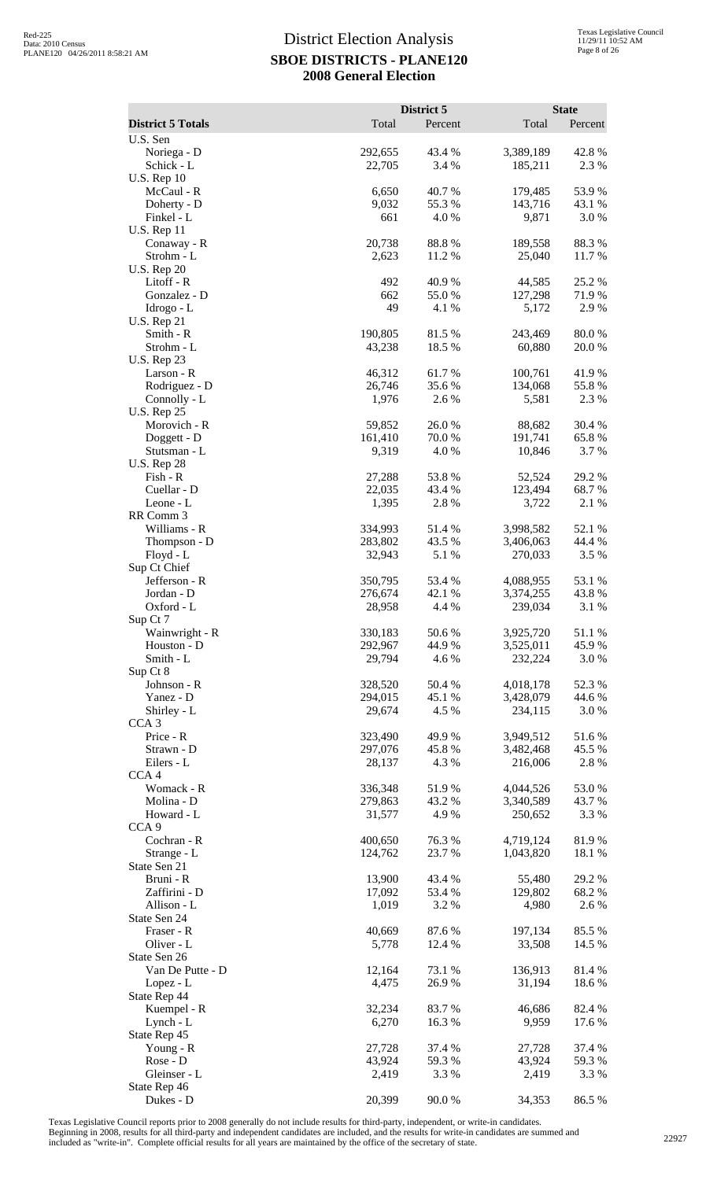|                                    |                    | District 5      |                        | <b>State</b>     |
|------------------------------------|--------------------|-----------------|------------------------|------------------|
| <b>District 5 Totals</b>           | Total              | Percent         | Total                  | Percent          |
| U.S. Sen<br>Noriega - D            | 292,655            | 43.4 %          | 3,389,189              | 42.8%            |
| Schick - L                         | 22,705             | 3.4 %           | 185,211                | 2.3 %            |
| <b>U.S. Rep 10</b>                 |                    |                 |                        |                  |
| McCaul - R                         | 6,650              | 40.7%           | 179,485                | 53.9%            |
| Doherty - D<br>Finkel - L          | 9,032<br>661       | 55.3%<br>4.0%   | 143,716<br>9,871       | 43.1 %<br>3.0%   |
| <b>U.S. Rep 11</b>                 |                    |                 |                        |                  |
| Conaway - R                        | 20,738             | 88.8%           | 189,558                | 88.3%            |
| Strohm - L                         | 2,623              | 11.2 %          | 25,040                 | 11.7 %           |
| <b>U.S. Rep 20</b><br>Litoff - R   | 492                | 40.9%           | 44,585                 | 25.2 %           |
| Gonzalez - D                       | 662                | 55.0%           | 127,298                | 71.9%            |
| Idrogo - L                         | 49                 | 4.1 %           | 5,172                  | 2.9%             |
| <b>U.S. Rep 21</b>                 |                    |                 |                        |                  |
| Smith - R<br>Strohm - L            | 190,805<br>43,238  | 81.5%<br>18.5 % | 243,469<br>60,880      | 80.0%<br>20.0%   |
| <b>U.S. Rep 23</b>                 |                    |                 |                        |                  |
| Larson - R                         | 46,312             | 61.7%           | 100,761                | 41.9%            |
| Rodriguez - D                      | 26,746             | 35.6%           | 134,068                | 55.8%            |
| Connolly - L<br><b>U.S. Rep 25</b> | 1,976              | 2.6 %           | 5,581                  | 2.3 %            |
| Morovich - R                       | 59,852             | 26.0%           | 88,682                 | 30.4 %           |
| Doggett - D                        | 161,410            | 70.0%           | 191,741                | 65.8%            |
| Stutsman - L                       | 9,319              | 4.0%            | 10,846                 | 3.7 %            |
| <b>U.S. Rep 28</b><br>Fish - R     | 27,288             | 53.8%           | 52,524                 | 29.2 %           |
| Cuellar - D                        | 22,035             | 43.4 %          | 123,494                | 68.7%            |
| Leone - L                          | 1,395              | 2.8%            | 3,722                  | 2.1 %            |
| RR Comm 3                          |                    |                 |                        |                  |
| Williams - R                       | 334,993<br>283,802 | 51.4%<br>43.5 % | 3,998,582<br>3,406,063 | 52.1 %<br>44.4 % |
| Thompson - D<br>Floyd - L          | 32,943             | 5.1 %           | 270,033                | 3.5 %            |
| Sup Ct Chief                       |                    |                 |                        |                  |
| Jefferson - R                      | 350,795            | 53.4 %          | 4,088,955              | 53.1 %           |
| Jordan - D<br>Oxford - L           | 276,674<br>28,958  | 42.1 %<br>4.4 % | 3,374,255<br>239,034   | 43.8%<br>3.1 %   |
| Sup Ct 7                           |                    |                 |                        |                  |
| Wainwright - R                     | 330,183            | 50.6%           | 3,925,720              | 51.1 %           |
| Houston - D                        | 292,967            | 44.9%           | 3,525,011              | 45.9%            |
| Smith - L<br>Sup Ct 8              | 29,794             | 4.6%            | 232,224                | 3.0 %            |
| Johnson - R                        | 328,520            | 50.4 %          | 4,018,178              | 52.3 %           |
| Yanez - D                          | 294,015            | 45.1 %          | 3,428,079              | 44.6 %           |
| Shirley - L                        | 29,674             | 4.5 %           | 234,115                | 3.0 %            |
| CCA <sub>3</sub><br>Price - R      | 323,490            | 49.9%           | 3,949,512              | 51.6%            |
| Strawn - D                         | 297,076            | 45.8%           | 3,482,468              | 45.5 %           |
| Eilers - L                         | 28,137             | 4.3 %           | 216,006                | 2.8%             |
| CCA <sub>4</sub>                   |                    |                 |                        |                  |
| Womack - R<br>Molina - D           | 336,348<br>279,863 | 51.9%<br>43.2 % | 4,044,526<br>3,340,589 | 53.0%<br>43.7 %  |
| Howard - L                         | 31,577             | 4.9%            | 250,652                | 3.3 %            |
| CCA <sub>9</sub>                   |                    |                 |                        |                  |
| Cochran - R                        | 400,650            | 76.3%           | 4,719,124              | 81.9%            |
| Strange - L<br>State Sen 21        | 124,762            | 23.7 %          | 1,043,820              | 18.1 %           |
| Bruni - R                          | 13,900             | 43.4 %          | 55,480                 | 29.2 %           |
| Zaffirini - D                      | 17,092             | 53.4 %          | 129,802                | 68.2 %           |
| Allison - L                        | 1,019              | 3.2 %           | 4,980                  | 2.6%             |
| State Sen 24<br>Fraser - R         | 40,669             | 87.6%           | 197,134                | 85.5 %           |
| Oliver - L                         | 5,778              | 12.4 %          | 33,508                 | 14.5 %           |
| State Sen 26                       |                    |                 |                        |                  |
| Van De Putte - D                   | 12,164             | 73.1 %          | 136,913                | 81.4%            |
| Lopez - L<br>State Rep 44          | 4,475              | 26.9%           | 31,194                 | 18.6 %           |
| Kuempel - R                        | 32,234             | 83.7%           | 46,686                 | 82.4 %           |
| Lynch - L                          | 6,270              | 16.3%           | 9,959                  | 17.6 %           |
| State Rep 45                       |                    |                 |                        |                  |
| Young - $R$<br>Rose - D            | 27,728<br>43,924   | 37.4 %<br>59.3% | 27,728<br>43,924       | 37.4 %<br>59.3 % |
| Gleinser - L                       | 2,419              | 3.3 %           | 2,419                  | 3.3 %            |
| State Rep 46                       |                    |                 |                        |                  |
| Dukes - D                          | 20,399             | 90.0%           | 34,353                 | 86.5%            |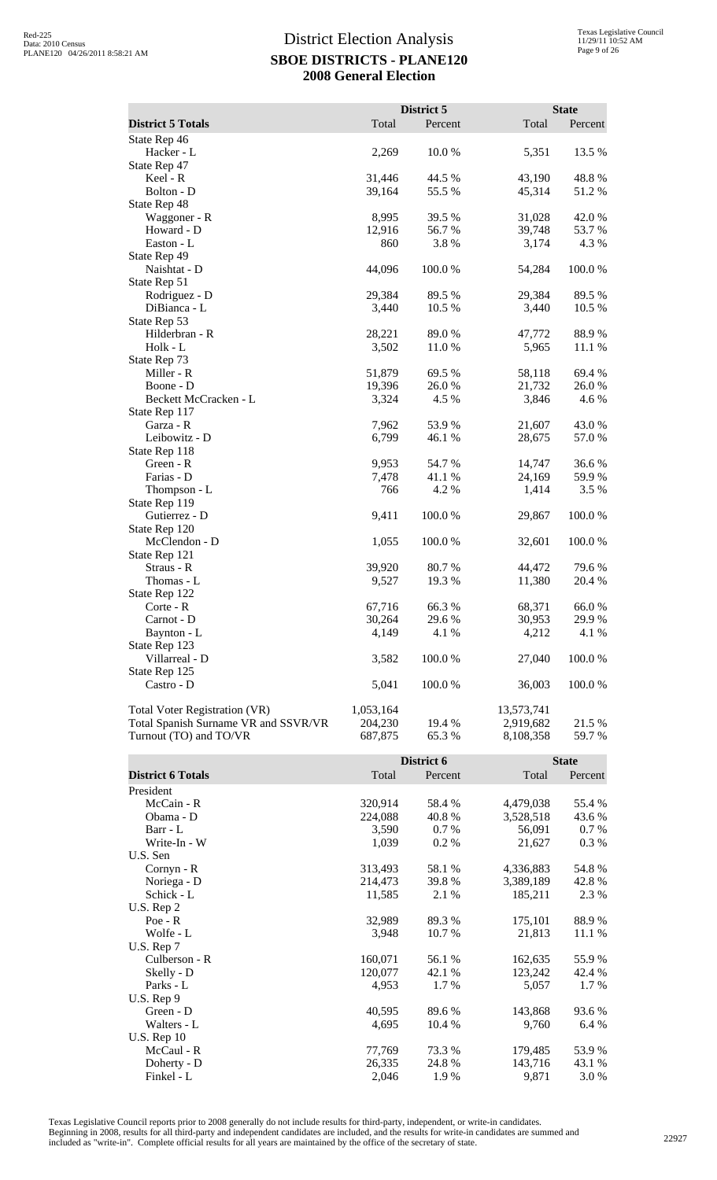|                                      |           | District 5 |                  | <b>State</b> |
|--------------------------------------|-----------|------------|------------------|--------------|
| <b>District 5 Totals</b>             | Total     | Percent    | Total            | Percent      |
| State Rep 46                         |           |            |                  |              |
| Hacker - L                           | 2,269     | 10.0 %     | 5,351            | 13.5 %       |
| State Rep 47                         |           |            |                  |              |
| Keel - R                             | 31,446    | 44.5 %     | 43,190           | 48.8%        |
| Bolton - D                           | 39,164    | 55.5 %     | 45,314           | 51.2%        |
| State Rep 48                         |           |            |                  |              |
| Waggoner - R                         | 8,995     | 39.5 %     | 31,028           | 42.0%        |
| Howard - D                           | 12,916    | 56.7%      | 39,748           | 53.7 %       |
| Easton - L                           | 860       | 3.8%       | 3,174            | 4.3 %        |
| State Rep 49                         |           |            |                  |              |
| Naishtat - D                         | 44,096    | 100.0%     | 54,284           | 100.0%       |
| State Rep 51                         |           |            |                  |              |
| Rodriguez - D                        | 29,384    | 89.5 %     | 29,384           | 89.5 %       |
| DiBianca - L                         | 3,440     | 10.5 %     | 3,440            | 10.5 %       |
| State Rep 53                         |           |            |                  |              |
| Hilderbran - R                       | 28,221    | 89.0 %     | 47,772           | 88.9%        |
| Holk - L                             | 3,502     | 11.0%      | 5,965            | 11.1 %       |
| State Rep 73                         |           |            |                  |              |
| Miller - R                           | 51,879    | 69.5%      | 58,118           | 69.4%        |
| Boone - D                            | 19,396    | 26.0%      | 21,732           | 26.0%        |
| Beckett McCracken - L                | 3,324     | 4.5 %      | 3,846            | 4.6 %        |
| State Rep 117                        |           |            |                  |              |
| Garza - R                            | 7,962     | 53.9%      |                  | 43.0%        |
| Leibowitz - D                        | 6,799     |            | 21,607<br>28,675 | 57.0 %       |
|                                      |           | 46.1 %     |                  |              |
| State Rep 118                        |           |            |                  |              |
| Green - R                            | 9,953     | 54.7 %     | 14,747           | 36.6 %       |
| Farias - D                           | 7,478     | 41.1 %     | 24,169           | 59.9%        |
| Thompson - L                         | 766       | 4.2 %      | 1,414            | 3.5 %        |
| State Rep 119                        |           |            |                  |              |
| Gutierrez - D                        | 9,411     | 100.0%     | 29,867           | 100.0%       |
| State Rep 120                        |           |            |                  |              |
| McClendon - D                        | 1,055     | 100.0%     | 32,601           | 100.0%       |
| State Rep 121                        |           |            |                  |              |
| Straus - R                           | 39,920    | 80.7 %     | 44,472           | 79.6%        |
| Thomas - L                           | 9,527     | 19.3 %     | 11,380           | 20.4 %       |
| State Rep 122                        |           |            |                  |              |
| Corte - R                            | 67,716    | 66.3%      | 68,371           | 66.0%        |
| Carnot - D                           | 30,264    | 29.6 %     | 30,953           | 29.9 %       |
| Baynton - L                          | 4,149     | 4.1 %      | 4,212            | 4.1 %        |
| State Rep 123                        |           |            |                  |              |
| Villarreal - D                       | 3,582     | 100.0%     | 27,040           | 100.0%       |
| State Rep 125                        |           |            |                  |              |
| Castro - D                           | 5,041     | 100.0%     | 36,003           | 100.0%       |
| Total Voter Registration (VR)        | 1,053,164 |            | 13,573,741       |              |
| Total Spanish Surname VR and SSVR/VR | 204,230   | 19.4 %     | 2,919,682        | 21.5 %       |
| Turnout (TO) and TO/VR               | 687,875   | 65.3%      | 8,108,358        | 59.7 %       |

|                          |         | District 6 |           |         |
|--------------------------|---------|------------|-----------|---------|
| <b>District 6 Totals</b> | Total   | Percent    | Total     | Percent |
| President                |         |            |           |         |
| McCain - R               | 320,914 | 58.4 %     | 4,479,038 | 55.4 %  |
| Obama - D                | 224,088 | 40.8 %     | 3,528,518 | 43.6 %  |
| Barr - L                 | 3,590   | 0.7 %      | 56,091    | 0.7 %   |
| Write-In - W             | 1,039   | $0.2\%$    | 21,627    | 0.3 %   |
| U.S. Sen                 |         |            |           |         |
| $Cornyn - R$             | 313,493 | 58.1 %     | 4,336,883 | 54.8%   |
| Noriega - D              | 214,473 | 39.8 %     | 3,389,189 | 42.8%   |
| Schick - L               | 11,585  | 2.1 %      | 185,211   | 2.3 %   |
| U.S. Rep 2               |         |            |           |         |
| $Poe - R$                | 32,989  | 89.3 %     | 175,101   | 88.9%   |
| Wolfe - L                | 3,948   | 10.7 %     | 21,813    | 11.1 %  |
| U.S. Rep 7               |         |            |           |         |
| Culberson - R            | 160,071 | 56.1 %     | 162,635   | 55.9%   |
| Skelly - D               | 120,077 | 42.1 %     | 123,242   | 42.4 %  |
| Parks - L                | 4,953   | 1.7 %      | 5,057     | $1.7\%$ |
| U.S. Rep 9               |         |            |           |         |
| Green - D                | 40,595  | 89.6 %     | 143,868   | 93.6%   |
| Walters - L              | 4,695   | 10.4 %     | 9,760     | 6.4 %   |
| $U.S.$ Rep 10            |         |            |           |         |
| McCaul - R               | 77,769  | 73.3 %     | 179,485   | 53.9%   |
| Doherty - D              | 26,335  | 24.8 %     | 143,716   | 43.1 %  |
| Finkel - L               | 2,046   | 1.9 %      | 9,871     | 3.0%    |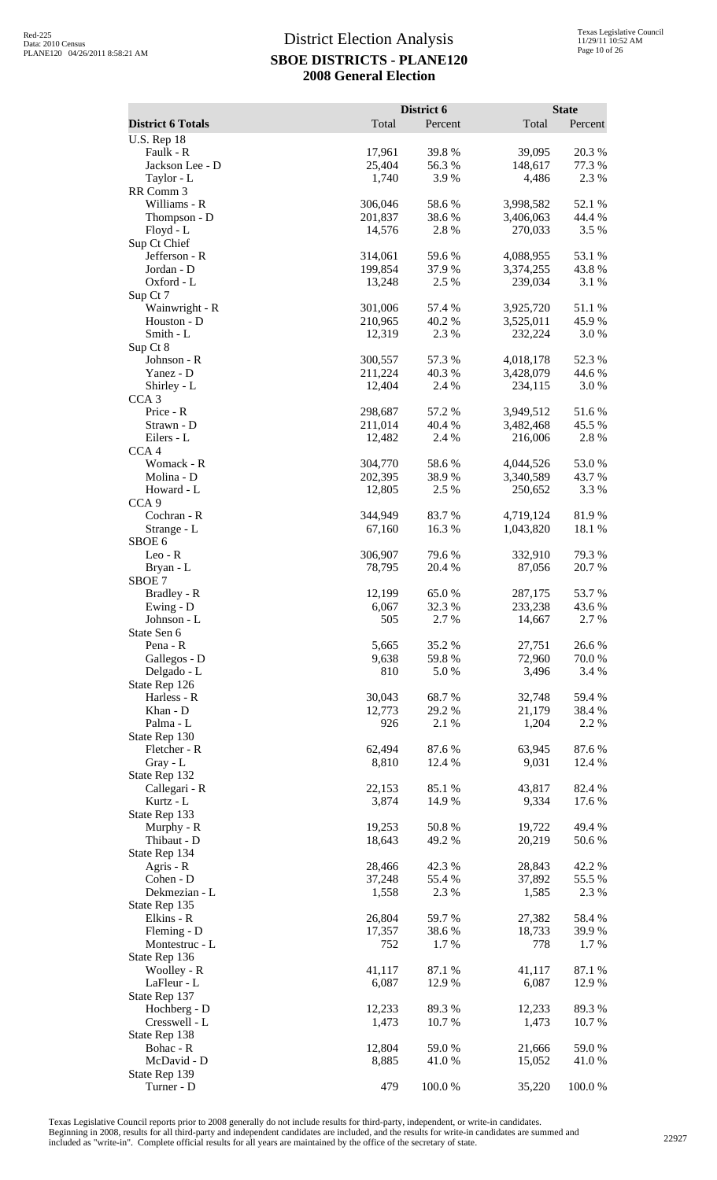|                                                |                    | District 6      |                        | <b>State</b>     |
|------------------------------------------------|--------------------|-----------------|------------------------|------------------|
| <b>District 6 Totals</b><br><b>U.S. Rep 18</b> | Total              | Percent         | Total                  | Percent          |
| Faulk - R                                      | 17,961             | 39.8%           | 39,095                 | 20.3 %           |
| Jackson Lee - D                                | 25,404             | 56.3%           | 148,617                | 77.3 %           |
| Taylor - L                                     | 1,740              | 3.9%            | 4,486                  | 2.3 %            |
| RR Comm 3<br>Williams - R                      | 306,046            | 58.6%           | 3,998,582              | 52.1 %           |
| Thompson - D                                   | 201,837            | 38.6%           | 3,406,063              | 44.4 %           |
| Floyd - L                                      | 14,576             | 2.8 %           | 270,033                | 3.5 %            |
| Sup Ct Chief                                   |                    |                 |                        |                  |
| Jefferson - R                                  | 314,061            | 59.6%           | 4,088,955              | 53.1 %           |
| Jordan - D<br>Oxford - L                       | 199,854<br>13,248  | 37.9%<br>2.5 %  | 3,374,255<br>239,034   | 43.8%<br>3.1 %   |
| Sup Ct 7                                       |                    |                 |                        |                  |
| Wainwright - R                                 | 301,006            | 57.4 %          | 3,925,720              | 51.1%            |
| Houston - D                                    | 210,965            | 40.2%           | 3,525,011              | 45.9%            |
| Smith - L<br>Sup Ct 8                          | 12,319             | 2.3 %           | 232,224                | 3.0%             |
| Johnson - R                                    | 300,557            | 57.3 %          | 4,018,178              | 52.3 %           |
| Yanez - D                                      | 211,224            | 40.3 %          | 3,428,079              | 44.6 %           |
| Shirley - L                                    | 12,404             | 2.4 %           | 234,115                | 3.0%             |
| CCA <sub>3</sub>                               |                    | 57.2 %          |                        |                  |
| Price - R<br>Strawn - D                        | 298,687<br>211,014 | 40.4 %          | 3,949,512<br>3,482,468 | 51.6%<br>45.5 %  |
| Eilers - L                                     | 12,482             | 2.4 %           | 216,006                | 2.8%             |
| CCA <sub>4</sub>                               |                    |                 |                        |                  |
| Womack - R                                     | 304,770            | 58.6%           | 4,044,526              | 53.0%            |
| Molina - D<br>Howard - L                       | 202,395<br>12,805  | 38.9%<br>2.5 %  | 3,340,589<br>250,652   | 43.7 %<br>3.3 %  |
| CCA <sub>9</sub>                               |                    |                 |                        |                  |
| Cochran - R                                    | 344,949            | 83.7%           | 4,719,124              | 81.9%            |
| Strange - L                                    | 67,160             | 16.3%           | 1,043,820              | 18.1 %           |
| SBOE <sub>6</sub>                              |                    |                 |                        |                  |
| $Leo - R$<br>Bryan - L                         | 306,907<br>78,795  | 79.6%<br>20.4 % | 332,910<br>87,056      | 79.3 %<br>20.7 % |
| SBOE 7                                         |                    |                 |                        |                  |
| Bradley - R                                    | 12,199             | 65.0%           | 287,175                | 53.7 %           |
| Ewing - D                                      | 6,067              | 32.3 %          | 233,238                | 43.6 %           |
| Johnson - L<br>State Sen 6                     | 505                | 2.7 %           | 14,667                 | 2.7 %            |
| Pena - R                                       | 5,665              | 35.2%           | 27,751                 | 26.6 %           |
| Gallegos - D                                   | 9,638              | 59.8%           | 72,960                 | 70.0 %           |
| Delgado - L                                    | 810                | 5.0 %           | 3,496                  | 3.4 %            |
| State Rep 126<br>Harless - R                   |                    | 68.7%           | 32,748                 |                  |
| Khan - D                                       | 30,043<br>12,773   | 29.2 %          | 21,179                 | 59.4 %<br>38.4 % |
| Palma - L                                      | 926                | 2.1 %           | 1,204                  | 2.2 %            |
| State Rep 130                                  |                    |                 |                        |                  |
| Fletcher - R                                   | 62,494             | 87.6%           | 63,945                 | 87.6%            |
| Gray - L<br>State Rep 132                      | 8,810              | 12.4 %          | 9,031                  | 12.4 %           |
| Callegari - R                                  | 22,153             | 85.1 %          | 43,817                 | 82.4 %           |
| Kurtz - L                                      | 3,874              | 14.9 %          | 9,334                  | 17.6 %           |
| State Rep 133                                  |                    |                 |                        |                  |
| Murphy - R<br>Thibaut - D                      | 19,253<br>18,643   | 50.8%           | 19,722                 | 49.4 %           |
| State Rep 134                                  |                    | 49.2%           | 20,219                 | 50.6 %           |
| Agris - R                                      | 28,466             | 42.3 %          | 28,843                 | 42.2 %           |
| Cohen - D                                      | 37,248             | 55.4 %          | 37,892                 | 55.5 %           |
| Dekmezian - L                                  | 1,558              | 2.3 %           | 1,585                  | 2.3 %            |
| State Rep 135<br>Elkins - R                    | 26,804             | 59.7%           | 27,382                 | 58.4%            |
| Fleming - D                                    | 17,357             | 38.6%           | 18,733                 | 39.9%            |
| Montestruc - L                                 | 752                | 1.7%            | 778                    | 1.7%             |
| State Rep 136                                  |                    |                 |                        |                  |
| Woolley - R                                    | 41,117             | 87.1 %          | 41,117                 | 87.1 %           |
| LaFleur - L<br>State Rep 137                   | 6,087              | 12.9 %          | 6,087                  | 12.9 %           |
| Hochberg - D                                   | 12,233             | 89.3%           | 12,233                 | 89.3%            |
| Cresswell - L                                  | 1,473              | 10.7 %          | 1,473                  | 10.7 %           |
| State Rep 138                                  |                    |                 |                        |                  |
| Bohac - R<br>McDavid - D                       | 12,804<br>8,885    | 59.0%<br>41.0%  | 21,666<br>15,052       | 59.0%<br>41.0%   |
| State Rep 139                                  |                    |                 |                        |                  |
| Turner - D                                     | 479                | 100.0%          | 35,220                 | 100.0%           |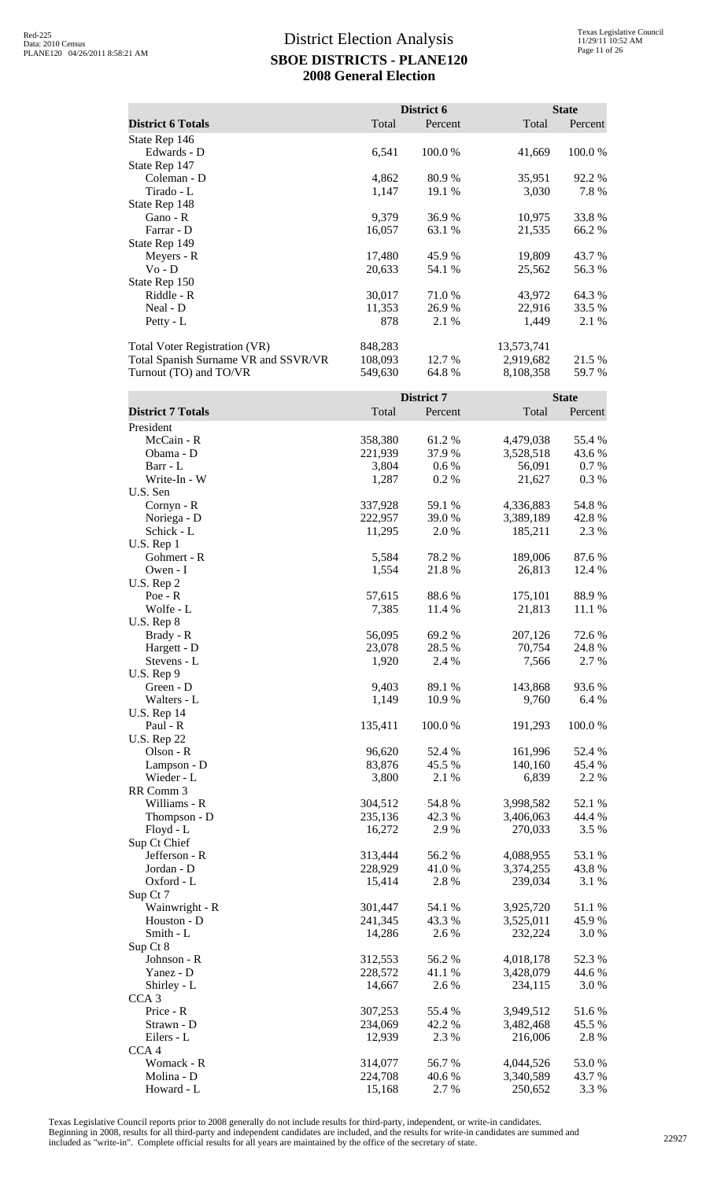|                                      |         | District 6 |            | <b>State</b> |
|--------------------------------------|---------|------------|------------|--------------|
| <b>District 6 Totals</b>             | Total   | Percent    | Total      | Percent      |
| State Rep 146                        |         |            |            |              |
| Edwards - D                          | 6,541   | 100.0 %    | 41,669     | 100.0 %      |
| State Rep 147                        |         |            |            |              |
| Coleman - D                          | 4,862   | 80.9 %     | 35,951     | 92.2 %       |
| Tirado - L                           | 1,147   | 19.1 %     | 3,030      | 7.8%         |
| State Rep 148                        |         |            |            |              |
| Gano - R                             | 9,379   | 36.9%      | 10,975     | 33.8%        |
| Farrar - D                           | 16,057  | 63.1 %     | 21,535     | 66.2 %       |
| State Rep 149                        |         |            |            |              |
| Meyers - R                           | 17,480  | 45.9 %     | 19,809     | 43.7 %       |
| $Vo - D$                             | 20,633  | 54.1 %     | 25,562     | 56.3 %       |
| State Rep 150                        |         |            |            |              |
| Riddle - R                           | 30,017  | 71.0 %     | 43,972     | 64.3 %       |
| Neal - D                             | 11,353  | 26.9 %     | 22,916     | 33.5 %       |
| Petty - $L$                          | 878     | 2.1 %      | 1,449      | 2.1 %        |
| <b>Total Voter Registration (VR)</b> | 848,283 |            | 13,573,741 |              |
| Total Spanish Surname VR and SSVR/VR | 108,093 | 12.7 %     | 2,919,682  | 21.5 %       |
| Turnout (TO) and TO/VR               | 549,630 | 64.8%      | 8,108,358  | 59.7 %       |

| Total<br>Total<br><b>District 7 Totals</b><br>Percent<br>Percent<br>President<br>McCain - R<br>358,380<br>4,479,038<br>55.4 %<br>61.2 %<br>Obama - D<br>221,939<br>37.9 %<br>3,528,518<br>43.6 %<br>Barr - L<br>3,804<br>0.6 %<br>56,091<br>0.7 %<br>Write-In - W<br>1,287<br>0.2%<br>0.3%<br>21,627<br>U.S. Sen<br>59.1 %<br>54.8 %<br>337,928<br>4,336,883<br>Cornyn - R<br>222,957<br>39.0%<br>Noriega - D<br>3,389,189<br>42.8%<br>11,295<br>2.3 %<br>Schick - L<br>2.0 %<br>185,211<br>U.S. Rep 1<br>5,584<br>Gohmert - R<br>78.2 %<br>189,006<br>87.6 %<br>1,554<br>12.4 %<br>Owen - I<br>21.8%<br>26,813<br>U.S. Rep 2<br>57,615<br>88.6%<br>88.9%<br>$Poe - R$<br>175,101<br>Wolfe - L<br>7,385<br>11.4 %<br>21,813<br>11.1 %<br>U.S. Rep 8<br>56,095<br>69.2%<br>72.6 %<br>207,126<br>Brady - R<br>23,078<br>28.5 %<br>70,754<br>24.8 %<br>Hargett - D<br>1,920<br>7,566<br>Stevens - L<br>2.4 %<br>2.7 %<br>$U.S.$ Rep $9$<br>Green - D<br>89.1 %<br>93.6%<br>9,403<br>143,868<br>Walters - L<br>1,149<br>10.9 %<br>9,760<br>6.4 %<br><b>U.S. Rep 14</b><br>100.0%<br>Paul - R<br>135,411<br>100.0%<br>191,293<br><b>U.S. Rep 22</b><br>Olson - R<br>96,620<br>161,996<br>52.4 %<br>52.4 %<br>83,876<br>45.5 %<br>140,160<br>Lampson - D<br>45.4 %<br>Wieder - L<br>3,800<br>2.1 %<br>6,839<br>2.2 %<br>RR Comm 3<br>Williams - R<br>304,512<br>54.8%<br>3,998,582<br>52.1 %<br>42.3 %<br>44.4 %<br>Thompson - D<br>235,136<br>3,406,063<br>16,272<br>2.9%<br>3.5 %<br>Floyd - L<br>270,033<br>Sup Ct Chief<br>Jefferson - R<br>56.2%<br>53.1 %<br>313,444<br>4,088,955<br>228,929<br>41.0%<br>Jordan - D<br>3,374,255<br>43.8%<br>Oxford - L<br>15,414<br>2.8 %<br>239,034<br>3.1 %<br>Sup Ct 7<br>51.1%<br>Wainwright - R<br>301,447<br>54.1 %<br>3,925,720<br>Houston - D<br>241,345<br>43.3 %<br>3,525,011<br>45.9 %<br>Smith - L<br>14,286<br>2.6%<br>232,224<br>3.0%<br>Sup Ct 8<br>Johnson - R<br>312,553<br>56.2%<br>4,018,178<br>52.3 %<br>Yanez - D<br>228,572<br>44.6 %<br>41.1%<br>3,428,079<br>Shirley - L<br>14,667<br>234,115<br>2.6 %<br>3.0%<br>CCA <sub>3</sub><br>307,253<br>55.4 %<br>3,949,512<br>51.6%<br>Price - R<br>234,069<br>45.5 %<br>Strawn - D<br>42.2 %<br>3,482,468<br>12,939<br>2.3 %<br>Eilers - L<br>216,006<br>2.8%<br>CCA <sub>4</sub><br>Womack - R<br>314,077<br>4,044,526<br>53.0%<br>56.7%<br>Molina - D<br>224,708<br>40.6%<br>3,340,589<br>43.7 %<br>Howard - L<br>15,168<br>3.3 %<br>2.7 %<br>250,652 |  | District 7 | <b>State</b> |
|-------------------------------------------------------------------------------------------------------------------------------------------------------------------------------------------------------------------------------------------------------------------------------------------------------------------------------------------------------------------------------------------------------------------------------------------------------------------------------------------------------------------------------------------------------------------------------------------------------------------------------------------------------------------------------------------------------------------------------------------------------------------------------------------------------------------------------------------------------------------------------------------------------------------------------------------------------------------------------------------------------------------------------------------------------------------------------------------------------------------------------------------------------------------------------------------------------------------------------------------------------------------------------------------------------------------------------------------------------------------------------------------------------------------------------------------------------------------------------------------------------------------------------------------------------------------------------------------------------------------------------------------------------------------------------------------------------------------------------------------------------------------------------------------------------------------------------------------------------------------------------------------------------------------------------------------------------------------------------------------------------------------------------------------------------------------------------------------------------------------------------------------------------------------------------------------------------------------------------------------------------------------------------------------------------------------------------------------------------------------------------------------------------------------------------------------------------------|--|------------|--------------|
|                                                                                                                                                                                                                                                                                                                                                                                                                                                                                                                                                                                                                                                                                                                                                                                                                                                                                                                                                                                                                                                                                                                                                                                                                                                                                                                                                                                                                                                                                                                                                                                                                                                                                                                                                                                                                                                                                                                                                                                                                                                                                                                                                                                                                                                                                                                                                                                                                                                             |  |            |              |
|                                                                                                                                                                                                                                                                                                                                                                                                                                                                                                                                                                                                                                                                                                                                                                                                                                                                                                                                                                                                                                                                                                                                                                                                                                                                                                                                                                                                                                                                                                                                                                                                                                                                                                                                                                                                                                                                                                                                                                                                                                                                                                                                                                                                                                                                                                                                                                                                                                                             |  |            |              |
|                                                                                                                                                                                                                                                                                                                                                                                                                                                                                                                                                                                                                                                                                                                                                                                                                                                                                                                                                                                                                                                                                                                                                                                                                                                                                                                                                                                                                                                                                                                                                                                                                                                                                                                                                                                                                                                                                                                                                                                                                                                                                                                                                                                                                                                                                                                                                                                                                                                             |  |            |              |
|                                                                                                                                                                                                                                                                                                                                                                                                                                                                                                                                                                                                                                                                                                                                                                                                                                                                                                                                                                                                                                                                                                                                                                                                                                                                                                                                                                                                                                                                                                                                                                                                                                                                                                                                                                                                                                                                                                                                                                                                                                                                                                                                                                                                                                                                                                                                                                                                                                                             |  |            |              |
|                                                                                                                                                                                                                                                                                                                                                                                                                                                                                                                                                                                                                                                                                                                                                                                                                                                                                                                                                                                                                                                                                                                                                                                                                                                                                                                                                                                                                                                                                                                                                                                                                                                                                                                                                                                                                                                                                                                                                                                                                                                                                                                                                                                                                                                                                                                                                                                                                                                             |  |            |              |
|                                                                                                                                                                                                                                                                                                                                                                                                                                                                                                                                                                                                                                                                                                                                                                                                                                                                                                                                                                                                                                                                                                                                                                                                                                                                                                                                                                                                                                                                                                                                                                                                                                                                                                                                                                                                                                                                                                                                                                                                                                                                                                                                                                                                                                                                                                                                                                                                                                                             |  |            |              |
|                                                                                                                                                                                                                                                                                                                                                                                                                                                                                                                                                                                                                                                                                                                                                                                                                                                                                                                                                                                                                                                                                                                                                                                                                                                                                                                                                                                                                                                                                                                                                                                                                                                                                                                                                                                                                                                                                                                                                                                                                                                                                                                                                                                                                                                                                                                                                                                                                                                             |  |            |              |
|                                                                                                                                                                                                                                                                                                                                                                                                                                                                                                                                                                                                                                                                                                                                                                                                                                                                                                                                                                                                                                                                                                                                                                                                                                                                                                                                                                                                                                                                                                                                                                                                                                                                                                                                                                                                                                                                                                                                                                                                                                                                                                                                                                                                                                                                                                                                                                                                                                                             |  |            |              |
|                                                                                                                                                                                                                                                                                                                                                                                                                                                                                                                                                                                                                                                                                                                                                                                                                                                                                                                                                                                                                                                                                                                                                                                                                                                                                                                                                                                                                                                                                                                                                                                                                                                                                                                                                                                                                                                                                                                                                                                                                                                                                                                                                                                                                                                                                                                                                                                                                                                             |  |            |              |
|                                                                                                                                                                                                                                                                                                                                                                                                                                                                                                                                                                                                                                                                                                                                                                                                                                                                                                                                                                                                                                                                                                                                                                                                                                                                                                                                                                                                                                                                                                                                                                                                                                                                                                                                                                                                                                                                                                                                                                                                                                                                                                                                                                                                                                                                                                                                                                                                                                                             |  |            |              |
|                                                                                                                                                                                                                                                                                                                                                                                                                                                                                                                                                                                                                                                                                                                                                                                                                                                                                                                                                                                                                                                                                                                                                                                                                                                                                                                                                                                                                                                                                                                                                                                                                                                                                                                                                                                                                                                                                                                                                                                                                                                                                                                                                                                                                                                                                                                                                                                                                                                             |  |            |              |
|                                                                                                                                                                                                                                                                                                                                                                                                                                                                                                                                                                                                                                                                                                                                                                                                                                                                                                                                                                                                                                                                                                                                                                                                                                                                                                                                                                                                                                                                                                                                                                                                                                                                                                                                                                                                                                                                                                                                                                                                                                                                                                                                                                                                                                                                                                                                                                                                                                                             |  |            |              |
|                                                                                                                                                                                                                                                                                                                                                                                                                                                                                                                                                                                                                                                                                                                                                                                                                                                                                                                                                                                                                                                                                                                                                                                                                                                                                                                                                                                                                                                                                                                                                                                                                                                                                                                                                                                                                                                                                                                                                                                                                                                                                                                                                                                                                                                                                                                                                                                                                                                             |  |            |              |
|                                                                                                                                                                                                                                                                                                                                                                                                                                                                                                                                                                                                                                                                                                                                                                                                                                                                                                                                                                                                                                                                                                                                                                                                                                                                                                                                                                                                                                                                                                                                                                                                                                                                                                                                                                                                                                                                                                                                                                                                                                                                                                                                                                                                                                                                                                                                                                                                                                                             |  |            |              |
|                                                                                                                                                                                                                                                                                                                                                                                                                                                                                                                                                                                                                                                                                                                                                                                                                                                                                                                                                                                                                                                                                                                                                                                                                                                                                                                                                                                                                                                                                                                                                                                                                                                                                                                                                                                                                                                                                                                                                                                                                                                                                                                                                                                                                                                                                                                                                                                                                                                             |  |            |              |
|                                                                                                                                                                                                                                                                                                                                                                                                                                                                                                                                                                                                                                                                                                                                                                                                                                                                                                                                                                                                                                                                                                                                                                                                                                                                                                                                                                                                                                                                                                                                                                                                                                                                                                                                                                                                                                                                                                                                                                                                                                                                                                                                                                                                                                                                                                                                                                                                                                                             |  |            |              |
|                                                                                                                                                                                                                                                                                                                                                                                                                                                                                                                                                                                                                                                                                                                                                                                                                                                                                                                                                                                                                                                                                                                                                                                                                                                                                                                                                                                                                                                                                                                                                                                                                                                                                                                                                                                                                                                                                                                                                                                                                                                                                                                                                                                                                                                                                                                                                                                                                                                             |  |            |              |
|                                                                                                                                                                                                                                                                                                                                                                                                                                                                                                                                                                                                                                                                                                                                                                                                                                                                                                                                                                                                                                                                                                                                                                                                                                                                                                                                                                                                                                                                                                                                                                                                                                                                                                                                                                                                                                                                                                                                                                                                                                                                                                                                                                                                                                                                                                                                                                                                                                                             |  |            |              |
|                                                                                                                                                                                                                                                                                                                                                                                                                                                                                                                                                                                                                                                                                                                                                                                                                                                                                                                                                                                                                                                                                                                                                                                                                                                                                                                                                                                                                                                                                                                                                                                                                                                                                                                                                                                                                                                                                                                                                                                                                                                                                                                                                                                                                                                                                                                                                                                                                                                             |  |            |              |
|                                                                                                                                                                                                                                                                                                                                                                                                                                                                                                                                                                                                                                                                                                                                                                                                                                                                                                                                                                                                                                                                                                                                                                                                                                                                                                                                                                                                                                                                                                                                                                                                                                                                                                                                                                                                                                                                                                                                                                                                                                                                                                                                                                                                                                                                                                                                                                                                                                                             |  |            |              |
|                                                                                                                                                                                                                                                                                                                                                                                                                                                                                                                                                                                                                                                                                                                                                                                                                                                                                                                                                                                                                                                                                                                                                                                                                                                                                                                                                                                                                                                                                                                                                                                                                                                                                                                                                                                                                                                                                                                                                                                                                                                                                                                                                                                                                                                                                                                                                                                                                                                             |  |            |              |
|                                                                                                                                                                                                                                                                                                                                                                                                                                                                                                                                                                                                                                                                                                                                                                                                                                                                                                                                                                                                                                                                                                                                                                                                                                                                                                                                                                                                                                                                                                                                                                                                                                                                                                                                                                                                                                                                                                                                                                                                                                                                                                                                                                                                                                                                                                                                                                                                                                                             |  |            |              |
|                                                                                                                                                                                                                                                                                                                                                                                                                                                                                                                                                                                                                                                                                                                                                                                                                                                                                                                                                                                                                                                                                                                                                                                                                                                                                                                                                                                                                                                                                                                                                                                                                                                                                                                                                                                                                                                                                                                                                                                                                                                                                                                                                                                                                                                                                                                                                                                                                                                             |  |            |              |
|                                                                                                                                                                                                                                                                                                                                                                                                                                                                                                                                                                                                                                                                                                                                                                                                                                                                                                                                                                                                                                                                                                                                                                                                                                                                                                                                                                                                                                                                                                                                                                                                                                                                                                                                                                                                                                                                                                                                                                                                                                                                                                                                                                                                                                                                                                                                                                                                                                                             |  |            |              |
|                                                                                                                                                                                                                                                                                                                                                                                                                                                                                                                                                                                                                                                                                                                                                                                                                                                                                                                                                                                                                                                                                                                                                                                                                                                                                                                                                                                                                                                                                                                                                                                                                                                                                                                                                                                                                                                                                                                                                                                                                                                                                                                                                                                                                                                                                                                                                                                                                                                             |  |            |              |
|                                                                                                                                                                                                                                                                                                                                                                                                                                                                                                                                                                                                                                                                                                                                                                                                                                                                                                                                                                                                                                                                                                                                                                                                                                                                                                                                                                                                                                                                                                                                                                                                                                                                                                                                                                                                                                                                                                                                                                                                                                                                                                                                                                                                                                                                                                                                                                                                                                                             |  |            |              |
|                                                                                                                                                                                                                                                                                                                                                                                                                                                                                                                                                                                                                                                                                                                                                                                                                                                                                                                                                                                                                                                                                                                                                                                                                                                                                                                                                                                                                                                                                                                                                                                                                                                                                                                                                                                                                                                                                                                                                                                                                                                                                                                                                                                                                                                                                                                                                                                                                                                             |  |            |              |
|                                                                                                                                                                                                                                                                                                                                                                                                                                                                                                                                                                                                                                                                                                                                                                                                                                                                                                                                                                                                                                                                                                                                                                                                                                                                                                                                                                                                                                                                                                                                                                                                                                                                                                                                                                                                                                                                                                                                                                                                                                                                                                                                                                                                                                                                                                                                                                                                                                                             |  |            |              |
|                                                                                                                                                                                                                                                                                                                                                                                                                                                                                                                                                                                                                                                                                                                                                                                                                                                                                                                                                                                                                                                                                                                                                                                                                                                                                                                                                                                                                                                                                                                                                                                                                                                                                                                                                                                                                                                                                                                                                                                                                                                                                                                                                                                                                                                                                                                                                                                                                                                             |  |            |              |
|                                                                                                                                                                                                                                                                                                                                                                                                                                                                                                                                                                                                                                                                                                                                                                                                                                                                                                                                                                                                                                                                                                                                                                                                                                                                                                                                                                                                                                                                                                                                                                                                                                                                                                                                                                                                                                                                                                                                                                                                                                                                                                                                                                                                                                                                                                                                                                                                                                                             |  |            |              |
|                                                                                                                                                                                                                                                                                                                                                                                                                                                                                                                                                                                                                                                                                                                                                                                                                                                                                                                                                                                                                                                                                                                                                                                                                                                                                                                                                                                                                                                                                                                                                                                                                                                                                                                                                                                                                                                                                                                                                                                                                                                                                                                                                                                                                                                                                                                                                                                                                                                             |  |            |              |
|                                                                                                                                                                                                                                                                                                                                                                                                                                                                                                                                                                                                                                                                                                                                                                                                                                                                                                                                                                                                                                                                                                                                                                                                                                                                                                                                                                                                                                                                                                                                                                                                                                                                                                                                                                                                                                                                                                                                                                                                                                                                                                                                                                                                                                                                                                                                                                                                                                                             |  |            |              |
|                                                                                                                                                                                                                                                                                                                                                                                                                                                                                                                                                                                                                                                                                                                                                                                                                                                                                                                                                                                                                                                                                                                                                                                                                                                                                                                                                                                                                                                                                                                                                                                                                                                                                                                                                                                                                                                                                                                                                                                                                                                                                                                                                                                                                                                                                                                                                                                                                                                             |  |            |              |
|                                                                                                                                                                                                                                                                                                                                                                                                                                                                                                                                                                                                                                                                                                                                                                                                                                                                                                                                                                                                                                                                                                                                                                                                                                                                                                                                                                                                                                                                                                                                                                                                                                                                                                                                                                                                                                                                                                                                                                                                                                                                                                                                                                                                                                                                                                                                                                                                                                                             |  |            |              |
|                                                                                                                                                                                                                                                                                                                                                                                                                                                                                                                                                                                                                                                                                                                                                                                                                                                                                                                                                                                                                                                                                                                                                                                                                                                                                                                                                                                                                                                                                                                                                                                                                                                                                                                                                                                                                                                                                                                                                                                                                                                                                                                                                                                                                                                                                                                                                                                                                                                             |  |            |              |
|                                                                                                                                                                                                                                                                                                                                                                                                                                                                                                                                                                                                                                                                                                                                                                                                                                                                                                                                                                                                                                                                                                                                                                                                                                                                                                                                                                                                                                                                                                                                                                                                                                                                                                                                                                                                                                                                                                                                                                                                                                                                                                                                                                                                                                                                                                                                                                                                                                                             |  |            |              |
|                                                                                                                                                                                                                                                                                                                                                                                                                                                                                                                                                                                                                                                                                                                                                                                                                                                                                                                                                                                                                                                                                                                                                                                                                                                                                                                                                                                                                                                                                                                                                                                                                                                                                                                                                                                                                                                                                                                                                                                                                                                                                                                                                                                                                                                                                                                                                                                                                                                             |  |            |              |
|                                                                                                                                                                                                                                                                                                                                                                                                                                                                                                                                                                                                                                                                                                                                                                                                                                                                                                                                                                                                                                                                                                                                                                                                                                                                                                                                                                                                                                                                                                                                                                                                                                                                                                                                                                                                                                                                                                                                                                                                                                                                                                                                                                                                                                                                                                                                                                                                                                                             |  |            |              |
|                                                                                                                                                                                                                                                                                                                                                                                                                                                                                                                                                                                                                                                                                                                                                                                                                                                                                                                                                                                                                                                                                                                                                                                                                                                                                                                                                                                                                                                                                                                                                                                                                                                                                                                                                                                                                                                                                                                                                                                                                                                                                                                                                                                                                                                                                                                                                                                                                                                             |  |            |              |
|                                                                                                                                                                                                                                                                                                                                                                                                                                                                                                                                                                                                                                                                                                                                                                                                                                                                                                                                                                                                                                                                                                                                                                                                                                                                                                                                                                                                                                                                                                                                                                                                                                                                                                                                                                                                                                                                                                                                                                                                                                                                                                                                                                                                                                                                                                                                                                                                                                                             |  |            |              |
|                                                                                                                                                                                                                                                                                                                                                                                                                                                                                                                                                                                                                                                                                                                                                                                                                                                                                                                                                                                                                                                                                                                                                                                                                                                                                                                                                                                                                                                                                                                                                                                                                                                                                                                                                                                                                                                                                                                                                                                                                                                                                                                                                                                                                                                                                                                                                                                                                                                             |  |            |              |
|                                                                                                                                                                                                                                                                                                                                                                                                                                                                                                                                                                                                                                                                                                                                                                                                                                                                                                                                                                                                                                                                                                                                                                                                                                                                                                                                                                                                                                                                                                                                                                                                                                                                                                                                                                                                                                                                                                                                                                                                                                                                                                                                                                                                                                                                                                                                                                                                                                                             |  |            |              |
|                                                                                                                                                                                                                                                                                                                                                                                                                                                                                                                                                                                                                                                                                                                                                                                                                                                                                                                                                                                                                                                                                                                                                                                                                                                                                                                                                                                                                                                                                                                                                                                                                                                                                                                                                                                                                                                                                                                                                                                                                                                                                                                                                                                                                                                                                                                                                                                                                                                             |  |            |              |
|                                                                                                                                                                                                                                                                                                                                                                                                                                                                                                                                                                                                                                                                                                                                                                                                                                                                                                                                                                                                                                                                                                                                                                                                                                                                                                                                                                                                                                                                                                                                                                                                                                                                                                                                                                                                                                                                                                                                                                                                                                                                                                                                                                                                                                                                                                                                                                                                                                                             |  |            |              |
|                                                                                                                                                                                                                                                                                                                                                                                                                                                                                                                                                                                                                                                                                                                                                                                                                                                                                                                                                                                                                                                                                                                                                                                                                                                                                                                                                                                                                                                                                                                                                                                                                                                                                                                                                                                                                                                                                                                                                                                                                                                                                                                                                                                                                                                                                                                                                                                                                                                             |  |            |              |
|                                                                                                                                                                                                                                                                                                                                                                                                                                                                                                                                                                                                                                                                                                                                                                                                                                                                                                                                                                                                                                                                                                                                                                                                                                                                                                                                                                                                                                                                                                                                                                                                                                                                                                                                                                                                                                                                                                                                                                                                                                                                                                                                                                                                                                                                                                                                                                                                                                                             |  |            |              |
|                                                                                                                                                                                                                                                                                                                                                                                                                                                                                                                                                                                                                                                                                                                                                                                                                                                                                                                                                                                                                                                                                                                                                                                                                                                                                                                                                                                                                                                                                                                                                                                                                                                                                                                                                                                                                                                                                                                                                                                                                                                                                                                                                                                                                                                                                                                                                                                                                                                             |  |            |              |
|                                                                                                                                                                                                                                                                                                                                                                                                                                                                                                                                                                                                                                                                                                                                                                                                                                                                                                                                                                                                                                                                                                                                                                                                                                                                                                                                                                                                                                                                                                                                                                                                                                                                                                                                                                                                                                                                                                                                                                                                                                                                                                                                                                                                                                                                                                                                                                                                                                                             |  |            |              |
|                                                                                                                                                                                                                                                                                                                                                                                                                                                                                                                                                                                                                                                                                                                                                                                                                                                                                                                                                                                                                                                                                                                                                                                                                                                                                                                                                                                                                                                                                                                                                                                                                                                                                                                                                                                                                                                                                                                                                                                                                                                                                                                                                                                                                                                                                                                                                                                                                                                             |  |            |              |
|                                                                                                                                                                                                                                                                                                                                                                                                                                                                                                                                                                                                                                                                                                                                                                                                                                                                                                                                                                                                                                                                                                                                                                                                                                                                                                                                                                                                                                                                                                                                                                                                                                                                                                                                                                                                                                                                                                                                                                                                                                                                                                                                                                                                                                                                                                                                                                                                                                                             |  |            |              |
|                                                                                                                                                                                                                                                                                                                                                                                                                                                                                                                                                                                                                                                                                                                                                                                                                                                                                                                                                                                                                                                                                                                                                                                                                                                                                                                                                                                                                                                                                                                                                                                                                                                                                                                                                                                                                                                                                                                                                                                                                                                                                                                                                                                                                                                                                                                                                                                                                                                             |  |            |              |
|                                                                                                                                                                                                                                                                                                                                                                                                                                                                                                                                                                                                                                                                                                                                                                                                                                                                                                                                                                                                                                                                                                                                                                                                                                                                                                                                                                                                                                                                                                                                                                                                                                                                                                                                                                                                                                                                                                                                                                                                                                                                                                                                                                                                                                                                                                                                                                                                                                                             |  |            |              |
|                                                                                                                                                                                                                                                                                                                                                                                                                                                                                                                                                                                                                                                                                                                                                                                                                                                                                                                                                                                                                                                                                                                                                                                                                                                                                                                                                                                                                                                                                                                                                                                                                                                                                                                                                                                                                                                                                                                                                                                                                                                                                                                                                                                                                                                                                                                                                                                                                                                             |  |            |              |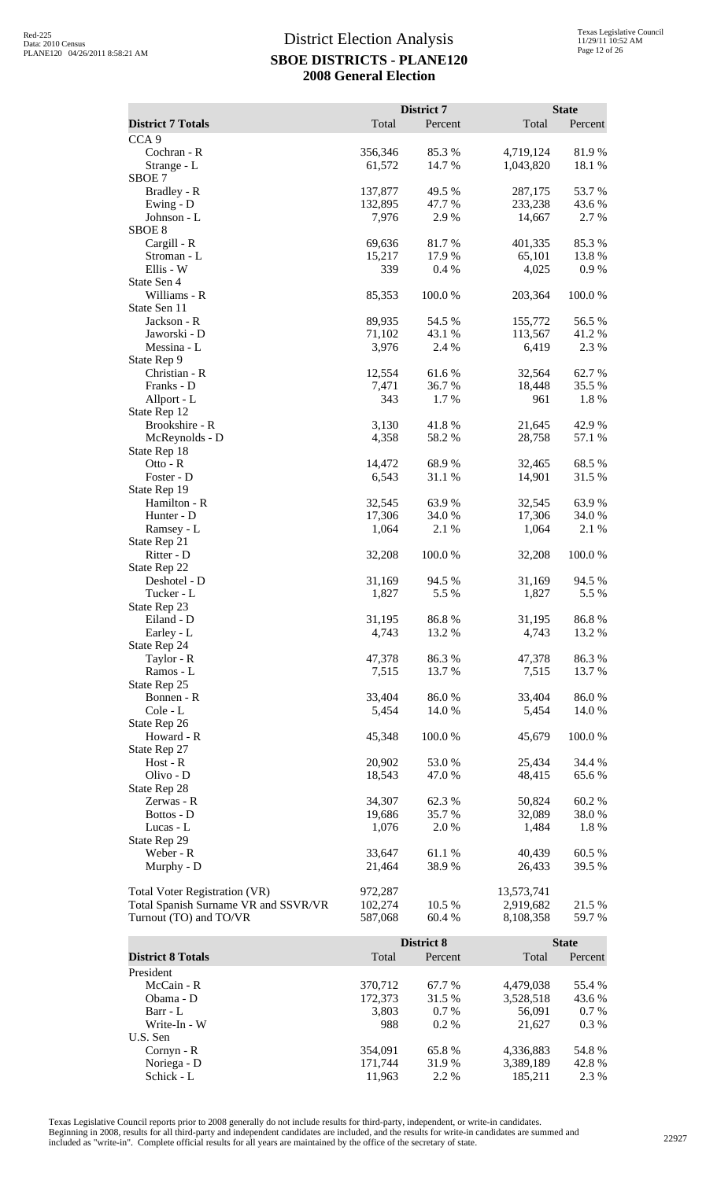| <b>District 7 Totals</b>             | Total            | District 7<br>Percent | Total            | <b>State</b><br>Percent |
|--------------------------------------|------------------|-----------------------|------------------|-------------------------|
| CCA <sub>9</sub>                     |                  |                       |                  |                         |
| Cochran - R                          | 356,346          | 85.3%                 | 4,719,124        | 81.9%                   |
| Strange - L                          | 61,572           | 14.7 %                | 1,043,820        | 18.1 %                  |
| SBOE <sub>7</sub>                    |                  |                       |                  |                         |
| Bradley - R                          | 137,877          | 49.5 %                | 287,175          | 53.7%                   |
| Ewing - D                            | 132,895          | 47.7 %                | 233,238          | 43.6%                   |
| Johnson - L<br>SBOE <sub>8</sub>     | 7,976            | 2.9 %                 | 14,667           | 2.7 %                   |
| Cargill - R                          | 69,636           | 81.7%                 | 401,335          | 85.3%                   |
| Stroman - L                          | 15,217           | 17.9%                 | 65,101           | 13.8%                   |
| Ellis - W                            | 339              | 0.4%                  | 4,025            | 0.9%                    |
| State Sen 4<br>Williams - R          |                  |                       |                  |                         |
| State Sen 11                         | 85,353           | 100.0%                | 203,364          | 100.0%                  |
| Jackson - R                          | 89,935           | 54.5 %                | 155,772          | 56.5 %                  |
| Jaworski - D                         | 71,102           | 43.1 %                | 113,567          | 41.2%                   |
| Messina - L                          | 3,976            | 2.4 %                 | 6,419            | 2.3 %                   |
| State Rep 9                          |                  |                       |                  |                         |
| Christian - R<br>Franks - D          | 12,554<br>7,471  | 61.6%<br>36.7 %       | 32,564<br>18,448 | 62.7%<br>35.5 %         |
| Allport - L                          | 343              | 1.7%                  | 961              | 1.8%                    |
| State Rep 12                         |                  |                       |                  |                         |
| Brookshire - R                       | 3,130            | 41.8%                 | 21,645           | 42.9%                   |
| McReynolds - D                       | 4,358            | 58.2 %                | 28,758           | 57.1 %                  |
| State Rep 18<br>$Ot$ to - $R$        | 14,472           | 68.9%                 | 32,465           | 68.5%                   |
| Foster - D                           | 6,543            | 31.1 %                | 14,901           | 31.5 %                  |
| State Rep 19                         |                  |                       |                  |                         |
| Hamilton - R                         | 32,545           | 63.9%                 | 32,545           | 63.9%                   |
| Hunter - D                           | 17,306           | 34.0 %                | 17,306           | 34.0 %                  |
| Ramsey - L                           | 1,064            | 2.1 %                 | 1,064            | 2.1 %                   |
| State Rep 21<br>Ritter - D           | 32,208           | 100.0%                | 32,208           | 100.0%                  |
| State Rep 22                         |                  |                       |                  |                         |
| Deshotel - D                         | 31,169           | 94.5 %                | 31,169           | 94.5 %                  |
| Tucker - L                           | 1,827            | 5.5 %                 | 1,827            | 5.5 %                   |
| State Rep 23                         |                  |                       | 31,195           |                         |
| Eiland - D<br>Earley - L             | 31,195<br>4,743  | 86.8 %<br>13.2 %      | 4,743            | 86.8 %<br>13.2 %        |
| State Rep 24                         |                  |                       |                  |                         |
| Taylor - R                           | 47,378           | 86.3%                 | 47,378           | 86.3%                   |
| Ramos - L                            | 7,515            | 13.7 %                | 7,515            | 13.7 %                  |
| State Rep 25                         |                  |                       |                  |                         |
| Bonnen - R<br>Cole - L               | 33,404<br>5,454  | 86.0%<br>14.0 %       | 33,404<br>5,454  | 86.0%<br>14.0 %         |
| State Rep 26                         |                  |                       |                  |                         |
| Howard - R                           | 45,348           | 100.0%                | 45,679           | 100.0%                  |
| State Rep 27                         |                  |                       |                  |                         |
| $Host - R$                           | 20,902           | 53.0 %                | 25,434           | 34.4 %                  |
| Olivo - D<br>State Rep 28            | 18,543           | 47.0 %                | 48,415           | 65.6 %                  |
| Zerwas - R                           | 34,307           | 62.3 %                | 50,824           | 60.2%                   |
| Bottos - D                           | 19,686           | 35.7%                 | 32,089           | $38.0\;\%$              |
| Lucas - L                            | 1,076            | 2.0 %                 | 1,484            | 1.8%                    |
| State Rep 29                         |                  |                       |                  |                         |
| Weber - R<br>Murphy - D              | 33,647<br>21,464 | 61.1 %<br>38.9 %      | 40,439<br>26,433 | 60.5 %<br>39.5 %        |
|                                      |                  |                       |                  |                         |
| <b>Total Voter Registration (VR)</b> | 972,287          |                       | 13,573,741       |                         |
| Total Spanish Surname VR and SSVR/VR | 102,274          | 10.5 %                | 2,919,682        | 21.5 %                  |
| Turnout (TO) and TO/VR               | 587,068          | 60.4 %                | 8,108,358        | 59.7%                   |
|                                      |                  | District 8            |                  | <b>State</b>            |
| <b>District 8 Totals</b>             | Total            | Percent               | Total            | Percent                 |
| President                            |                  |                       |                  |                         |
| McCain - R                           | 370,712          | 67.7 %                | 4,479,038        | 55.4 %                  |
| Obama - D                            | 172,373          | 31.5 %                | 3,528,518        | 43.6 %                  |
| Barr - L<br>Write-In - W             | 3,803<br>988     | 0.7 %<br>0.2 %        | 56,091<br>21,627 | 0.7 %<br>0.3%           |
| U.S. Sen                             |                  |                       |                  |                         |

Texas Legislative Council reports prior to 2008 generally do not include results for third-party, independent, or write-in candidates. Beginning in 2008, results for all third-party and independent candidates are included, and the results for write-in candidates are summed and<br>included as "write-in". Complete official results for all years are maintained

Noriega - D 171,744 31.9 % 3,389,189 42.8 %

Cornyn - R<br>
Noriega - D<br>
Schick - L<br>
354,091 65.8 % 4,336,883 54.8 %<br>
31.9 % 3,389,189 42.8 %<br>
31.9 % 3,389,189 42.8 %<br>
31.9 % 3,389,189 42.8 %

1,950,009<br>3,389,189<br>185,211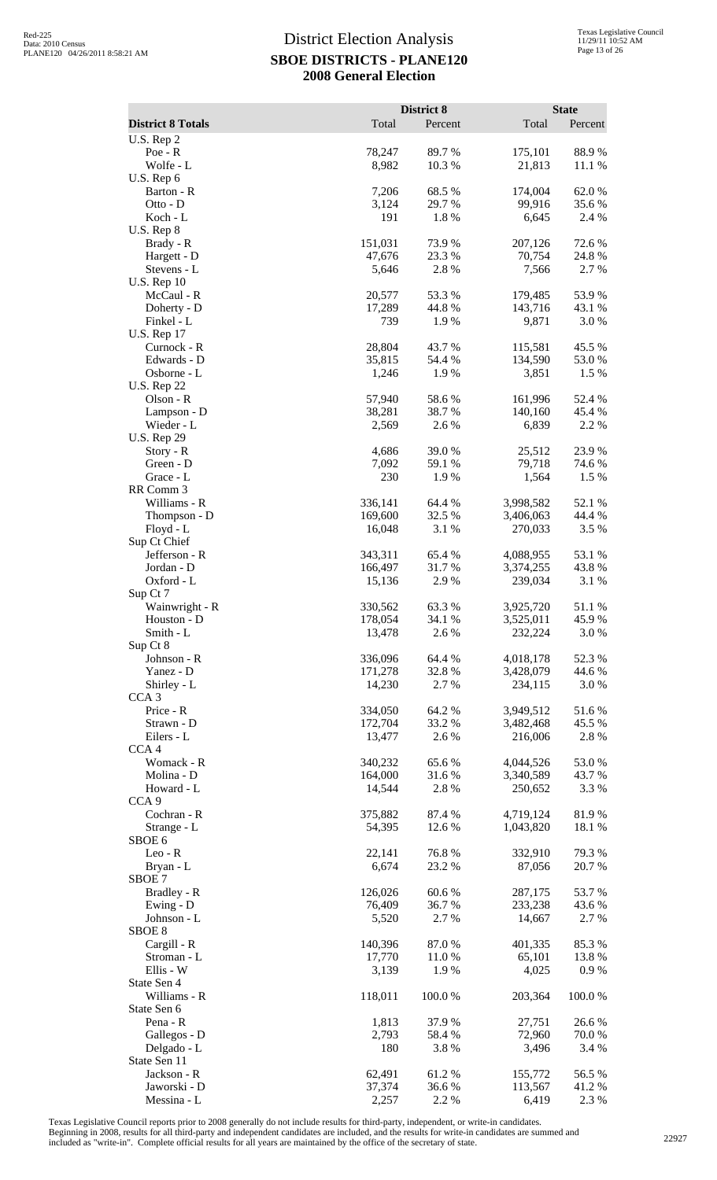|                                  |                    | District 8      |                        | <b>State</b>     |
|----------------------------------|--------------------|-----------------|------------------------|------------------|
| <b>District 8 Totals</b>         | Total              | Percent         | Total                  | Percent          |
| U.S. Rep 2<br>$Poe - R$          | 78,247             | 89.7 %          | 175,101                | 88.9%            |
| Wolfe - L                        | 8,982              | 10.3 %          | 21,813                 | 11.1 %           |
| U.S. Rep 6                       |                    |                 |                        |                  |
| Barton - R                       | 7,206              | 68.5 %          | 174,004                | 62.0%            |
| Otto - D                         | 3,124<br>191       | 29.7 %<br>1.8%  | 99,916                 | 35.6%<br>2.4 %   |
| Koch - L<br>$U.S.$ Rep $8$       |                    |                 | 6,645                  |                  |
| Brady - R                        | 151,031            | 73.9%           | 207,126                | 72.6 %           |
| Hargett - D                      | 47,676             | 23.3 %          | 70,754                 | 24.8%            |
| Stevens - L                      | 5,646              | 2.8 %           | 7,566                  | 2.7 %            |
| <b>U.S. Rep 10</b><br>McCaul - R | 20,577             | 53.3 %          | 179,485                | 53.9%            |
| Doherty - D                      | 17,289             | 44.8%           | 143,716                | 43.1 %           |
| Finkel - L                       | 739                | 1.9 %           | 9,871                  | 3.0 %            |
| <b>U.S. Rep 17</b>               | 28,804             | 43.7%           |                        |                  |
| Curnock - R<br>Edwards - D       | 35,815             | 54.4 %          | 115,581<br>134,590     | 45.5 %<br>53.0%  |
| Osborne - L                      | 1,246              | 1.9%            | 3,851                  | 1.5 %            |
| <b>U.S. Rep 22</b>               |                    |                 |                        |                  |
| Olson - R                        | 57,940             | 58.6%           | 161,996                | 52.4 %           |
| Lampson - D<br>Wieder - L        | 38,281<br>2,569    | 38.7 %<br>2.6%  | 140,160<br>6,839       | 45.4 %<br>2.2 %  |
| <b>U.S. Rep 29</b>               |                    |                 |                        |                  |
| $Story - R$                      | 4,686              | 39.0%           | 25,512                 | 23.9%            |
| Green - D                        | 7,092              | 59.1 %          | 79,718                 | 74.6 %           |
| Grace - L<br>RR Comm 3           | 230                | 1.9%            | 1,564                  | 1.5 %            |
| Williams - R                     | 336,141            | 64.4 %          | 3,998,582              | 52.1 %           |
| Thompson - D                     | 169,600            | 32.5 %          | 3,406,063              | 44.4 %           |
| Floyd - L                        | 16,048             | 3.1 %           | 270,033                | 3.5 %            |
| Sup Ct Chief<br>Jefferson - R    | 343,311            | 65.4%           | 4,088,955              | 53.1 %           |
| Jordan - D                       | 166,497            | 31.7%           | 3,374,255              | 43.8%            |
| Oxford - L                       | 15,136             | 2.9 %           | 239,034                | 3.1 %            |
| Sup Ct 7                         |                    |                 |                        |                  |
| Wainwright - R<br>Houston - D    | 330,562<br>178,054 | 63.3%<br>34.1 % | 3,925,720<br>3,525,011 | 51.1 %<br>45.9 % |
| Smith - L                        | 13,478             | 2.6 %           | 232,224                | 3.0%             |
| Sup Ct 8                         |                    |                 |                        |                  |
| Johnson - R                      | 336,096            | 64.4 %          | 4,018,178              | 52.3 %           |
| Yanez - D<br>Shirley - L         | 171,278<br>14,230  | 32.8%<br>2.7 %  | 3,428,079<br>234,115   | 44.6 %<br>3.0 %  |
| CCA <sub>3</sub>                 |                    |                 |                        |                  |
| Price - R                        | 334,050            | 64.2%           | 3,949,512              | 51.6%            |
| Strawn - D                       | 172,704            | 33.2 %          | 3,482,468              | 45.5 %           |
| Eilers - L<br>CCA <sub>4</sub>   | 13,477             | 2.6%            | 216,006                | 2.8 %            |
| Womack - R                       | 340,232            | 65.6%           | 4,044,526              | 53.0%            |
| Molina - D                       | 164,000            | 31.6%           | 3,340,589              | 43.7 %           |
| Howard - L                       | 14,544             | 2.8%            | 250,652                | 3.3 %            |
| CCA <sub>9</sub><br>Cochran - R  | 375,882            | 87.4 %          | 4,719,124              | 81.9%            |
| Strange - L                      | 54,395             | 12.6 %          | 1,043,820              | 18.1 %           |
| SBOE 6                           |                    |                 |                        |                  |
| Leo - R                          | 22,141             | 76.8%           | 332,910                | 79.3 %           |
| Bryan - L<br>SBOE <sub>7</sub>   | 6,674              | 23.2 %          | 87,056                 | 20.7 %           |
| Bradley - R                      | 126,026            | 60.6%           | 287,175                | 53.7%            |
| Ewing - D                        | 76,409             | 36.7%           | 233,238                | 43.6 %           |
| Johnson - L                      | 5,520              | 2.7 %           | 14,667                 | 2.7 %            |
| SBOE <sub>8</sub><br>Cargill - R | 140,396            | 87.0%           | 401,335                | 85.3 %           |
| Stroman - L                      | 17,770             | 11.0 %          | 65,101                 | 13.8%            |
| Ellis - W                        | 3,139              | 1.9 %           | 4,025                  | 0.9 %            |
| State Sen 4                      |                    |                 |                        |                  |
| Williams - R<br>State Sen 6      | 118,011            | 100.0%          | 203,364                | 100.0%           |
| Pena - R                         | 1,813              | 37.9%           | 27,751                 | 26.6%            |
| Gallegos - D                     | 2,793              | 58.4%           | 72,960                 | 70.0%            |
| Delgado - L                      | 180                | 3.8%            | 3,496                  | 3.4 %            |
| State Sen 11<br>Jackson - R      | 62,491             | 61.2%           | 155,772                | 56.5 %           |
| Jaworski - D                     | 37,374             | 36.6%           | 113,567                | 41.2%            |
| Messina - L                      | 2,257              | 2.2 %           | 6,419                  | 2.3 %            |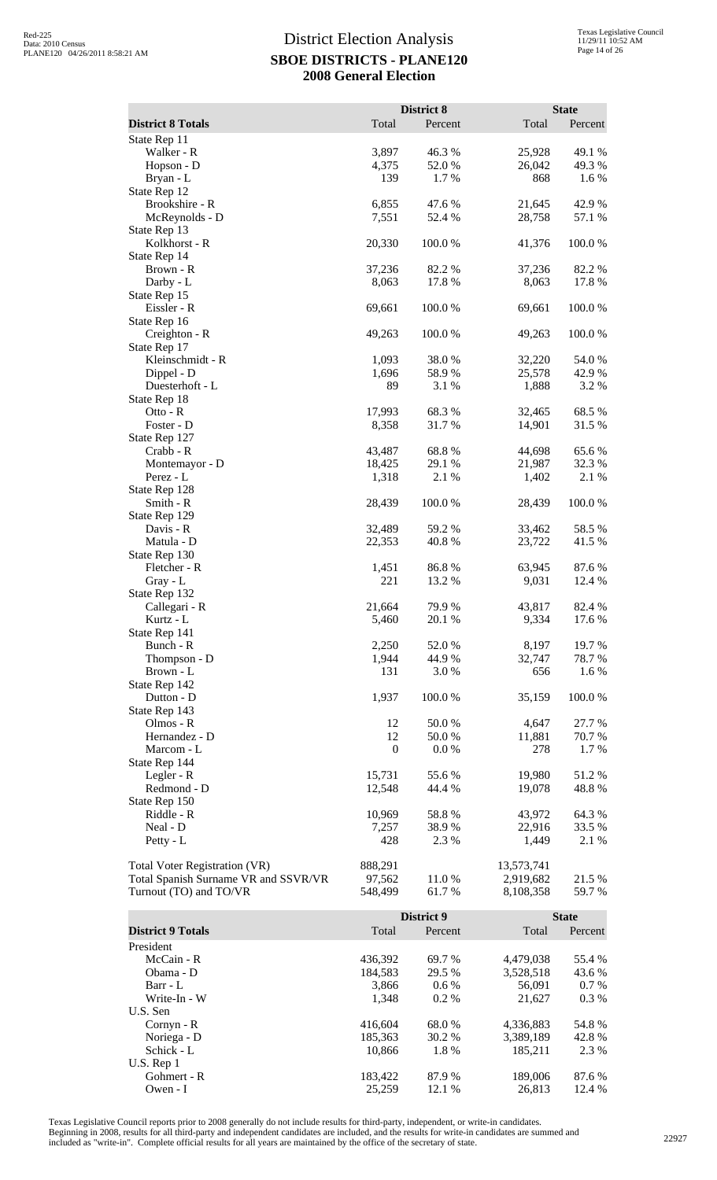|                                      |                   | District 8        |                      | <b>State</b>     |
|--------------------------------------|-------------------|-------------------|----------------------|------------------|
| <b>District 8 Totals</b>             | Total             | Percent           | Total                | Percent          |
| State Rep 11                         |                   |                   |                      |                  |
| Walker - R<br>Hopson - D             | 3,897<br>4,375    | 46.3%<br>52.0%    | 25,928<br>26,042     | 49.1 %<br>49.3%  |
| Bryan - L                            | 139               | 1.7%              | 868                  | 1.6%             |
| State Rep 12                         |                   |                   |                      |                  |
| Brookshire - R                       | 6,855             | 47.6 %            | 21,645               | 42.9 %           |
| McReynolds - D<br>State Rep 13       | 7,551             | 52.4 %            | 28,758               | 57.1 %           |
| Kolkhorst - R                        | 20,330            | 100.0%            | 41,376               | 100.0%           |
| State Rep 14                         |                   |                   |                      |                  |
| Brown - R                            | 37,236            | 82.2 %            | 37,236               | 82.2%            |
| Darby - L<br>State Rep 15            | 8,063             | 17.8 %            | 8,063                | 17.8 %           |
| Eissler - R                          | 69,661            | 100.0%            | 69,661               | 100.0%           |
| State Rep 16                         |                   |                   |                      |                  |
| Creighton - R                        | 49,263            | 100.0%            | 49,263               | 100.0%           |
| State Rep 17<br>Kleinschmidt - R     | 1,093             | 38.0%             | 32,220               | 54.0%            |
| Dippel - D                           | 1,696             | 58.9%             | 25,578               | 42.9 %           |
| Duesterhoft - L                      | 89                | 3.1 %             | 1,888                | 3.2 %            |
| State Rep 18<br>Otto - $R$           | 17,993            | 68.3%             | 32,465               | 68.5 %           |
| Foster - D                           | 8,358             | 31.7 %            | 14,901               | 31.5 %           |
| State Rep 127                        |                   |                   |                      |                  |
| Crabb - R                            | 43,487            | 68.8%             | 44,698               | 65.6%            |
| Montemayor - D<br>Perez - L          | 18,425<br>1,318   | 29.1 %<br>2.1 %   | 21,987<br>1,402      | 32.3 %<br>2.1 %  |
| State Rep 128                        |                   |                   |                      |                  |
| Smith - R                            | 28,439            | 100.0%            | 28,439               | 100.0%           |
| State Rep 129                        |                   |                   |                      |                  |
| Davis - R<br>Matula - D              | 32,489<br>22,353  | 59.2 %<br>40.8%   | 33,462<br>23,722     | 58.5 %<br>41.5 % |
| State Rep 130                        |                   |                   |                      |                  |
| Fletcher - R                         | 1,451             | 86.8%             | 63,945               | 87.6 %           |
| $Gray - L$                           | 221               | 13.2 %            | 9,031                | 12.4 %           |
| State Rep 132<br>Callegari - R       | 21,664            | 79.9 %            | 43,817               | 82.4 %           |
| Kurtz - L                            | 5,460             | 20.1 %            | 9,334                | 17.6 %           |
| State Rep 141                        |                   |                   |                      |                  |
| Bunch - R                            | 2,250             | 52.0%             | 8,197                | 19.7 %           |
| Thompson - D<br>Brown - L            | 1,944<br>131      | 44.9%<br>3.0 %    | 32,747<br>656        | 78.7%<br>1.6 %   |
| State Rep 142                        |                   |                   |                      |                  |
| Dutton - D                           | 1,937             | 100.0%            | 35,159               | 100.0%           |
| State Rep 143<br>Olmos - R           | 12                | 50.0%             | 4,647                | 27.7 %           |
| Hernandez - D                        | 12                | 50.0 %            | 11,881               | 70.7 %           |
| Marcom - L                           | $\boldsymbol{0}$  | $0.0\ \%$         | 278                  | 1.7%             |
| State Rep 144                        |                   |                   |                      |                  |
| Legler - R<br>Redmond - D            | 15,731<br>12,548  | 55.6%<br>44.4 %   | 19,980<br>19,078     | 51.2%<br>48.8%   |
| State Rep 150                        |                   |                   |                      |                  |
| Riddle - R                           | 10,969            | 58.8%             | 43,972               | 64.3%            |
| Neal - D                             | 7,257             | 38.9%             | 22,916               | 33.5 %           |
| Petty - L                            | 428               | 2.3 %             | 1,449                | 2.1 %            |
| Total Voter Registration (VR)        | 888,291           |                   | 13,573,741           |                  |
| Total Spanish Surname VR and SSVR/VR | 97,562            | 11.0%             | 2,919,682            | 21.5 %           |
| Turnout (TO) and TO/VR               | 548,499           | 61.7%             | 8,108,358            | 59.7%            |
|                                      |                   | <b>District 9</b> |                      | <b>State</b>     |
| <b>District 9 Totals</b>             | Total             | Percent           | Total                | Percent          |
| President                            |                   |                   |                      |                  |
| McCain - R                           | 436,392           | 69.7%             | 4,479,038            | 55.4 %           |
| Obama - D<br>Barr - L                | 184,583<br>3,866  | 29.5 %<br>0.6 %   | 3,528,518<br>56,091  | 43.6%<br>0.7 %   |
| Write-In - W                         | 1,348             | 0.2%              | 21,627               | 0.3%             |
| U.S. Sen                             |                   |                   |                      |                  |
| Cornyn - R                           | 416,604           | 68.0%             | 4,336,883            | 54.8%            |
| Noriega - D<br>Schick - L            | 185,363<br>10,866 | 30.2 %<br>1.8%    | 3,389,189<br>185,211 | 42.8%<br>2.3 %   |
| U.S. Rep 1                           |                   |                   |                      |                  |

Texas Legislative Council reports prior to 2008 generally do not include results for third-party, independent, or write-in candidates. Beginning in 2008, results for all third-party and independent candidates are included, and the results for write-in candidates are summed and<br>included as "write-in". Complete official results for all years are maintained

Gohmert - R<br>
Gohmert - R<br>
Owen - I<br>
25,259<br>
183,422<br>
26,813<br>
26,813<br>
12.4 % Owen - I 25,259 12.1 % 26,813 12.4 %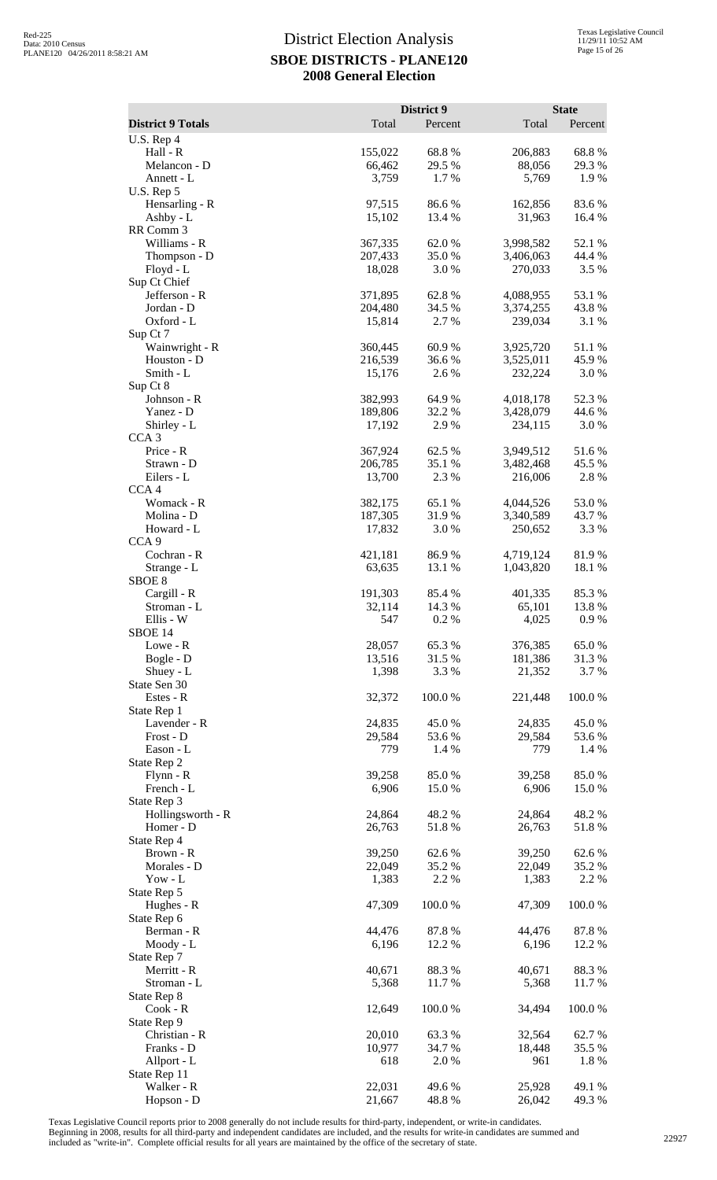|                                 |                    | District 9      |                        | <b>State</b>     |
|---------------------------------|--------------------|-----------------|------------------------|------------------|
| <b>District 9 Totals</b>        | Total              | Percent         | Total                  | Percent          |
| U.S. Rep 4<br>Hall - R          | 155,022            | 68.8%           | 206,883                | 68.8%            |
| Melancon - D                    | 66,462             | 29.5 %          | 88,056                 | 29.3 %           |
| Annett - L                      | 3,759              | 1.7%            | 5,769                  | 1.9 %            |
| U.S. Rep 5<br>Hensarling - R    | 97,515             | 86.6%           | 162,856                | 83.6%            |
| Ashby - L                       | 15,102             | 13.4 %          | 31,963                 | 16.4 %           |
| RR Comm 3                       |                    |                 |                        |                  |
| Williams - R<br>Thompson - D    | 367,335<br>207,433 | 62.0%<br>35.0%  | 3,998,582<br>3,406,063 | 52.1 %<br>44.4 % |
| Floyd - L                       | 18,028             | 3.0%            | 270,033                | 3.5 %            |
| Sup Ct Chief                    |                    |                 |                        |                  |
| Jefferson - R                   | 371,895            | 62.8%           | 4,088,955              | 53.1 %           |
| Jordan - D<br>Oxford - L        | 204,480<br>15,814  | 34.5 %<br>2.7%  | 3,374,255<br>239,034   | 43.8%<br>3.1 %   |
| Sup Ct 7                        |                    |                 |                        |                  |
| Wainwright - R                  | 360,445            | 60.9%           | 3,925,720              | 51.1 %           |
| Houston - D<br>Smith - L        | 216,539<br>15,176  | 36.6%<br>2.6 %  | 3,525,011<br>232,224   | 45.9 %<br>3.0 %  |
| Sup Ct 8                        |                    |                 |                        |                  |
| Johnson - R                     | 382,993            | 64.9%           | 4,018,178              | 52.3 %           |
| Yanez - D                       | 189,806            | 32.2 %          | 3,428,079              | 44.6 %           |
| Shirley - L<br>CCA <sub>3</sub> | 17,192             | 2.9%            | 234,115                | 3.0%             |
| Price - R                       | 367,924            | 62.5 %          | 3,949,512              | 51.6%            |
| Strawn - D                      | 206,785            | 35.1 %          | 3,482,468              | 45.5 %           |
| Eilers - L                      | 13,700             | 2.3 %           | 216,006                | 2.8%             |
| CCA <sub>4</sub><br>Womack - R  | 382,175            | 65.1 %          | 4,044,526              | 53.0%            |
| Molina - D                      | 187,305            | 31.9%           | 3,340,589              | 43.7 %           |
| Howard - L                      | 17,832             | 3.0 %           | 250,652                | 3.3 %            |
| CCA <sub>9</sub><br>Cochran - R | 421,181            | 86.9%           | 4,719,124              | 81.9%            |
| Strange - L                     | 63,635             | 13.1 %          | 1,043,820              | 18.1 %           |
| SBOE <sub>8</sub>               |                    |                 |                        |                  |
| Cargill - R                     | 191,303            | 85.4 %          | 401,335                | 85.3%            |
| Stroman - L<br>Ellis - W        | 32,114<br>547      | 14.3 %<br>0.2 % | 65,101<br>4,025        | 13.8%<br>0.9 %   |
| SBOE 14                         |                    |                 |                        |                  |
| Lowe - R                        | 28,057             | 65.3%           | 376,385                | 65.0%            |
| Bogle - D                       | 13,516             | 31.5 %          | 181,386                | 31.3%            |
| Shuey - L<br>State Sen 30       | 1,398              | 3.3 %           | 21,352                 | 3.7 %            |
| Estes - R                       | 32,372             | 100.0%          | 221,448                | 100.0%           |
| State Rep 1                     |                    |                 |                        |                  |
| Lavender - R<br>Frost - D       | 24,835<br>29,584   | 45.0%<br>53.6%  | 24,835<br>29,584       | 45.0%<br>53.6 %  |
| Eason - L                       | 779                | 1.4 %           | 779                    | 1.4 %            |
| State Rep 2                     |                    |                 |                        |                  |
| $Flynn - R$<br>French - L       | 39,258             | 85.0%           | 39,258<br>6,906        | 85.0%            |
| State Rep 3                     | 6,906              | 15.0 %          |                        | 15.0%            |
| Hollingsworth - R               | 24,864             | 48.2%           | 24,864                 | 48.2%            |
| Homer - D                       | 26,763             | 51.8%           | 26,763                 | 51.8%            |
| State Rep 4<br>Brown - R        | 39,250             | 62.6%           | 39,250                 | 62.6%            |
| Morales - D                     | 22,049             | 35.2 %          | 22,049                 | 35.2 %           |
| Yow - $L$                       | 1,383              | 2.2 %           | 1,383                  | 2.2 %            |
| State Rep 5<br>Hughes - R       | 47,309             | 100.0%          | 47,309                 | 100.0%           |
| State Rep 6                     |                    |                 |                        |                  |
| Berman - R                      | 44,476             | 87.8%           | 44,476                 | 87.8%            |
| Moody - L                       | 6,196              | 12.2 %          | 6,196                  | 12.2 %           |
| State Rep 7<br>Merritt - R      | 40,671             | 88.3%           | 40,671                 | 88.3%            |
| Stroman - L                     | 5,368              | 11.7 %          | 5,368                  | 11.7 %           |
| State Rep 8                     |                    |                 |                        |                  |
| $Cook - R$<br>State Rep 9       | 12,649             | 100.0 %         | 34,494                 | 100.0%           |
| Christian - R                   | 20,010             | 63.3%           | 32,564                 | 62.7%            |
| Franks - D                      | 10,977             | 34.7 %          | 18,448                 | 35.5 %           |
| Allport - L                     | 618                | 2.0%            | 961                    | 1.8%             |
| State Rep 11<br>Walker - R      | 22,031             | 49.6 %          | 25,928                 | 49.1 %           |
| Hopson - D                      | 21,667             | 48.8%           | 26,042                 | 49.3 %           |

Texas Legislative Council reports prior to 2008 generally do not include results for third-party, independent, or write-in candidates.

Beginning in 2008, results for all third-party and independent candidates are included, and the results for write-in candidates are summed and<br>included as "write-in". Complete official results for all years are maintained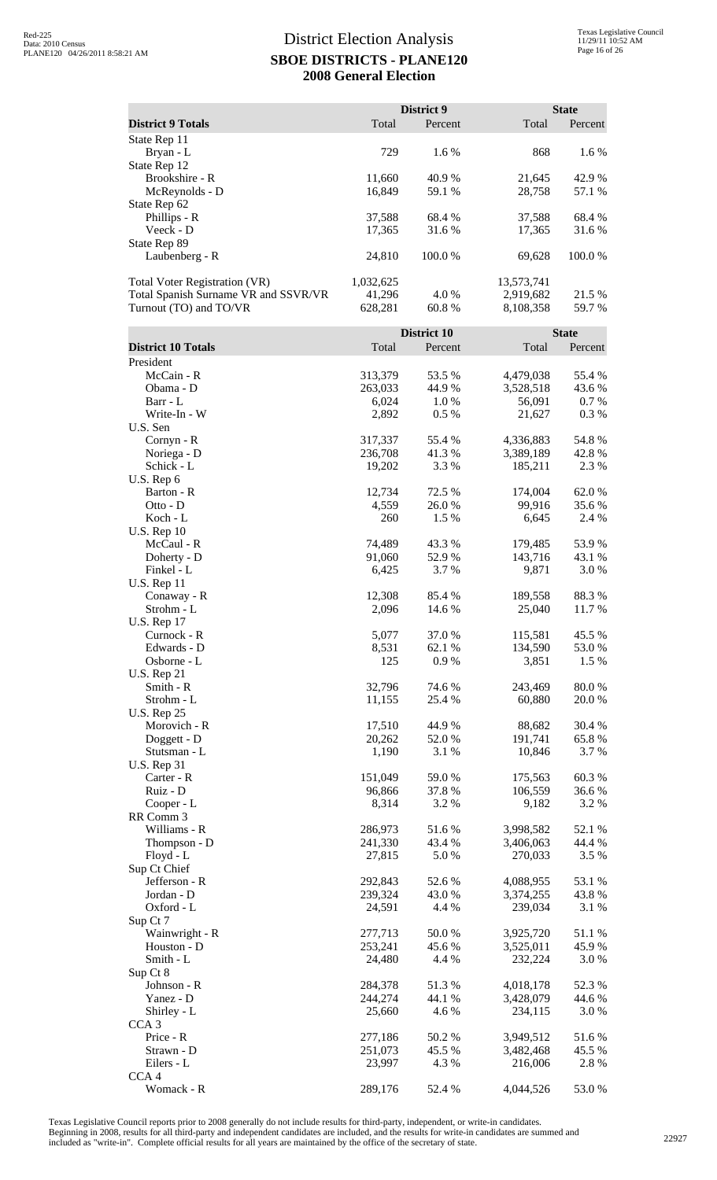|                                                                                                        |                                | District 9        |                                      | <b>State</b>     |
|--------------------------------------------------------------------------------------------------------|--------------------------------|-------------------|--------------------------------------|------------------|
| <b>District 9 Totals</b>                                                                               | Total                          | Percent           | Total                                | Percent          |
| State Rep 11<br>Bryan - L<br>State Rep 12                                                              | 729                            | 1.6 %             | 868                                  | 1.6 %            |
| Brookshire - R<br>McReynolds - D                                                                       | 11,660<br>16,849               | 40.9%<br>59.1 %   | 21,645<br>28,758                     | 42.9%<br>57.1 %  |
| State Rep 62<br>Phillips - R                                                                           | 37,588                         | 68.4%             | 37,588                               | 68.4%            |
| Veeck - D<br>State Rep 89<br>Laubenberg - R                                                            | 17,365<br>24,810               | 31.6 %<br>100.0 % | 17,365<br>69,628                     | 31.6 %<br>100.0% |
|                                                                                                        |                                |                   |                                      |                  |
| <b>Total Voter Registration (VR)</b><br>Total Spanish Surname VR and SSVR/VR<br>Turnout (TO) and TO/VR | 1,032,625<br>41,296<br>628,281 | 4.0%<br>60.8%     | 13,573,741<br>2,919,682<br>8,108,358 | 21.5 %<br>59.7 % |
|                                                                                                        |                                | District 10       |                                      | <b>State</b>     |
| <b>District 10 Totals</b><br>President                                                                 | Total                          | Percent           | Total                                | Percent          |
| McCain - R                                                                                             | 313,379                        | 53.5 %            | 4,479,038                            | 55.4 %           |
| Obama - D                                                                                              | 263,033                        | 44.9%             | 3,528,518                            | 43.6 %           |
| Barr - L<br>Write-In - W                                                                               | 6,024<br>2,892                 | 1.0%<br>0.5 %     | 56,091<br>21,627                     | 0.7%<br>0.3%     |
| U.S. Sen                                                                                               |                                |                   |                                      |                  |
| Cornyn - R                                                                                             | 317,337                        | 55.4 %            | 4,336,883                            | 54.8%            |
| Noriega - D                                                                                            | 236,708                        | 41.3%             | 3,389,189                            | 42.8%            |
| Schick - L<br>U.S. Rep 6                                                                               | 19,202                         | 3.3 %             | 185,211                              | 2.3 %            |
| Barton - R                                                                                             | 12,734                         | 72.5 %            | 174,004                              | 62.0%            |
| Otto - D                                                                                               | 4,559                          | 26.0%             | 99,916                               | 35.6%            |
| Koch - L<br><b>U.S. Rep 10</b>                                                                         | 260                            | 1.5 %             | 6,645                                | 2.4 %            |
| McCaul - R                                                                                             | 74,489                         | 43.3 %            | 179,485                              | 53.9%            |
| Doherty - D                                                                                            | 91,060                         | 52.9%             | 143,716                              | 43.1 %           |
| Finkel - L<br><b>U.S. Rep 11</b>                                                                       | 6,425                          | 3.7%              | 9,871                                | 3.0%             |
| Conaway - R<br>Strohm - L                                                                              | 12,308<br>2,096                | 85.4 %<br>14.6 %  | 189,558<br>25,040                    | 88.3%<br>11.7 %  |
| <b>U.S. Rep 17</b>                                                                                     |                                | 37.0%             |                                      |                  |
| Curnock - R<br>Edwards - D                                                                             | 5,077<br>8,531                 | 62.1 %            | 115,581<br>134,590                   | 45.5 %<br>53.0 % |
| Osborne - L<br><b>U.S. Rep 21</b>                                                                      | 125                            | 0.9%              | 3,851                                | 1.5 %            |
| Smith - R                                                                                              | 32,796                         | 74.6 %            | 243,469                              | 80.0%            |
| Strohm - L<br><b>U.S. Rep 25</b>                                                                       | 11,155                         | 25.4 %            | 60,880                               | 20.0%            |
| Morovich - R                                                                                           | 17,510                         | 44.9%             | 88,682                               | 30.4 %           |
| Doggett - D                                                                                            | 20,262                         | 52.0%             | 191,741                              | 65.8%            |
| Stutsman - L                                                                                           | 1,190                          | 3.1 %             | 10,846                               | 3.7 %            |
| <b>U.S. Rep 31</b><br>Carter - R                                                                       | 151,049                        | 59.0%             | 175,563                              | 60.3%            |
| Ruiz - D                                                                                               | 96,866                         | 37.8%             | 106,559                              | 36.6%            |
| Cooper - L                                                                                             | 8,314                          | 3.2 %             | 9,182                                | 3.2 %            |
| RR Comm 3<br>Williams - R                                                                              | 286,973                        | 51.6%             | 3,998,582                            | 52.1 %           |
| Thompson - D                                                                                           | 241,330                        | 43.4 %            | 3,406,063                            | 44.4 %           |
| Floyd - L                                                                                              | 27,815                         | 5.0 %             | 270,033                              | 3.5 %            |
| Sup Ct Chief                                                                                           |                                |                   |                                      |                  |
| Jefferson - R<br>Jordan - D                                                                            | 292,843<br>239,324             | 52.6 %<br>43.0%   | 4,088,955<br>3,374,255               | 53.1 %<br>43.8%  |
| Oxford - L                                                                                             | 24,591                         | 4.4 %             | 239,034                              | 3.1 %            |
| Sup Ct 7                                                                                               |                                |                   |                                      |                  |
| Wainwright - R<br>Houston - D                                                                          | 277,713<br>253,241             | 50.0%<br>45.6%    | 3,925,720<br>3,525,011               | 51.1%<br>45.9%   |
| Smith - L                                                                                              | 24,480                         | 4.4 %             | 232,224                              | 3.0%             |
| Sup Ct 8                                                                                               |                                |                   |                                      |                  |
| Johnson - R<br>Yanez - D                                                                               | 284,378<br>244,274             | 51.3%             | 4,018,178<br>3,428,079               | 52.3 %<br>44.6 % |
| Shirley - L                                                                                            | 25,660                         | 44.1 %<br>4.6 %   | 234,115                              | 3.0 %            |
| CCA <sub>3</sub>                                                                                       |                                |                   |                                      |                  |
| Price - R                                                                                              | 277,186                        | 50.2%             | 3,949,512                            | 51.6%            |
| Strawn - D<br>Eilers - L                                                                               | 251,073<br>23,997              | 45.5 %<br>4.3 %   | 3,482,468<br>216,006                 | 45.5 %<br>2.8%   |
| CCA <sub>4</sub>                                                                                       |                                |                   |                                      |                  |
| Womack - R                                                                                             | 289,176                        | 52.4 %            | 4,044,526                            | 53.0 %           |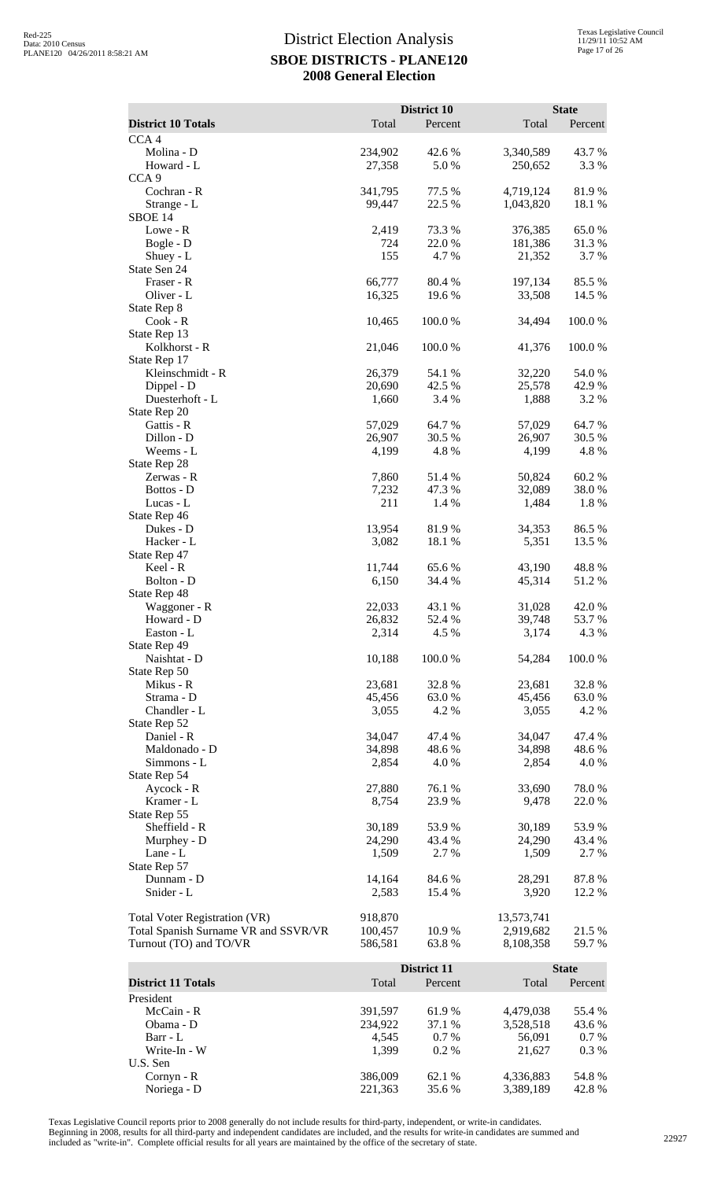|                                      |                 | District 10     |                  | <b>State</b>   |
|--------------------------------------|-----------------|-----------------|------------------|----------------|
| <b>District 10 Totals</b>            | Total           | Percent         | Total            | Percent        |
| CCA <sub>4</sub><br>Molina - D       | 234,902         | 42.6 %          | 3,340,589        | 43.7%          |
| Howard - L                           | 27,358          | 5.0%            | 250,652          | 3.3 %          |
| CCA <sub>9</sub>                     |                 |                 |                  |                |
| Cochran - R                          | 341,795         | 77.5 %          | 4,719,124        | 81.9%          |
| Strange - L                          | 99,447          | 22.5 %          | 1,043,820        | 18.1 %         |
| SBOE 14<br>Lowe - R                  | 2,419           | 73.3 %          | 376,385          | 65.0%          |
| Bogle - D                            | 724             | 22.0 %          | 181,386          | 31.3%          |
| Shuey - L                            | 155             | 4.7 %           | 21,352           | 3.7 %          |
| State Sen 24                         |                 |                 |                  |                |
| Fraser - R                           | 66,777          | 80.4%           | 197,134          | 85.5 %         |
| Oliver - L                           | 16,325          | 19.6%           | 33,508           | 14.5 %         |
| State Rep 8<br>Cook - R              | 10,465          | 100.0%          | 34,494           | 100.0%         |
| State Rep 13                         |                 |                 |                  |                |
| Kolkhorst - R                        | 21,046          | 100.0%          | 41,376           | 100.0%         |
| State Rep 17                         |                 |                 |                  |                |
| Kleinschmidt - R                     | 26,379          | 54.1 %          | 32,220           | 54.0%          |
| Dippel - D<br>Duesterhoft - L        | 20,690<br>1,660 | 42.5 %<br>3.4 % | 25,578<br>1,888  | 42.9%<br>3.2 % |
| State Rep 20                         |                 |                 |                  |                |
| Gattis - R                           | 57,029          | 64.7 %          | 57,029           | 64.7%          |
| Dillon - D                           | 26,907          | 30.5 %          | 26,907           | 30.5 %         |
| Weems - L                            | 4,199           | 4.8%            | 4,199            | 4.8%           |
| State Rep 28                         |                 |                 |                  |                |
| Zerwas - R<br>Bottos - D             | 7,860<br>7,232  | 51.4%<br>47.3 % | 50,824<br>32,089 | 60.2%<br>38.0% |
| Lucas - L                            | 211             | 1.4 %           | 1,484            | 1.8%           |
| State Rep 46                         |                 |                 |                  |                |
| Dukes - D                            | 13,954          | 81.9%           | 34,353           | 86.5%          |
| Hacker - L                           | 3,082           | 18.1 %          | 5,351            | 13.5 %         |
| State Rep 47<br>Keel - R             | 11,744          | 65.6%           | 43,190           | 48.8%          |
| Bolton - D                           | 6,150           | 34.4 %          | 45,314           | 51.2%          |
| State Rep 48                         |                 |                 |                  |                |
| Waggoner - R                         | 22,033          | 43.1 %          | 31,028           | 42.0 %         |
| Howard - D                           | 26,832          | 52.4 %          | 39,748           | 53.7 %         |
| Easton - L                           | 2,314           | 4.5 %           | 3,174            | 4.3 %          |
| State Rep 49<br>Naishtat - D         | 10,188          | 100.0%          | 54,284           | 100.0%         |
| State Rep 50                         |                 |                 |                  |                |
| Mikus - R                            | 23,681          | 32.8 %          | 23,681           | 32.8%          |
| Strama - D                           | 45,456          | 63.0%           | 45,456           | 63.0%          |
| Chandler - L                         | 3,055           | 4.2 %           | 3,055            | 4.2 %          |
| State Rep 52<br>Daniel - R           | 34,047          | 47.4 %          | 34,047           | 47.4 %         |
| Maldonado - D                        | 34,898          | 48.6%           | 34,898           | 48.6%          |
| Simmons - L                          | 2,854           | 4.0%            | 2,854            | 4.0 %          |
| State Rep 54                         |                 |                 |                  |                |
| Aycock - R                           | 27,880          | 76.1 %          | 33,690           | 78.0%          |
| Kramer - L<br>State Rep 55           | 8,754           | 23.9%           | 9,478            | 22.0%          |
| Sheffield - R                        | 30,189          | 53.9%           | 30,189           | 53.9%          |
| Murphey - D                          | 24,290          | 43.4 %          | 24,290           | 43.4 %         |
| Lane - L                             | 1,509           | 2.7%            | 1,509            | 2.7 %          |
| State Rep 57                         |                 |                 |                  |                |
| Dunnam - D                           | 14,164          | 84.6%           | 28,291           | 87.8%          |
| Snider - L                           | 2,583           | 15.4 %          | 3,920            | 12.2 %         |
| <b>Total Voter Registration (VR)</b> | 918,870         |                 | 13,573,741       |                |
| Total Spanish Surname VR and SSVR/VR | 100,457         | 10.9%           | 2,919,682        | 21.5 %         |
| Turnout (TO) and TO/VR               | 586,581         | 63.8%           | 8,108,358        | 59.7%          |
|                                      |                 | District 11     |                  | <b>State</b>   |
| <b>District 11 Totals</b>            | Total           | Percent         | Total            | Percent        |
| President                            |                 |                 |                  |                |
| McCain - R                           | 391,597         | 61.9%           | 4,479,038        | 55.4 %         |
| Obama - D                            | 234,922         | 37.1 %          | 3,528,518        | 43.6%          |
| Barr - L                             | 4,545           | 0.7 %           | 56,091           | 0.7%           |
| Write-In - W                         | 1,399           | 0.2 %           | 21,627           | 0.3 %          |

Texas Legislative Council reports prior to 2008 generally do not include results for third-party, independent, or write-in candidates.

U.S. Sen

Noriega - D

Beginning in 2008, results for all third-party and independent candidates are included, and the results for write-in candidates are summed and<br>included as "write-in". Complete official results for all years are maintained

Cornyn - R<br>
Noriega - D<br>
221,363 51.6 % 4,336,883 54.8 %<br>
221,363 35.6 % 3,389,189 42.8 %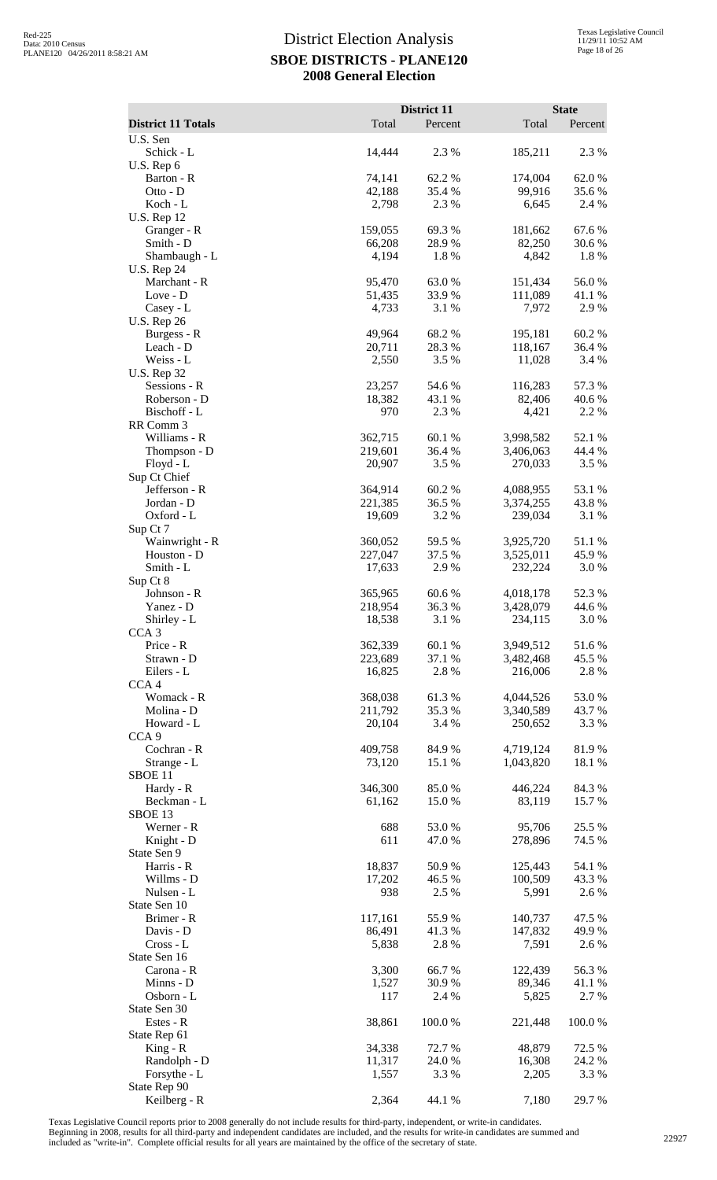|                                    |                    | District 11     |                        | <b>State</b>     |
|------------------------------------|--------------------|-----------------|------------------------|------------------|
| <b>District 11 Totals</b>          | Total              | Percent         | Total                  | Percent          |
| U.S. Sen<br>Schick - L             | 14,444             | 2.3 %           | 185,211                | 2.3 %            |
| U.S. Rep 6                         |                    |                 |                        |                  |
| Barton - R<br>Otto - D             | 74,141<br>42,188   | 62.2%<br>35.4 % | 174,004<br>99,916      | 62.0%<br>35.6%   |
| Koch - L                           | 2,798              | 2.3 %           | 6,645                  | 2.4 %            |
| U.S. Rep 12<br>Granger - R         | 159,055            | 69.3%           | 181,662                | 67.6%            |
| Smith - D                          | 66,208             | 28.9%           | 82,250                 | 30.6%            |
| Shambaugh - L                      | 4,194              | 1.8%            | 4,842                  | 1.8%             |
| <b>U.S. Rep 24</b><br>Marchant - R | 95,470             | 63.0%           | 151,434                | 56.0%            |
| Love - D                           | 51,435             | 33.9%           | 111,089                | 41.1 %           |
| Casey - L<br><b>U.S. Rep 26</b>    | 4,733              | 3.1 %           | 7,972                  | 2.9 %            |
| Burgess - R                        | 49,964             | 68.2%           | 195,181                | 60.2%            |
| Leach - D                          | 20,711             | 28.3%           | 118,167                | 36.4 %           |
| Weiss - L<br><b>U.S. Rep 32</b>    | 2,550              | 3.5 %           | 11,028                 | 3.4 %            |
| Sessions - R                       | 23,257             | 54.6 %          | 116,283                | 57.3 %           |
| Roberson - D<br>Bischoff - L       | 18,382<br>970      | 43.1 %<br>2.3 % | 82,406<br>4,421        | 40.6 %<br>2.2 %  |
| RR Comm 3                          |                    |                 |                        |                  |
| Williams - R                       | 362,715<br>219,601 | 60.1%<br>36.4 % | 3,998,582<br>3,406,063 | 52.1 %<br>44.4 % |
| Thompson - D<br>Floyd - L          | 20,907             | 3.5 %           | 270,033                | 3.5 %            |
| Sup Ct Chief                       |                    |                 |                        |                  |
| Jefferson - R<br>Jordan - D        | 364,914<br>221,385 | 60.2%<br>36.5 % | 4,088,955<br>3,374,255 | 53.1 %<br>43.8%  |
| Oxford - L                         | 19,609             | 3.2 %           | 239,034                | 3.1 %            |
| Sup Ct 7<br>Wainwright - R         | 360,052            | 59.5 %          | 3,925,720              | 51.1 %           |
| Houston - D                        | 227,047            | 37.5 %          | 3,525,011              | 45.9%            |
| Smith - L                          | 17,633             | 2.9%            | 232,224                | 3.0%             |
| Sup Ct 8<br>Johnson - R            | 365,965            | 60.6%           | 4,018,178              | 52.3 %           |
| Yanez - D                          | 218,954            | 36.3%           | 3,428,079              | 44.6 %           |
| Shirley - L<br>CCA <sub>3</sub>    | 18,538             | 3.1 %           | 234,115                | 3.0 %            |
| Price - R                          | 362,339            | 60.1%           | 3,949,512              | 51.6 %           |
| Strawn - D                         | 223,689            | 37.1 %          | 3,482,468              | 45.5 %           |
| Eilers - L<br>CCA <sub>4</sub>     | 16,825             | 2.8 %           | 216,006                | 2.8%             |
| Womack - R                         | 368,038            | 61.3%           | 4,044,526              | 53.0%            |
| Molina - D<br>Howard - L           | 211,792<br>20,104  | 35.3 %<br>3.4 % | 3,340,589<br>250,652   | 43.7 %<br>3.3 %  |
| CCA <sub>9</sub>                   |                    |                 |                        |                  |
| Cochran - R<br>Strange - L         | 409,758<br>73,120  | 84.9%<br>15.1 % | 4,719,124<br>1,043,820 | 81.9%            |
| SBOE <sub>11</sub>                 |                    |                 |                        | 18.1 %           |
| Hardy - R                          | 346,300            | 85.0%           | 446,224                | 84.3%            |
| Beckman - L<br>SBOE 13             | 61,162             | 15.0 %          | 83,119                 | 15.7 %           |
| Werner - R                         | 688                | 53.0%           | 95,706                 | 25.5 %           |
| Knight - D<br>State Sen 9          | 611                | 47.0%           | 278,896                | 74.5 %           |
| Harris - R                         | 18,837             | 50.9%           | 125,443                | 54.1 %           |
| Willms - D                         | 17,202             | 46.5 %          | 100,509                | 43.3 %           |
| Nulsen - L<br>State Sen 10         | 938                | 2.5 %           | 5,991                  | 2.6 %            |
| Brimer - R                         | 117,161            | 55.9%           | 140,737                | 47.5 %           |
| Davis - D<br>$Cross - L$           | 86,491<br>5,838    | 41.3%<br>2.8 %  | 147,832<br>7,591       | 49.9%<br>2.6 %   |
| State Sen 16                       |                    |                 |                        |                  |
| Carona - R                         | 3,300              | 66.7%           | 122,439                | 56.3%            |
| Minns - D<br>Osborn - L            | 1,527<br>117       | 30.9%<br>2.4 %  | 89,346<br>5,825        | 41.1 %<br>2.7 %  |
| State Sen 30                       |                    |                 |                        |                  |
| Estes - R<br>State Rep 61          | 38,861             | 100.0%          | 221,448                | 100.0%           |
| $King - R$                         | 34,338             | 72.7 %          | 48,879                 | 72.5 %           |
| Randolph - D                       | 11,317             | 24.0%           | 16,308                 | 24.2 %<br>3.3 %  |
| Forsythe - L<br>State Rep 90       | 1,557              | 3.3 %           | 2,205                  |                  |
| Keilberg - R                       | 2,364              | 44.1 %          | 7,180                  | 29.7 %           |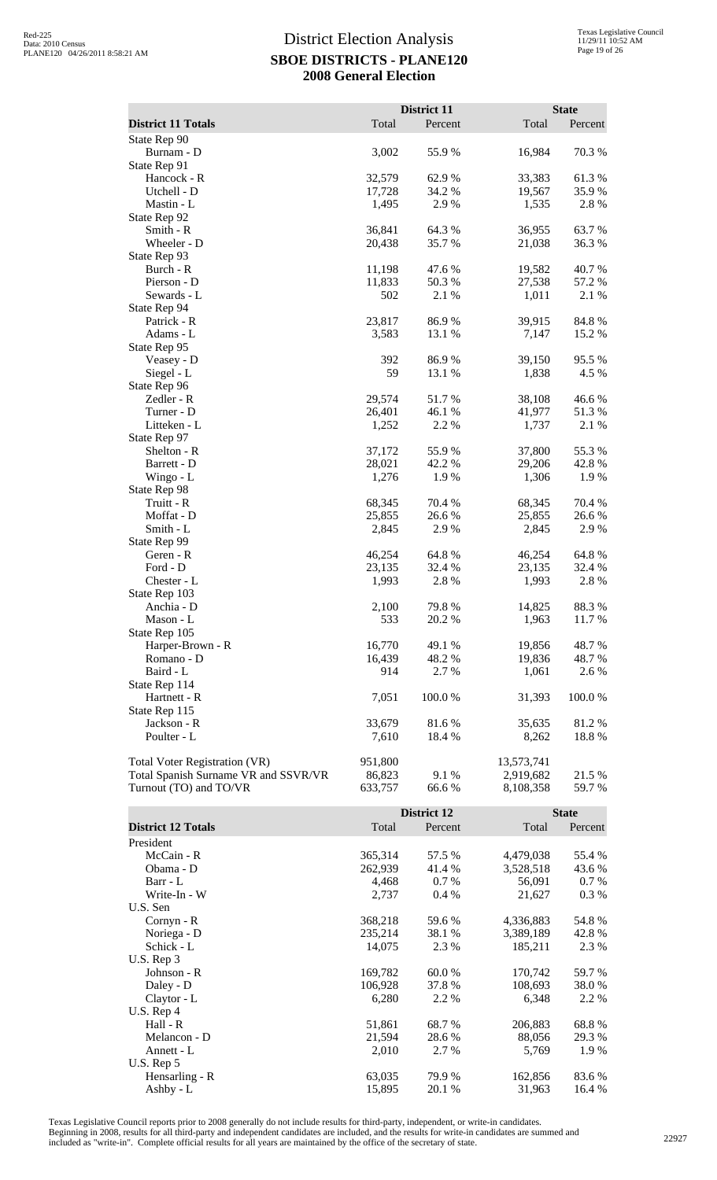|                                      |         | District 11 |            | <b>State</b> |
|--------------------------------------|---------|-------------|------------|--------------|
|                                      |         |             |            |              |
| <b>District 11 Totals</b>            | Total   | Percent     | Total      | Percent      |
| State Rep 90                         |         |             |            |              |
| Burnam - D                           | 3,002   | 55.9%       | 16,984     | 70.3 %       |
| State Rep 91                         |         |             |            |              |
| Hancock - R                          | 32,579  | 62.9%       | 33,383     | 61.3%        |
| Utchell - D                          | 17,728  | 34.2 %      | 19,567     | 35.9%        |
| Mastin - L                           | 1,495   | 2.9 %       | 1,535      | 2.8%         |
| State Rep 92                         |         |             |            |              |
| Smith - R                            | 36,841  | 64.3 %      | 36,955     | 63.7%        |
| Wheeler - D                          | 20,438  | 35.7%       | 21,038     | 36.3%        |
| State Rep 93                         |         |             |            |              |
| Burch - R                            | 11,198  | 47.6 %      | 19,582     | 40.7%        |
| Pierson - D                          | 11,833  | 50.3%       | 27,538     | 57.2 %       |
| Sewards - L                          | 502     | 2.1 %       | 1,011      | 2.1 %        |
| State Rep 94                         |         |             |            |              |
| Patrick - R                          | 23,817  | 86.9%       | 39,915     | 84.8%        |
| Adams - L                            | 3,583   | 13.1 %      | 7,147      | 15.2 %       |
| State Rep 95                         |         |             |            |              |
| Veasey - D                           | 392     | 86.9%       | 39,150     | 95.5 %       |
| Siegel - L                           | 59      | 13.1 %      | 1,838      | 4.5 %        |
| State Rep 96                         |         |             |            |              |
| Zedler - R                           | 29,574  | 51.7%       | 38,108     | 46.6%        |
| Turner - D                           | 26,401  | 46.1 %      | 41,977     | 51.3%        |
| Litteken - L                         | 1,252   | 2.2 %       | 1,737      | 2.1 %        |
| State Rep 97                         |         |             |            |              |
| Shelton - R                          | 37,172  | 55.9%       | 37,800     | 55.3%        |
| Barrett - D                          | 28,021  | 42.2 %      | 29,206     | 42.8 %       |
| Wingo - $L$                          | 1,276   | 1.9 %       | 1,306      | 1.9 %        |
| State Rep 98                         |         |             |            |              |
| Truitt - R                           | 68,345  | 70.4 %      | 68,345     | 70.4 %       |
| Moffat - D                           | 25,855  | 26.6%       | 25,855     | 26.6%        |
| Smith - L                            | 2,845   | 2.9 %       | 2,845      | 2.9 %        |
| State Rep 99                         |         |             |            |              |
| Geren - R                            | 46,254  | 64.8%       | 46,254     | 64.8%        |
| Ford - D                             | 23,135  | 32.4 %      | 23,135     | 32.4 %       |
| Chester - L                          | 1,993   | 2.8%        | 1,993      | 2.8%         |
| State Rep 103                        |         |             |            |              |
| Anchia - D                           | 2,100   | 79.8%       | 14,825     | 88.3%        |
| Mason - L                            | 533     | 20.2 %      | 1,963      | 11.7 %       |
| State Rep 105                        |         |             |            |              |
| Harper-Brown - R                     | 16,770  | 49.1 %      | 19,856     | 48.7%        |
| Romano - D                           | 16,439  | 48.2%       | 19,836     | 48.7%        |
| Baird - L                            | 914     | 2.7 %       | 1,061      | 2.6 %        |
| State Rep 114                        |         |             |            |              |
| Hartnett - R                         | 7,051   | 100.0 %     | 31,393     | 100.0%       |
| State Rep 115                        |         |             |            |              |
| Jackson - R                          | 33,679  | 81.6%       | 35,635     | 81.2%        |
| Poulter - L                          | 7,610   | 18.4 %      | 8,262      | 18.8%        |
|                                      |         |             |            |              |
| Total Voter Registration (VR)        | 951,800 |             | 13,573,741 |              |
| Total Spanish Surname VR and SSVR/VR | 86,823  | 9.1 %       | 2,919,682  | 21.5 %       |
| Turnout (TO) and TO/VR               | 633,757 | 66.6%       | 8,108,358  | 59.7 %       |
|                                      |         |             |            |              |
|                                      |         | District 12 |            | <b>State</b> |

| <b>District 12 Totals</b> | Total   | Percent | Total     | Percent |
|---------------------------|---------|---------|-----------|---------|
| President                 |         |         |           |         |
| McCain - R                | 365,314 | 57.5 %  | 4,479,038 | 55.4 %  |
| Obama - D                 | 262,939 | 41.4 %  | 3,528,518 | 43.6 %  |
| Barr - L                  | 4,468   | $0.7\%$ | 56,091    | $0.7\%$ |
| Write-In - W              | 2,737   | $0.4\%$ | 21,627    | $0.3\%$ |
| U.S. Sen                  |         |         |           |         |
| Cornyn - R                | 368,218 | 59.6 %  | 4,336,883 | 54.8%   |
| Noriega - D               | 235,214 | 38.1 %  | 3,389,189 | 42.8%   |
| Schick - L                | 14,075  | 2.3 %   | 185,211   | 2.3 %   |
| U.S. Rep 3                |         |         |           |         |
| Johnson - R               | 169,782 | 60.0 %  | 170,742   | 59.7 %  |
| Daley - D                 | 106,928 | 37.8 %  | 108,693   | 38.0 %  |
| Claytor - L               | 6,280   | 2.2 %   | 6,348     | 2.2 %   |
| $U.S.$ Rep 4              |         |         |           |         |
| Hall - R                  | 51,861  | 68.7 %  | 206,883   | 68.8%   |
| Melancon - D              | 21,594  | 28.6 %  | 88,056    | 29.3 %  |
| Annett - L                | 2,010   | 2.7 %   | 5,769     | 1.9 %   |
| U.S. Rep 5                |         |         |           |         |
| Hensarling - R            | 63,035  | 79.9%   | 162,856   | 83.6 %  |
| Ashby - L                 | 15,895  | 20.1 %  | 31,963    | 16.4 %  |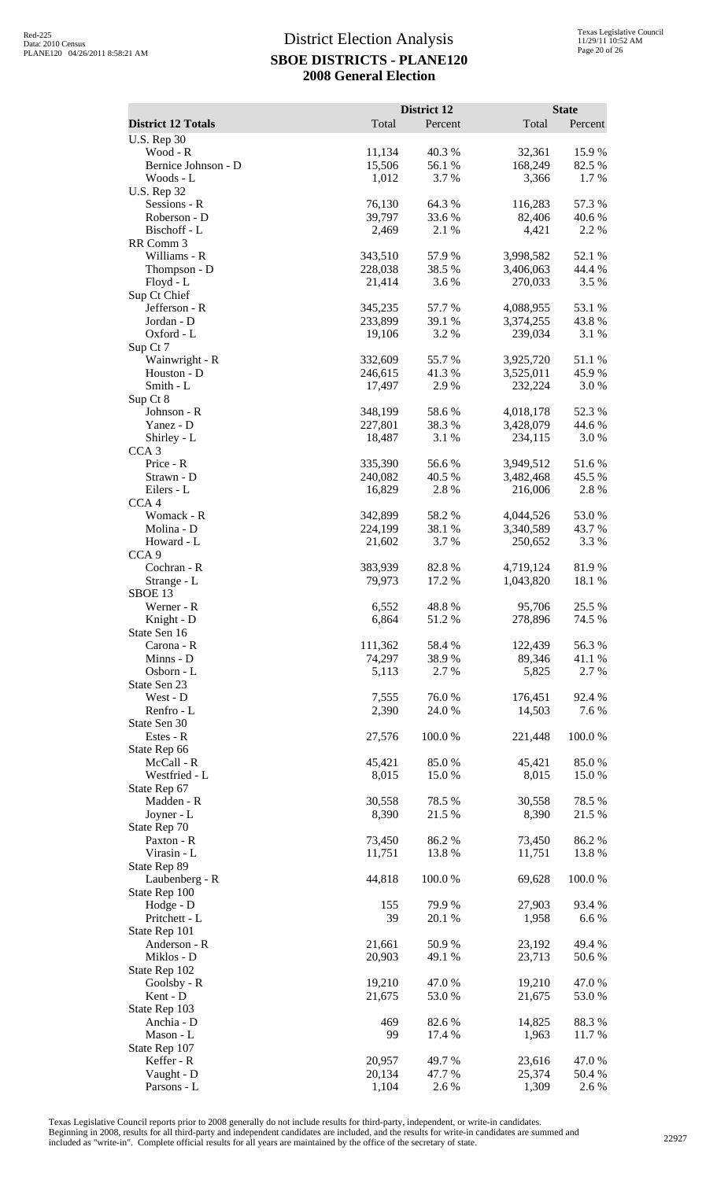|                                                 |                    | District 12      |                        | <b>State</b>     |
|-------------------------------------------------|--------------------|------------------|------------------------|------------------|
| <b>District 12 Totals</b><br><b>U.S. Rep 30</b> | Total              | Percent          | Total                  | Percent          |
| Wood - R                                        | 11,134             | 40.3%            | 32,361                 | 15.9%            |
| Bernice Johnson - D                             | 15,506             | 56.1 %           | 168,249                | 82.5 %           |
| Woods - L                                       | 1,012              | 3.7 %            | 3,366                  | 1.7%             |
| <b>U.S. Rep 32</b><br>Sessions - R              | 76,130             | 64.3%            | 116,283                | 57.3 %           |
| Roberson - D                                    | 39,797             | 33.6%            | 82,406                 | 40.6%            |
| Bischoff - L                                    | 2,469              | 2.1 %            | 4,421                  | 2.2 %            |
| RR Comm 3<br>Williams - R                       | 343,510            | 57.9%            | 3,998,582              | 52.1 %           |
| Thompson - D                                    | 228,038            | 38.5 %           | 3,406,063              | 44.4 %           |
| Floyd - L                                       | 21,414             | 3.6 %            | 270,033                | 3.5 %            |
| Sup Ct Chief                                    |                    |                  |                        |                  |
| Jefferson - R<br>Jordan - D                     | 345,235<br>233,899 | 57.7 %<br>39.1 % | 4,088,955<br>3,374,255 | 53.1 %<br>43.8%  |
| Oxford - L                                      | 19,106             | 3.2 %            | 239,034                | 3.1 %            |
| Sup Ct 7                                        |                    |                  |                        |                  |
| Wainwright - R<br>Houston - D                   | 332,609<br>246,615 | 55.7%<br>41.3 %  | 3,925,720<br>3,525,011 | 51.1 %<br>45.9%  |
| Smith - L                                       | 17,497             | 2.9%             | 232,224                | 3.0 %            |
| Sup Ct 8                                        |                    |                  |                        |                  |
| Johnson - R                                     | 348,199            | 58.6%            | 4,018,178              | 52.3 %           |
| Yanez - D<br>Shirley - L                        | 227,801<br>18,487  | 38.3%<br>3.1 %   | 3,428,079<br>234,115   | 44.6 %<br>3.0%   |
| CCA <sub>3</sub>                                |                    |                  |                        |                  |
| Price - R                                       | 335,390            | 56.6%            | 3,949,512              | 51.6%            |
| Strawn - D                                      | 240,082            | 40.5 %           | 3,482,468              | 45.5 %           |
| Eilers - L<br>CCA <sub>4</sub>                  | 16,829             | 2.8%             | 216,006                | 2.8%             |
| Womack - R                                      | 342,899            | 58.2%            | 4,044,526              | 53.0%            |
| Molina - D                                      | 224,199            | 38.1 %           | 3,340,589              | 43.7 %           |
| Howard - L<br>CCA <sub>9</sub>                  | 21,602             | 3.7 %            | 250,652                | 3.3 %            |
| Cochran - R                                     | 383,939            | 82.8%            | 4,719,124              | 81.9%            |
| Strange - L                                     | 79,973             | 17.2 %           | 1,043,820              | 18.1 %           |
| SBOE 13                                         |                    |                  |                        |                  |
| Werner - R<br>Knight - D                        | 6,552<br>6,864     | 48.8%<br>51.2%   | 95,706<br>278,896      | 25.5 %<br>74.5 % |
| State Sen 16                                    |                    |                  |                        |                  |
| Carona - R                                      | 111,362            | 58.4%            | 122,439                | 56.3%            |
| Minns - D<br>Osborn - L                         | 74,297             | 38.9%<br>2.7 %   | 89,346                 | 41.1 %           |
| State Sen 23                                    | 5,113              |                  | 5,825                  | 2.7 %            |
| West - D                                        | 7,555              | 76.0%            | 176,451                | 92.4 %           |
| Renfro - L                                      | 2,390              | 24.0%            | 14,503                 | 7.6 %            |
| State Sen 30<br>Estes - R                       | 27,576             | 100.0%           | 221,448                | 100.0%           |
| State Rep 66                                    |                    |                  |                        |                  |
| McCall - R                                      | 45,421             | 85.0%            | 45,421                 | 85.0%            |
| Westfried - L                                   | 8,015              | 15.0%            | 8,015                  | 15.0%            |
| State Rep 67<br>Madden - R                      | 30,558             | 78.5 %           | 30,558                 | 78.5 %           |
| Joyner - L                                      | 8,390              | 21.5 %           | 8,390                  | 21.5 %           |
| State Rep 70                                    |                    |                  |                        |                  |
| Paxton - R<br>Virasin - L                       | 73,450<br>11,751   | 86.2%<br>13.8%   | 73,450<br>11,751       | 86.2%<br>13.8 %  |
| State Rep 89                                    |                    |                  |                        |                  |
| Laubenberg - R                                  | 44,818             | 100.0%           | 69,628                 | 100.0%           |
| State Rep 100                                   |                    |                  |                        |                  |
| Hodge - D<br>Pritchett - L                      | 155<br>39          | 79.9 %<br>20.1 % | 27,903<br>1,958        | 93.4 %<br>6.6 %  |
| State Rep 101                                   |                    |                  |                        |                  |
| Anderson - R                                    | 21,661             | 50.9%            | 23,192                 | 49.4 %           |
| Miklos - D                                      | 20,903             | 49.1 %           | 23,713                 | 50.6 %           |
| State Rep 102<br>Goolsby - R                    | 19,210             | 47.0 %           | 19,210                 | 47.0 %           |
| Kent - D                                        | 21,675             | 53.0%            | 21,675                 | 53.0%            |
| State Rep 103                                   |                    |                  |                        |                  |
| Anchia - D<br>Mason - L                         | 469<br>99          | 82.6%<br>17.4 %  | 14,825<br>1,963        | 88.3%<br>11.7 %  |
| State Rep 107                                   |                    |                  |                        |                  |
| Keffer - R                                      | 20,957             | 49.7%            | 23,616                 | 47.0%            |
| Vaught - D                                      | 20,134             | 47.7 %           | 25,374                 | 50.4 %           |
| Parsons - L                                     | 1,104              | 2.6%             | 1,309                  | 2.6 %            |

Texas Legislative Council reports prior to 2008 generally do not include results for third-party, independent, or write-in candidates.

Beginning in 2008, results for all third-party and independent candidates are included, and the results for write-in candidates are summed and<br>included as "write-in". Complete official results for all years are maintained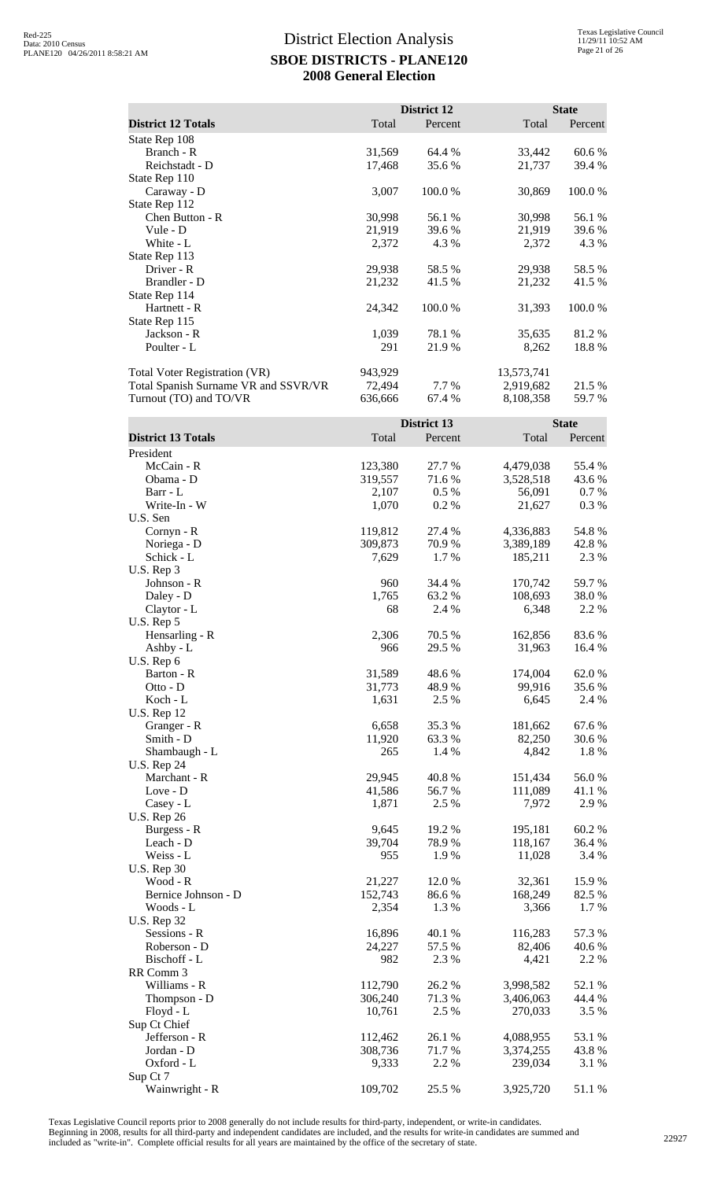|                                      |         | District 12 |            | <b>State</b> |
|--------------------------------------|---------|-------------|------------|--------------|
| <b>District 12 Totals</b>            | Total   | Percent     | Total      | Percent      |
| State Rep 108                        |         |             |            |              |
| Branch - R                           | 31,569  | 64.4 %      | 33,442     | 60.6 %       |
| Reichstadt - D                       | 17,468  | 35.6 %      | 21,737     | 39.4 %       |
| State Rep 110                        |         |             |            |              |
| Caraway - D                          | 3,007   | 100.0 %     | 30,869     | 100.0 %      |
| State Rep 112                        |         |             |            |              |
| Chen Button - R                      | 30,998  | 56.1 %      | 30,998     | 56.1 %       |
| Vule - D                             | 21,919  | 39.6 %      | 21,919     | 39.6 %       |
| White - L                            | 2,372   | 4.3 %       | 2,372      | 4.3 %        |
| State Rep 113                        |         |             |            |              |
| Driver - R                           | 29,938  | 58.5 %      | 29,938     | 58.5 %       |
| Brandler - D                         | 21,232  | 41.5 %      | 21,232     | 41.5 %       |
| State Rep 114                        |         |             |            |              |
| Hartnett - R                         | 24,342  | 100.0 %     | 31,393     | 100.0%       |
| State Rep 115                        |         |             |            |              |
| Jackson - R                          | 1,039   | 78.1 %      | 35,635     | 81.2%        |
| Poulter - L                          | 291     | 21.9 %      | 8,262      | 18.8%        |
| Total Voter Registration (VR)        | 943,929 |             | 13,573,741 |              |
| Total Spanish Surname VR and SSVR/VR | 72,494  | 7.7 %       | 2,919,682  | 21.5 %       |
| Turnout (TO) and TO/VR               | 636,666 | 67.4 %      | 8,108,358  | 59.7 %       |

|                           |         | District 13 |           | <b>State</b> |
|---------------------------|---------|-------------|-----------|--------------|
| <b>District 13 Totals</b> | Total   | Percent     | Total     | Percent      |
| President                 |         |             |           |              |
| McCain - R                | 123,380 | 27.7 %      | 4,479,038 | 55.4 %       |
| Obama - D                 | 319,557 | 71.6%       | 3,528,518 | 43.6 %       |
| Barr - L                  | 2,107   | 0.5 %       | 56,091    | 0.7%         |
| Write-In - W              | 1,070   | 0.2%        | 21,627    | 0.3%         |
| U.S. Sen                  |         |             |           |              |
| Cornyn - R                | 119,812 | 27.4 %      | 4,336,883 | 54.8%        |
| Noriega - D               | 309,873 | 70.9 %      | 3,389,189 | 42.8%        |
| Schick - L                | 7,629   | 1.7%        | 185,211   | 2.3 %        |
| U.S. Rep 3                |         |             |           |              |
| Johnson - R               | 960     | 34.4 %      | 170,742   | 59.7%        |
| Daley - D                 | 1,765   | 63.2 %      | 108,693   | 38.0%        |
| Claytor - L               | 68      | 2.4 %       | 6,348     | 2.2 %        |
| U.S. Rep 5                |         |             |           |              |
| Hensarling - R            | 2,306   | 70.5 %      | 162,856   | 83.6%        |
| Ashby - $L$               | 966     | 29.5 %      | 31,963    | 16.4 %       |
| U.S. Rep 6                |         |             |           |              |
| Barton - R                | 31,589  | 48.6%       | 174,004   | 62.0%        |
| $Ot$ to - $D$             | 31,773  | 48.9%       | 99,916    | 35.6%        |
| Koch - L                  | 1,631   | 2.5 %       | 6,645     | 2.4 %        |
| <b>U.S. Rep 12</b>        |         |             |           |              |
| Granger - R               | 6,658   | 35.3 %      | 181,662   | 67.6%        |
| Smith - D                 | 11,920  | 63.3 %      | 82,250    | 30.6 %       |
| Shambaugh - L             | 265     | 1.4 %       | 4,842     | 1.8%         |
| <b>U.S. Rep 24</b>        |         |             |           |              |
| Marchant - R              | 29,945  | 40.8%       | 151,434   | 56.0%        |
| Love - D                  | 41,586  | 56.7 %      | 111,089   | 41.1 %       |
| Casey - L                 | 1,871   | 2.5 %       | 7,972     | 2.9 %        |
| <b>U.S. Rep 26</b>        |         |             |           |              |
| Burgess - R               | 9,645   | 19.2 %      | 195,181   | 60.2%        |
| Leach - D                 | 39,704  | 78.9%       | 118,167   | 36.4 %       |
| Weiss - L                 | 955     | 1.9%        | 11,028    | 3.4 %        |
| <b>U.S. Rep 30</b>        |         |             |           |              |
| Wood - R                  | 21,227  | 12.0 %      | 32,361    | 15.9%        |
| Bernice Johnson - D       | 152,743 | 86.6%       | 168,249   | 82.5 %       |
| Woods - L                 | 2,354   | 1.3%        | 3,366     | 1.7%         |
| <b>U.S. Rep 32</b>        |         |             |           |              |
| Sessions - R              | 16,896  | 40.1 %      | 116,283   | 57.3 %       |
| Roberson - D              | 24,227  | 57.5 %      | 82,406    | 40.6%        |
| Bischoff - L              | 982     | 2.3 %       | 4,421     | 2.2 %        |
| RR Comm 3                 |         |             |           |              |
| Williams - R              | 112,790 | 26.2%       | 3,998,582 | 52.1 %       |
| Thompson - D              | 306,240 | 71.3%       | 3,406,063 | 44.4 %       |
| $Floyd - L$               | 10,761  | 2.5 %       | 270,033   | 3.5 %        |
| Sup Ct Chief              |         |             |           |              |
| Jefferson - R             | 112,462 | 26.1%       | 4,088,955 | 53.1 %       |
| Jordan - D                | 308,736 | 71.7%       | 3,374,255 | 43.8%        |
| Oxford - L                | 9,333   | 2.2 %       | 239,034   | 3.1 %        |
| Sup Ct 7                  |         |             |           |              |
| Wainwright - R            | 109,702 | 25.5 %      | 3,925,720 | 51.1 %       |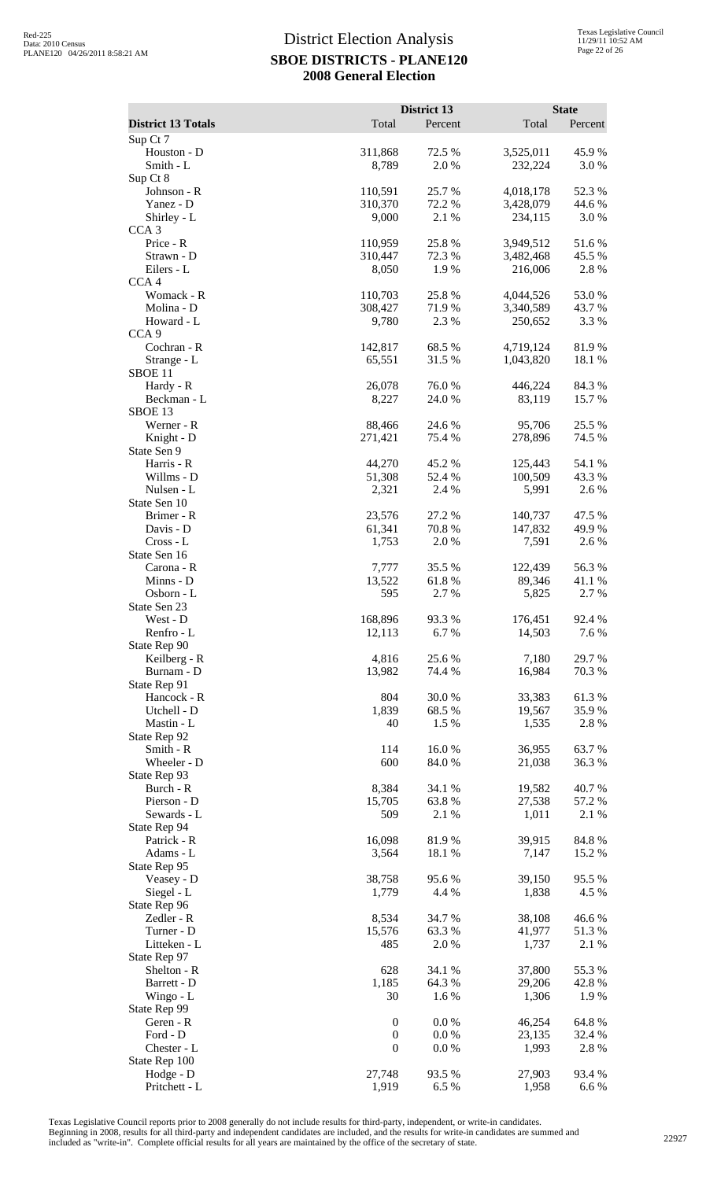|                                   |                                      | District 13      |                      | <b>State</b>     |
|-----------------------------------|--------------------------------------|------------------|----------------------|------------------|
| <b>District 13 Totals</b>         | Total                                | Percent          | Total                | Percent          |
| Sup Ct 7                          |                                      |                  |                      |                  |
| Houston - D<br>Smith - L          | 311,868<br>8,789                     | 72.5 %<br>2.0 %  | 3,525,011<br>232,224 | 45.9%<br>3.0%    |
| Sup Ct 8                          |                                      |                  |                      |                  |
| Johnson - R                       | 110,591                              | 25.7 %           | 4,018,178            | 52.3 %           |
| Yanez - D                         | 310,370                              | 72.2 %           | 3,428,079            | 44.6 %           |
| Shirley - L<br>CCA <sub>3</sub>   | 9,000                                | 2.1 %            | 234,115              | 3.0%             |
| Price - R                         | 110,959                              | 25.8%            | 3,949,512            | 51.6%            |
| Strawn - D                        | 310,447                              | 72.3 %           | 3,482,468            | 45.5 %           |
| Eilers - L                        | 8,050                                | 1.9 %            | 216,006              | 2.8 %            |
| CCA <sub>4</sub><br>Womack - R    | 110,703                              | 25.8%            | 4,044,526            | 53.0%            |
| Molina - D                        | 308,427                              | 71.9%            | 3,340,589            | 43.7 %           |
| Howard - L                        | 9,780                                | 2.3 %            | 250,652              | 3.3 %            |
| CCA <sub>9</sub>                  |                                      |                  |                      |                  |
| Cochran - R                       | 142,817                              | 68.5%            | 4,719,124            | 81.9%            |
| Strange - L<br>SBOE <sub>11</sub> | 65,551                               | 31.5 %           | 1,043,820            | 18.1 %           |
| Hardy - R                         | 26,078                               | 76.0%            | 446,224              | 84.3%            |
| Beckman - L                       | 8,227                                | 24.0 %           | 83,119               | 15.7 %           |
| SBOE <sub>13</sub>                |                                      |                  |                      |                  |
| Werner - R<br>Knight - D          | 88,466<br>271,421                    | 24.6 %<br>75.4 % | 95,706<br>278,896    | 25.5 %<br>74.5 % |
| State Sen 9                       |                                      |                  |                      |                  |
| Harris - R                        | 44,270                               | 45.2 %           | 125,443              | 54.1 %           |
| Willms - D                        | 51,308                               | 52.4 %           | 100,509              | 43.3 %           |
| Nulsen - L                        | 2,321                                | 2.4 %            | 5,991                | 2.6 %            |
| State Sen 10<br>Brimer - R        | 23,576                               | 27.2 %           | 140,737              | 47.5 %           |
| Davis - D                         | 61,341                               | 70.8%            | 147,832              | 49.9%            |
| Cross - L                         | 1,753                                | 2.0%             | 7,591                | 2.6%             |
| State Sen 16                      |                                      |                  |                      |                  |
| Carona - R                        | 7,777                                | 35.5 %           | 122,439              | 56.3%            |
| Minns - D<br>Osborn - L           | 13,522<br>595                        | 61.8%<br>2.7 %   | 89,346<br>5,825      | 41.1%<br>2.7 %   |
| State Sen 23                      |                                      |                  |                      |                  |
| West - D                          | 168,896                              | 93.3%            | 176,451              | 92.4 %           |
| Renfro - L                        | 12,113                               | 6.7%             | 14,503               | 7.6 %            |
| State Rep 90                      | 4,816                                | 25.6%            |                      |                  |
| Keilberg - R<br>Burnam - D        | 13,982                               | 74.4 %           | 7,180<br>16,984      | 29.7 %<br>70.3 % |
| State Rep 91                      |                                      |                  |                      |                  |
| Hancock - R                       | 804                                  | 30.0%            | 33,383               | 61.3%            |
| Utchell - D                       | 1,839                                | 68.5 %           | 19,567               | 35.9%            |
| Mastin - L<br>State Rep 92        | 40                                   | 1.5 %            | 1,535                | 2.8%             |
| Smith - R                         | 114                                  | 16.0%            | 36,955               | 63.7%            |
| Wheeler - D                       | 600                                  | 84.0 %           | 21,038               | 36.3 %           |
| State Rep 93                      |                                      |                  |                      |                  |
| Burch - R                         | 8,384                                | 34.1 %           | 19,582               | 40.7%            |
| Pierson - D<br>Sewards - L        | 15,705<br>509                        | 63.8%<br>2.1 %   | 27,538<br>1,011      | 57.2 %<br>2.1 %  |
| State Rep 94                      |                                      |                  |                      |                  |
| Patrick - R                       | 16,098                               | 81.9%            | 39,915               | 84.8%            |
| Adams - L                         | 3,564                                | 18.1 %           | 7,147                | 15.2 %           |
| State Rep 95<br>Veasey - D        | 38,758                               | 95.6 %           | 39,150               | 95.5 %           |
| Siegel - L                        | 1,779                                | 4.4 %            | 1,838                | 4.5 %            |
| State Rep 96                      |                                      |                  |                      |                  |
| Zedler - R                        | 8,534                                | 34.7 %           | 38,108               | 46.6%            |
| Turner - D                        | 15,576                               | 63.3%            | 41,977               | 51.3%            |
| Litteken - L<br>State Rep 97      | 485                                  | 2.0 %            | 1,737                | 2.1 %            |
| Shelton - R                       | 628                                  | 34.1 %           | 37,800               | 55.3%            |
| Barrett - D                       | 1,185                                | 64.3 %           | 29,206               | 42.8%            |
| Wingo - L                         | 30                                   | 1.6 %            | 1,306                | 1.9%             |
| State Rep 99                      |                                      |                  |                      |                  |
| Geren - R<br>Ford - D             | $\boldsymbol{0}$<br>$\boldsymbol{0}$ | 0.0 %<br>0.0 %   | 46,254<br>23,135     | 64.8%<br>32.4 %  |
| Chester - L                       | $\boldsymbol{0}$                     | 0.0 %            | 1,993                | 2.8%             |
| State Rep 100                     |                                      |                  |                      |                  |
| Hodge - D                         | 27,748                               | 93.5 %           | 27,903               | 93.4 %           |
| Pritchett - L                     | 1,919                                | 6.5%             | 1,958                | 6.6 %            |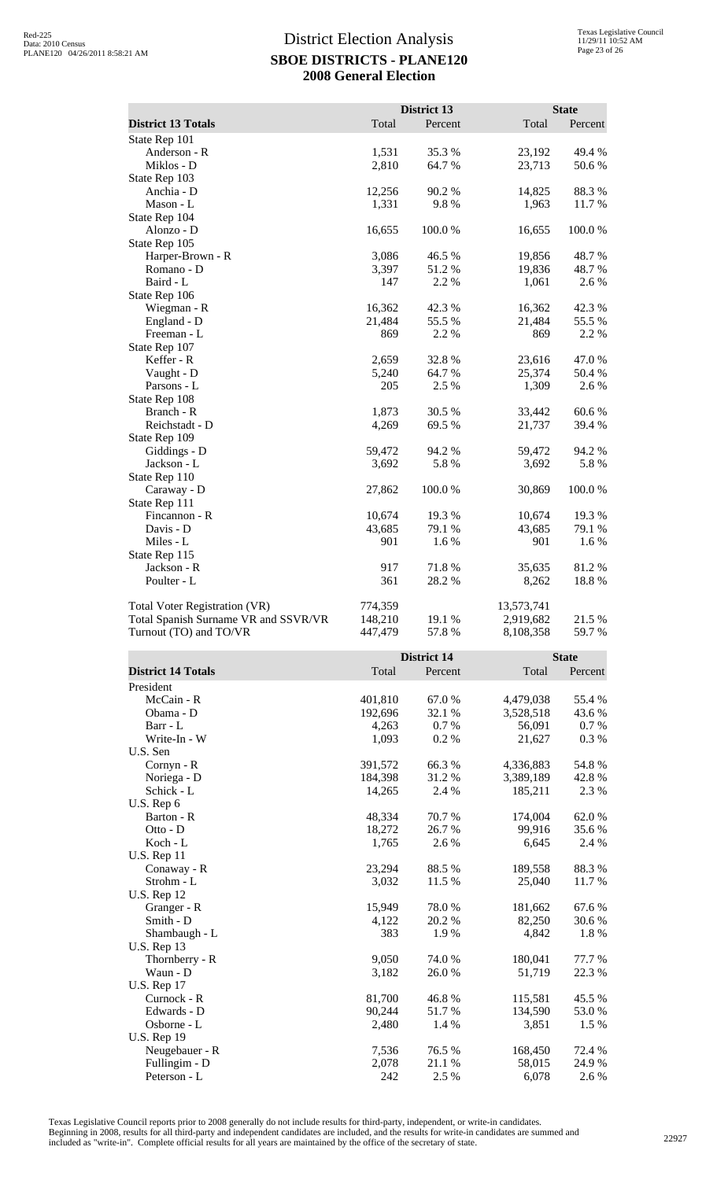| <b>District 13 Totals</b>            | Total              | District 13<br>Percent | Total                   | <b>State</b><br>Percent |
|--------------------------------------|--------------------|------------------------|-------------------------|-------------------------|
| State Rep 101                        |                    |                        |                         |                         |
| Anderson - R                         | 1,531              | 35.3%                  | 23,192                  | 49.4 %                  |
| Miklos - D                           | 2,810              | 64.7%                  | 23,713                  | 50.6 %                  |
| State Rep 103                        |                    |                        |                         |                         |
| Anchia - D                           | 12,256             | 90.2 %                 | 14,825                  | 88.3%                   |
| Mason - L<br>State Rep 104           | 1,331              | 9.8%                   | 1,963                   | 11.7 %                  |
| Alonzo - D                           | 16,655             | 100.0%                 | 16,655                  | 100.0%                  |
| State Rep 105                        |                    |                        |                         |                         |
| Harper-Brown - R                     | 3,086              | 46.5 %                 | 19,856                  | 48.7%                   |
| Romano - D                           | 3,397              | 51.2%                  | 19,836                  | 48.7%                   |
| Baird - L                            | 147                | 2.2 %                  | 1,061                   | 2.6 %                   |
| State Rep 106<br>Wiegman - R         | 16,362             | 42.3 %                 | 16,362                  | 42.3 %                  |
| England - D                          | 21,484             | 55.5 %                 | 21,484                  | 55.5 %                  |
| Freeman - L                          | 869                | 2.2 %                  | 869                     | 2.2 %                   |
| State Rep 107                        |                    |                        |                         |                         |
| Keffer - R                           | 2,659              | 32.8%                  | 23,616                  | 47.0%                   |
| Vaught - D                           | 5,240              | 64.7%                  | 25,374                  | 50.4 %                  |
| Parsons - L<br>State Rep 108         | 205                | 2.5 %                  | 1,309                   | 2.6%                    |
| Branch - R                           | 1,873              | 30.5 %                 | 33,442                  | 60.6%                   |
| Reichstadt - D                       | 4,269              | 69.5 %                 | 21,737                  | 39.4 %                  |
| State Rep 109                        |                    |                        |                         |                         |
| Giddings - D                         | 59,472             | 94.2 %                 | 59,472                  | 94.2 %                  |
| Jackson - L                          | 3,692              | 5.8%                   | 3,692                   | 5.8%                    |
| State Rep 110                        |                    |                        |                         | 100.0%                  |
| Caraway - D<br>State Rep 111         | 27,862             | 100.0%                 | 30,869                  |                         |
| Fincannon - R                        | 10,674             | 19.3 %                 | 10,674                  | 19.3 %                  |
| Davis - D                            | 43,685             | 79.1 %                 | 43,685                  | 79.1 %                  |
| Miles - L                            | 901                | 1.6%                   | 901                     | 1.6%                    |
| State Rep 115                        |                    |                        |                         |                         |
| Jackson - R                          | 917                | 71.8%                  | 35,635                  | 81.2%                   |
|                                      |                    |                        |                         |                         |
| Poulter - L                          | 361                | 28.2 %                 | 8,262                   | 18.8%                   |
| <b>Total Voter Registration (VR)</b> |                    |                        |                         |                         |
| Total Spanish Surname VR and SSVR/VR | 774,359<br>148,210 | 19.1 %                 | 13,573,741<br>2,919,682 | 21.5 %                  |
| Turnout (TO) and TO/VR               | 447,479            | 57.8%                  | 8,108,358               | 59.7%                   |
|                                      |                    |                        |                         |                         |
|                                      |                    | <b>District 14</b>     |                         | <b>State</b>            |
| <b>District 14 Totals</b>            | Total              | Percent                | Total                   | Percent                 |
| President<br>McCain - R              |                    |                        |                         |                         |
| Obama - D                            | 401,810<br>192,696 | 67.0%<br>32.1 %        | 4,479,038<br>3,528,518  | 55.4 %<br>43.6 %        |
| Barr - L                             | 4,263              | 0.7%                   | 56,091                  | 0.7 %                   |
| Write-In - W                         | 1,093              | 0.2 %                  | 21,627                  | 0.3%                    |
| U.S. Sen                             |                    |                        |                         |                         |
| Cornyn - R                           | 391,572            | 66.3%                  | 4,336,883               | 54.8 %                  |
| Noriega - D                          | 184,398            | 31.2%                  | 3,389,189               | 42.8%                   |
| Schick - L<br>U.S. Rep 6             | 14,265             | 2.4 %                  | 185,211                 | 2.3 %                   |
| Barton - R                           | 48,334             | 70.7%                  | 174,004                 | 62.0%                   |
| Otto - D                             | 18,272             | 26.7%                  | 99,916                  | 35.6%                   |
| Koch - L                             | 1,765              | 2.6%                   | 6,645                   | 2.4 %                   |
| <b>U.S. Rep 11</b>                   |                    |                        |                         |                         |
| Conaway - R                          | 23,294             | 88.5%                  | 189,558                 | 88.3%                   |
| Strohm - L<br><b>U.S. Rep 12</b>     | 3,032              | 11.5 %                 | 25,040                  | 11.7 %                  |
| Granger - R                          | 15,949             | 78.0%                  | 181,662                 | 67.6%                   |
| Smith - D                            | 4,122              | 20.2 %                 | 82,250                  | 30.6%                   |
| Shambaugh - L                        | 383                | 1.9%                   | 4,842                   | 1.8%                    |
| <b>U.S. Rep 13</b>                   |                    |                        |                         |                         |
| Thornberry - R                       | 9,050              | 74.0 %                 | 180,041                 | 77.7 %                  |
| Waun - D<br><b>U.S. Rep 17</b>       | 3,182              | 26.0%                  | 51,719                  | 22.3 %                  |
| Curnock - R                          | 81,700             | 46.8%                  | 115,581                 | 45.5 %                  |
| Edwards - D                          | 90,244             | 51.7%                  | 134,590                 | 53.0%                   |
| Osborne - L                          | 2,480              | 1.4 %                  | 3,851                   | 1.5 %                   |
| <b>U.S. Rep 19</b><br>Neugebauer - R | 7,536              | 76.5 %                 | 168,450                 | 72.4 %                  |

Texas Legislative Council reports prior to 2008 generally do not include results for third-party, independent, or write-in candidates. Beginning in 2008, results for all third-party and independent candidates are included, and the results for write-in candidates are summed and<br>included as "write-in". Complete official results for all years are maintained

Peterson - L

Fullingim - D<br>
Peterson - L<br>
2.078 21.1 % 58,015 24.9 %<br>
242 2.5 % 6,078 2.6 %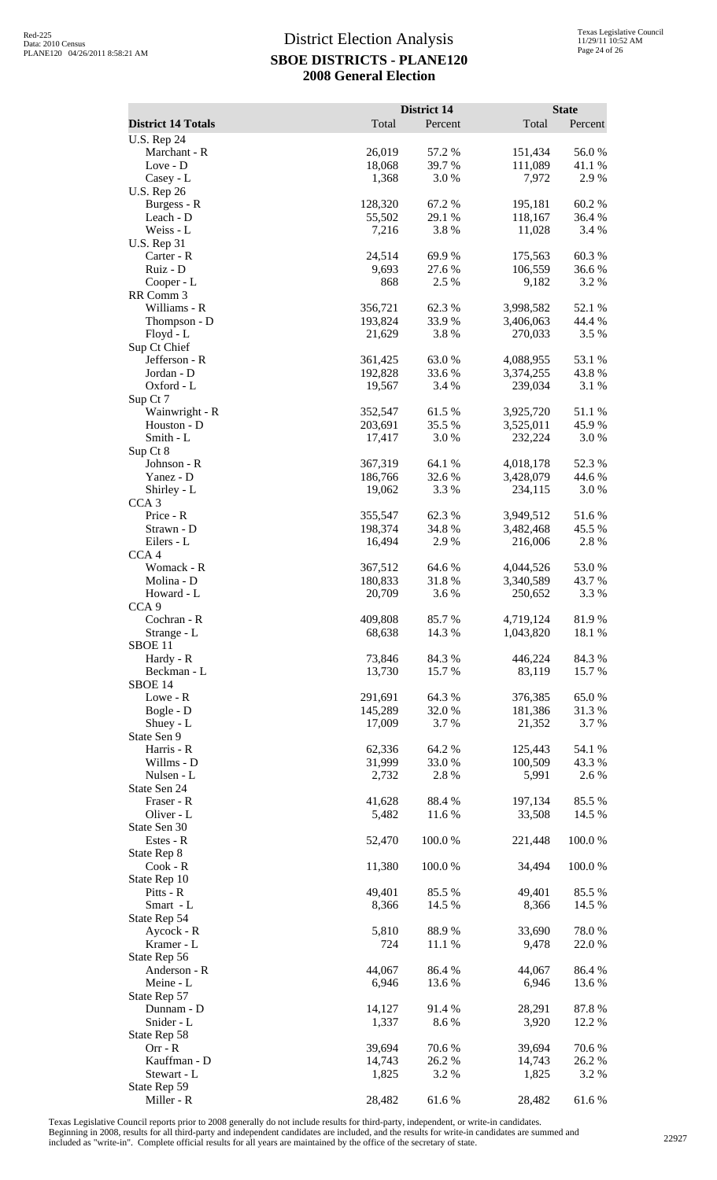| <b>District 14 Totals</b>         | Total              | District 14<br>Percent | Total                  | <b>State</b><br>Percent |
|-----------------------------------|--------------------|------------------------|------------------------|-------------------------|
| <b>U.S. Rep 24</b>                |                    |                        |                        |                         |
| Marchant - R                      | 26,019             | 57.2 %                 | 151,434                | 56.0%                   |
| Love - D                          | 18,068             | 39.7%                  | 111,089                | 41.1 %                  |
| Casey - L                         | 1,368              | 3.0%                   | 7,972                  | 2.9%                    |
| <b>U.S. Rep 26</b><br>Burgess - R | 128,320            | 67.2%                  | 195,181                | 60.2%                   |
| Leach - D                         | 55,502             | 29.1 %                 | 118,167                | 36.4 %                  |
| Weiss - L                         | 7,216              | 3.8%                   | 11,028                 | 3.4 %                   |
| <b>U.S. Rep 31</b>                |                    |                        |                        |                         |
| Carter - R                        | 24,514             | 69.9%                  | 175,563                | 60.3%                   |
| Ruiz - D                          | 9,693              | 27.6%                  | 106,559                | 36.6%                   |
| Cooper - L<br>RR Comm 3           | 868                | 2.5 %                  | 9,182                  | 3.2 %                   |
| Williams - R                      | 356,721            | 62.3%                  | 3,998,582              | 52.1 %                  |
| Thompson - D                      | 193,824            | 33.9%                  | 3,406,063              | 44.4 %                  |
| $Floyd - L$                       | 21,629             | 3.8%                   | 270,033                | 3.5 %                   |
| Sup Ct Chief                      |                    |                        |                        |                         |
| Jefferson - R                     | 361,425            | 63.0%                  | 4,088,955              | 53.1 %                  |
| Jordan - D<br>Oxford - L          | 192,828<br>19,567  | 33.6%<br>3.4 %         | 3,374,255<br>239,034   | 43.8%<br>3.1 %          |
| Sup Ct 7                          |                    |                        |                        |                         |
| Wainwright - R                    | 352,547            | 61.5%                  | 3,925,720              | 51.1%                   |
| Houston - D                       | 203,691            | 35.5 %                 | 3,525,011              | 45.9%                   |
| Smith - L                         | 17,417             | 3.0%                   | 232,224                | 3.0%                    |
| Sup Ct 8                          |                    |                        |                        |                         |
| Johnson - R<br>Yanez - D          | 367,319<br>186,766 | 64.1 %<br>32.6 %       | 4,018,178<br>3,428,079 | 52.3 %<br>44.6 %        |
| Shirley - L                       | 19,062             | 3.3 %                  | 234,115                | 3.0%                    |
| CCA <sub>3</sub>                  |                    |                        |                        |                         |
| Price - R                         | 355,547            | 62.3%                  | 3,949,512              | 51.6%                   |
| Strawn - D                        | 198,374            | 34.8 %                 | 3,482,468              | 45.5 %                  |
| Eilers - L                        | 16,494             | 2.9%                   | 216,006                | 2.8%                    |
| CCA <sub>4</sub><br>Womack - R    | 367,512            | 64.6 %                 | 4,044,526              | 53.0%                   |
| Molina - D                        | 180,833            | 31.8%                  | 3,340,589              | 43.7%                   |
| Howard - L                        | 20,709             | 3.6 %                  | 250,652                | 3.3 %                   |
| CCA <sub>9</sub>                  |                    |                        |                        |                         |
| Cochran - R                       | 409,808            | 85.7%                  | 4,719,124              | 81.9%                   |
| Strange - L<br>SBOE <sub>11</sub> | 68,638             | 14.3 %                 | 1,043,820              | 18.1 %                  |
| Hardy - R                         | 73,846             | 84.3%                  | 446,224                | 84.3%                   |
| Beckman - L                       | 13,730             | 15.7 %                 | 83,119                 | 15.7 %                  |
| SBOE 14                           |                    |                        |                        |                         |
| Lowe - R                          | 291,691            | 64.3 %                 | 376,385                | 65.0%                   |
| Bogle - D                         | 145,289            | 32.0%                  | 181,386                | 31.3%                   |
| Shuey - L<br>State Sen 9          | 17,009             | 3.7%                   | 21,352                 | 3.7 %                   |
| Harris - R                        | 62,336             | 64.2 %                 | 125,443                | 54.1 %                  |
| Willms - D                        | 31,999             | 33.0%                  | 100,509                | 43.3 %                  |
| Nulsen - L                        | 2,732              | 2.8%                   | 5,991                  | 2.6 %                   |
| State Sen 24                      |                    |                        |                        |                         |
| Fraser - R                        | 41,628             | 88.4%                  | 197,134                | 85.5 %                  |
| Oliver - L<br>State Sen 30        | 5,482              | 11.6 %                 | 33,508                 | 14.5 %                  |
| Estes - R                         | 52,470             | 100.0%                 | 221,448                | 100.0%                  |
| State Rep 8                       |                    |                        |                        |                         |
| $Cook - R$                        | 11,380             | 100.0%                 | 34,494                 | 100.0%                  |
| State Rep 10                      |                    |                        |                        |                         |
| Pitts - R                         | 49,401             | 85.5%                  | 49,401                 | 85.5 %                  |
| Smart - L<br>State Rep 54         | 8,366              | 14.5 %                 | 8,366                  | 14.5 %                  |
| Aycock - R                        | 5,810              | 88.9%                  | 33,690                 | 78.0%                   |
| Kramer - L                        | 724                | 11.1 %                 | 9,478                  | 22.0 %                  |
| State Rep 56                      |                    |                        |                        |                         |
| Anderson - R                      | 44,067             | 86.4%                  | 44,067                 | 86.4%                   |
| Meine - L                         | 6,946              | 13.6 %                 | 6,946                  | 13.6 %                  |
| State Rep 57<br>Dunnam - D        | 14,127             | 91.4%                  | 28,291                 | 87.8%                   |
| Snider - L                        | 1,337              | 8.6%                   | 3,920                  | 12.2 %                  |
| State Rep 58                      |                    |                        |                        |                         |
| $Orr - R$                         | 39,694             | 70.6%                  | 39,694                 | 70.6%                   |
| Kauffman - D                      | 14,743             | 26.2%                  | 14,743                 | 26.2 %                  |
| Stewart - L                       | 1,825              | 3.2 %                  | 1,825                  | 3.2 %                   |
| State Rep 59<br>Miller - R        | 28,482             | 61.6%                  | 28,482                 | 61.6%                   |

Texas Legislative Council reports prior to 2008 generally do not include results for third-party, independent, or write-in candidates.

Beginning in 2008, results for all third-party and independent candidates are included, and the results for write-in candidates are summed and<br>included as "write-in". Complete official results for all years are maintained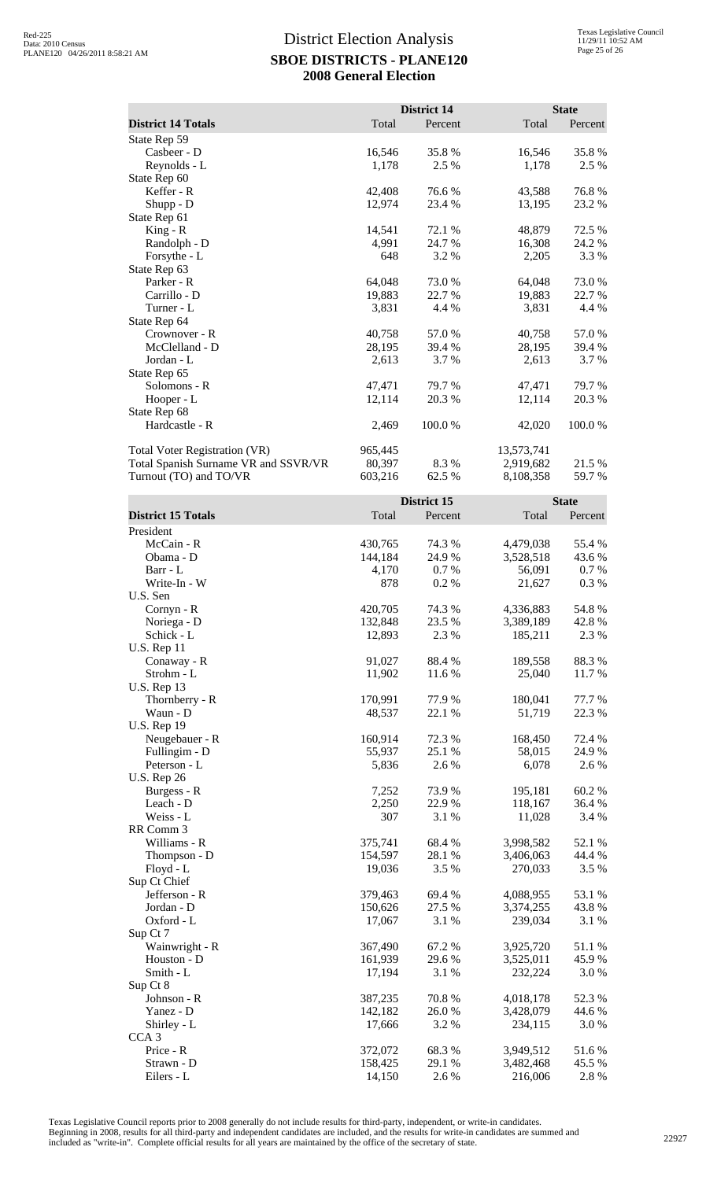|                                      |         | <b>District 14</b> |            | <b>State</b> |
|--------------------------------------|---------|--------------------|------------|--------------|
| <b>District 14 Totals</b>            | Total   | Percent            | Total      | Percent      |
| State Rep 59                         |         |                    |            |              |
| Casbeer - D                          | 16,546  | 35.8%              | 16,546     | 35.8%        |
| Reynolds - L                         | 1,178   | 2.5 %              | 1,178      | 2.5 %        |
| State Rep 60                         |         |                    |            |              |
| Keffer - R                           | 42,408  | 76.6 %             | 43,588     | 76.8%        |
| Shupp - D                            | 12,974  | 23.4 %             | 13,195     | 23.2 %       |
| State Rep 61                         |         |                    |            |              |
| $King - R$                           | 14,541  | 72.1 %             | 48,879     | 72.5 %       |
| Randolph - D                         | 4,991   | 24.7 %             | 16,308     | 24.2 %       |
| Forsythe - L                         | 648     | 3.2 %              | 2,205      | 3.3 %        |
| State Rep 63                         |         |                    |            |              |
| Parker - R                           | 64,048  | 73.0 %             | 64,048     | 73.0 %       |
| Carrillo - D                         | 19,883  | 22.7 %             | 19,883     | 22.7 %       |
| Turner - L                           | 3,831   | 4.4 %              | 3,831      | 4.4 %        |
| State Rep 64                         |         |                    |            |              |
| Crownover - R                        | 40,758  | 57.0%              | 40,758     | 57.0%        |
| McClelland - D                       | 28,195  | 39.4 %             | 28,195     | 39.4 %       |
| Jordan - L                           | 2,613   | 3.7 %              | 2,613      | 3.7 %        |
| State Rep 65                         |         |                    |            |              |
| Solomons - R                         | 47,471  | 79.7 %             | 47,471     | 79.7 %       |
| Hooper - L                           | 12,114  | 20.3 %             | 12,114     | 20.3%        |
| State Rep 68                         |         |                    |            |              |
| Hardcastle - R                       | 2,469   | 100.0%             | 42,020     | 100.0%       |
| <b>Total Voter Registration (VR)</b> | 965,445 |                    | 13,573,741 |              |
| Total Spanish Surname VR and SSVR/VR | 80,397  | 8.3%               | 2,919,682  | 21.5 %       |
| Turnout (TO) and TO/VR               | 603,216 | 62.5 %             | 8,108,358  | 59.7%        |
|                                      |         | District 15        |            | <b>State</b> |
| <b>District 15 Totals</b>            | Total   | Percent            | Total      | Percent      |
| President                            |         |                    |            |              |
| McCain - R                           | 430,765 | 74.3 %             | 4,479,038  | 55.4 %       |
|                                      |         |                    |            |              |

| District 15 Totals | Total   | Percent | Total     | Percent |
|--------------------|---------|---------|-----------|---------|
| President          |         |         |           |         |
| McCain - R         | 430,765 | 74.3 %  | 4,479,038 | 55.4 %  |
| Obama - D          | 144,184 | 24.9%   | 3,528,518 | 43.6 %  |
| Barr - L           | 4,170   | 0.7%    | 56,091    | 0.7%    |
| Write-In - W       | 878     | 0.2%    | 21,627    | 0.3%    |
| U.S. Sen           |         |         |           |         |
| Cornyn - R         | 420,705 | 74.3 %  | 4,336,883 | 54.8 %  |
| Noriega - D        | 132,848 | 23.5 %  | 3,389,189 | 42.8%   |
| Schick - L         | 12,893  | 2.3 %   | 185,211   | 2.3 %   |
| <b>U.S. Rep 11</b> |         |         |           |         |
| Conaway - R        | 91,027  | 88.4%   | 189,558   | 88.3%   |
| Strohm - L         | 11,902  | 11.6%   | 25,040    | 11.7%   |
| <b>U.S. Rep 13</b> |         |         |           |         |
| Thornberry - R     | 170,991 | 77.9%   | 180,041   | 77.7 %  |
| Waun - D           | 48,537  | 22.1 %  | 51,719    | 22.3 %  |
| <b>U.S. Rep 19</b> |         |         |           |         |
| Neugebauer - R     | 160,914 | 72.3 %  | 168,450   | 72.4 %  |
| Fullingim - D      | 55,937  | 25.1 %  | 58,015    | 24.9 %  |
| Peterson - L       | 5,836   | 2.6%    | 6,078     | 2.6 %   |
| <b>U.S. Rep 26</b> |         |         |           |         |
| Burgess - R        | 7,252   | 73.9%   | 195,181   | 60.2%   |
| Leach - D          | 2,250   | 22.9%   | 118,167   | 36.4 %  |
| Weiss - L          | 307     | 3.1 %   | 11,028    | 3.4 %   |
| RR Comm 3          |         |         |           |         |
| Williams - R       | 375,741 | 68.4%   | 3,998,582 | 52.1 %  |
| Thompson - D       | 154,597 | 28.1 %  | 3,406,063 | 44.4 %  |
| Floyd - L          | 19,036  | 3.5 %   | 270,033   | 3.5 %   |
| Sup Ct Chief       |         |         |           |         |
| Jefferson - R      | 379,463 | 69.4%   | 4,088,955 | 53.1 %  |
| Jordan - D         | 150,626 | 27.5 %  | 3,374,255 | 43.8%   |
| Oxford - L         | 17,067  | 3.1 %   | 239,034   | 3.1 %   |
| Sup Ct 7           |         |         |           |         |
| Wainwright - R     | 367,490 | 67.2 %  | 3,925,720 | 51.1 %  |
| Houston - D        | 161,939 | 29.6%   | 3,525,011 | 45.9%   |
| Smith - L          | 17,194  | 3.1 %   | 232,224   | 3.0%    |
| Sup Ct 8           |         |         |           |         |
| Johnson - R        | 387,235 | 70.8%   | 4,018,178 | 52.3 %  |
| Yanez - D          | 142,182 | 26.0%   | 3,428,079 | 44.6 %  |
| Shirley - L        | 17,666  | 3.2 %   | 234,115   | 3.0%    |
| CCA <sub>3</sub>   |         |         |           |         |
| Price - R          | 372,072 | 68.3%   | 3,949,512 | 51.6%   |
| Strawn - D         | 158,425 | 29.1 %  | 3,482,468 | 45.5 %  |
| Eilers - L         | 14,150  | 2.6 %   | 216,006   | 2.8%    |